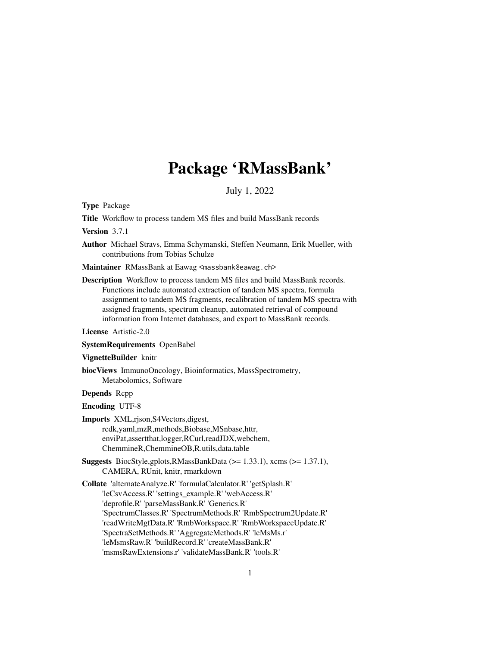# Package 'RMassBank'

July 1, 2022

<span id="page-0-0"></span>Type Package

Title Workflow to process tandem MS files and build MassBank records

Version 3.7.1

Author Michael Stravs, Emma Schymanski, Steffen Neumann, Erik Mueller, with contributions from Tobias Schulze

Maintainer RMassBank at Eawag <massbank@eawag.ch>

Description Workflow to process tandem MS files and build MassBank records. Functions include automated extraction of tandem MS spectra, formula assignment to tandem MS fragments, recalibration of tandem MS spectra with assigned fragments, spectrum cleanup, automated retrieval of compound information from Internet databases, and export to MassBank records.

License Artistic-2.0

SystemRequirements OpenBabel

VignetteBuilder knitr

biocViews ImmunoOncology, Bioinformatics, MassSpectrometry, Metabolomics, Software

Depends Rcpp

Encoding UTF-8

Imports XML,rjson,S4Vectors,digest, rcdk,yaml,mzR,methods,Biobase,MSnbase,httr, enviPat,assertthat,logger,RCurl,readJDX,webchem, ChemmineR,ChemmineOB,R.utils,data.table

Suggests BiocStyle,gplots,RMassBankData (>= 1.33.1), xcms (>= 1.37.1), CAMERA, RUnit, knitr, rmarkdown

Collate 'alternateAnalyze.R' 'formulaCalculator.R' 'getSplash.R' 'leCsvAccess.R' 'settings\_example.R' 'webAccess.R' 'deprofile.R' 'parseMassBank.R' 'Generics.R' 'SpectrumClasses.R' 'SpectrumMethods.R' 'RmbSpectrum2Update.R' 'readWriteMgfData.R' 'RmbWorkspace.R' 'RmbWorkspaceUpdate.R' 'SpectraSetMethods.R' 'AggregateMethods.R' 'leMsMs.r' 'leMsmsRaw.R' 'buildRecord.R' 'createMassBank.R' 'msmsRawExtensions.r' 'validateMassBank.R' 'tools.R'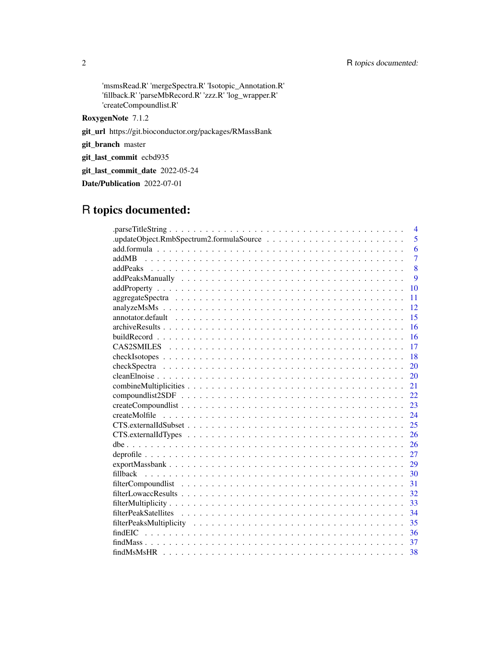'msmsRead.R' 'mergeSpectra.R' 'Isotopic\_Annotation.R' 'fillback.R' 'parseMbRecord.R' 'zzz.R' 'log\_wrapper.R' 'createCompoundlist.R'

RoxygenNote 7.1.2

git\_url https://git.bioconductor.org/packages/RMassBank

git\_branch master

git\_last\_commit ecbd935

git\_last\_commit\_date 2022-05-24

Date/Publication 2022-07-01

# R topics documented:

| $\overline{4}$          |
|-------------------------|
| 5                       |
| 6                       |
| $\overline{7}$<br>addMB |
| 8                       |
| 9                       |
| 10                      |
| 11                      |
| 12                      |
| 15                      |
| 16                      |
| 16                      |
| 17                      |
| 18                      |
| 20                      |
| 20                      |
| 21                      |
| 22                      |
| 23                      |
| 24                      |
| 25                      |
| 26                      |
| 26                      |
| 27                      |
| 29                      |
| 30                      |
| 31                      |
| 32                      |
| 33                      |
| 34                      |
| 35                      |
| findEIC<br>36           |
| -37                     |
| 38                      |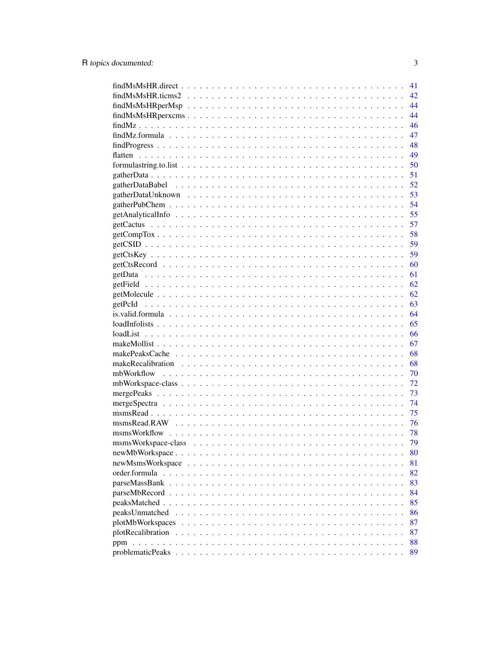|                   |  |  |  |  |  |  |  |  |  |  |  |  | 41 |
|-------------------|--|--|--|--|--|--|--|--|--|--|--|--|----|
|                   |  |  |  |  |  |  |  |  |  |  |  |  | 42 |
|                   |  |  |  |  |  |  |  |  |  |  |  |  | 44 |
|                   |  |  |  |  |  |  |  |  |  |  |  |  | 44 |
|                   |  |  |  |  |  |  |  |  |  |  |  |  | 46 |
|                   |  |  |  |  |  |  |  |  |  |  |  |  | 47 |
|                   |  |  |  |  |  |  |  |  |  |  |  |  | 48 |
|                   |  |  |  |  |  |  |  |  |  |  |  |  | 49 |
|                   |  |  |  |  |  |  |  |  |  |  |  |  | 50 |
|                   |  |  |  |  |  |  |  |  |  |  |  |  | 51 |
|                   |  |  |  |  |  |  |  |  |  |  |  |  | 52 |
|                   |  |  |  |  |  |  |  |  |  |  |  |  | 53 |
|                   |  |  |  |  |  |  |  |  |  |  |  |  | 54 |
|                   |  |  |  |  |  |  |  |  |  |  |  |  | 55 |
|                   |  |  |  |  |  |  |  |  |  |  |  |  | 57 |
|                   |  |  |  |  |  |  |  |  |  |  |  |  | 58 |
|                   |  |  |  |  |  |  |  |  |  |  |  |  | 59 |
|                   |  |  |  |  |  |  |  |  |  |  |  |  | 59 |
|                   |  |  |  |  |  |  |  |  |  |  |  |  | 60 |
|                   |  |  |  |  |  |  |  |  |  |  |  |  | 61 |
|                   |  |  |  |  |  |  |  |  |  |  |  |  | 62 |
|                   |  |  |  |  |  |  |  |  |  |  |  |  | 62 |
|                   |  |  |  |  |  |  |  |  |  |  |  |  | 63 |
|                   |  |  |  |  |  |  |  |  |  |  |  |  | 64 |
|                   |  |  |  |  |  |  |  |  |  |  |  |  | 65 |
|                   |  |  |  |  |  |  |  |  |  |  |  |  | 66 |
|                   |  |  |  |  |  |  |  |  |  |  |  |  | 67 |
|                   |  |  |  |  |  |  |  |  |  |  |  |  | 68 |
|                   |  |  |  |  |  |  |  |  |  |  |  |  | 68 |
|                   |  |  |  |  |  |  |  |  |  |  |  |  | 70 |
|                   |  |  |  |  |  |  |  |  |  |  |  |  | 72 |
|                   |  |  |  |  |  |  |  |  |  |  |  |  | 73 |
|                   |  |  |  |  |  |  |  |  |  |  |  |  | 74 |
|                   |  |  |  |  |  |  |  |  |  |  |  |  | 75 |
|                   |  |  |  |  |  |  |  |  |  |  |  |  | 76 |
|                   |  |  |  |  |  |  |  |  |  |  |  |  | 78 |
|                   |  |  |  |  |  |  |  |  |  |  |  |  | 79 |
|                   |  |  |  |  |  |  |  |  |  |  |  |  | 80 |
|                   |  |  |  |  |  |  |  |  |  |  |  |  | 81 |
|                   |  |  |  |  |  |  |  |  |  |  |  |  | 82 |
|                   |  |  |  |  |  |  |  |  |  |  |  |  | 83 |
|                   |  |  |  |  |  |  |  |  |  |  |  |  | 84 |
| peaksMatched      |  |  |  |  |  |  |  |  |  |  |  |  | 85 |
| peaksUnmatched    |  |  |  |  |  |  |  |  |  |  |  |  | 86 |
| plotMbWorkspaces  |  |  |  |  |  |  |  |  |  |  |  |  | 87 |
| plotRecalibration |  |  |  |  |  |  |  |  |  |  |  |  | 87 |
|                   |  |  |  |  |  |  |  |  |  |  |  |  | 88 |
|                   |  |  |  |  |  |  |  |  |  |  |  |  | 89 |
|                   |  |  |  |  |  |  |  |  |  |  |  |  |    |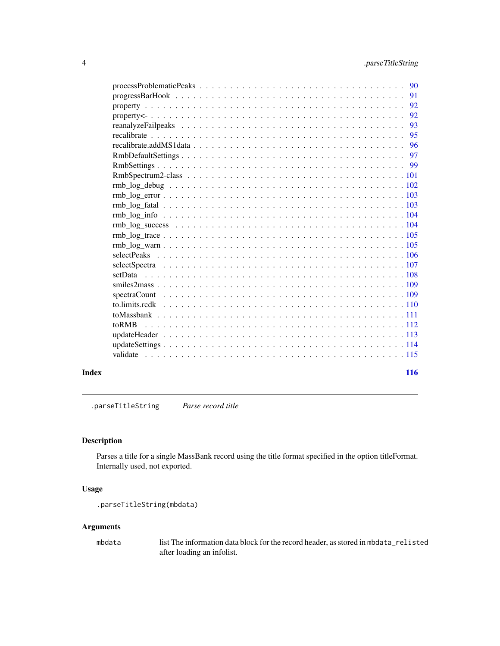<span id="page-3-0"></span>

|                                                                                                                         | 90 |
|-------------------------------------------------------------------------------------------------------------------------|----|
| $progressBarHook \dots \dots \dots \dots \dots \dots \dots \dots \dots \dots \dots \dots \dots \dots \dots \dots \dots$ | 91 |
|                                                                                                                         | 92 |
|                                                                                                                         | 92 |
|                                                                                                                         | 93 |
|                                                                                                                         | 95 |
|                                                                                                                         | 96 |
|                                                                                                                         | 97 |
|                                                                                                                         |    |
|                                                                                                                         |    |
|                                                                                                                         |    |
|                                                                                                                         |    |
|                                                                                                                         |    |
|                                                                                                                         |    |
|                                                                                                                         |    |
|                                                                                                                         |    |
|                                                                                                                         |    |
|                                                                                                                         |    |
|                                                                                                                         |    |
|                                                                                                                         |    |
|                                                                                                                         |    |
|                                                                                                                         |    |
|                                                                                                                         |    |
|                                                                                                                         |    |
| toRMB                                                                                                                   |    |
|                                                                                                                         |    |
|                                                                                                                         |    |
| validate                                                                                                                |    |
|                                                                                                                         |    |

#### **Index** 2008 **[116](#page-115-0)**

.parseTitleString *Parse record title*

### Description

Parses a title for a single MassBank record using the title format specified in the option titleFormat. Internally used, not exported.

### Usage

```
.parseTitleString(mbdata)
```
#### Arguments

mbdata list The information data block for the record header, as stored in mbdata\_relisted after loading an infolist.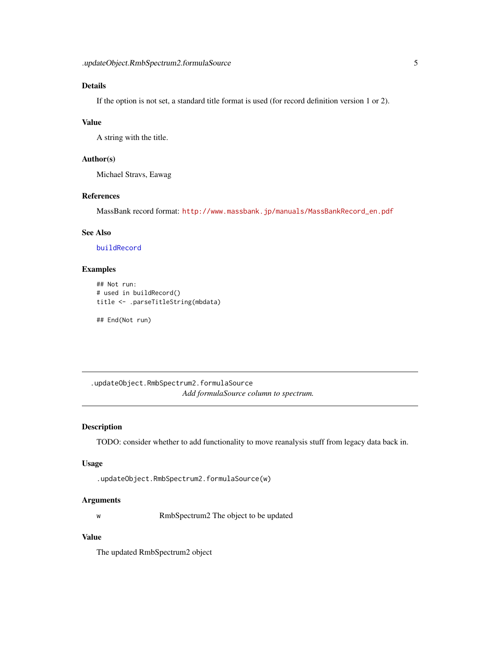### <span id="page-4-0"></span>Details

If the option is not set, a standard title format is used (for record definition version 1 or 2).

#### Value

A string with the title.

### Author(s)

Michael Stravs, Eawag

#### References

MassBank record format: [http://www.massbank.jp/manuals/MassBankRecord\\_en.pdf](http://www.massbank.jp/manuals/MassBankRecord_en.pdf)

### See Also

[buildRecord](#page-15-1)

### Examples

```
## Not run:
# used in buildRecord()
title <- .parseTitleString(mbdata)
```
## End(Not run)

.updateObject.RmbSpectrum2.formulaSource *Add formulaSource column to spectrum.*

### Description

TODO: consider whether to add functionality to move reanalysis stuff from legacy data back in.

### Usage

```
.updateObject.RmbSpectrum2.formulaSource(w)
```
#### Arguments

w RmbSpectrum2 The object to be updated

### Value

The updated RmbSpectrum2 object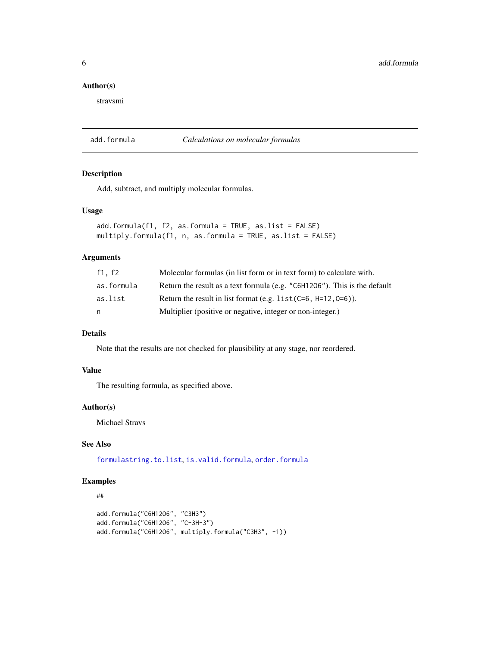### Author(s)

stravsmi

add.formula *Calculations on molecular formulas*

#### Description

Add, subtract, and multiply molecular formulas.

### Usage

```
add.formula(f1, f2, as.formula = TRUE, as.list = FALSE)
multiply.formula(f1, n, as.formula = TRUE, as.list = FALSE)
```
### Arguments

| f1. f2     | Molecular formulas (in list form or in text form) to calculate with.      |
|------------|---------------------------------------------------------------------------|
| as.formula | Return the result as a text formula (e.g. "C6H12O6"). This is the default |
| as.list    | Return the result in list format (e.g. $list$ $(C=6, H=12, 0=6)$ ).       |
| n          | Multiplier (positive or negative, integer or non-integer.)                |

### Details

Note that the results are not checked for plausibility at any stage, nor reordered.

#### Value

The resulting formula, as specified above.

#### Author(s)

Michael Stravs

### See Also

[formulastring.to.list](#page-49-1), [is.valid.formula](#page-63-1), [order.formula](#page-81-1)

### Examples

### ##

```
add.formula("C6H12O6", "C3H3")
add.formula("C6H12O6", "C-3H-3")
add.formula("C6H12O6", multiply.formula("C3H3", -1))
```
<span id="page-5-0"></span>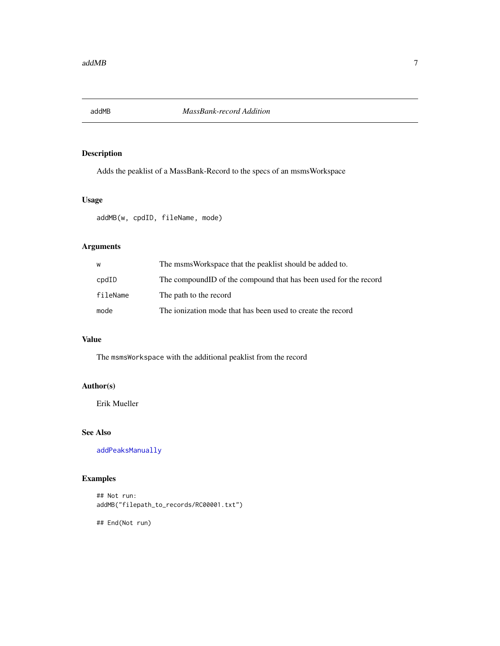<span id="page-6-0"></span>

Adds the peaklist of a MassBank-Record to the specs of an msmsWorkspace

#### Usage

addMB(w, cpdID, fileName, mode)

### Arguments

| w              | The msmsWorkspace that the peaklist should be added to.          |
|----------------|------------------------------------------------------------------|
| $\text{cpdID}$ | The compoundID of the compound that has been used for the record |
| fileName       | The path to the record                                           |
| mode           | The ionization mode that has been used to create the record      |

### Value

The msmsWorkspace with the additional peaklist from the record

### Author(s)

Erik Mueller

### See Also

[addPeaksManually](#page-8-1)

### Examples

```
## Not run:
addMB("filepath_to_records/RC00001.txt")
```
## End(Not run)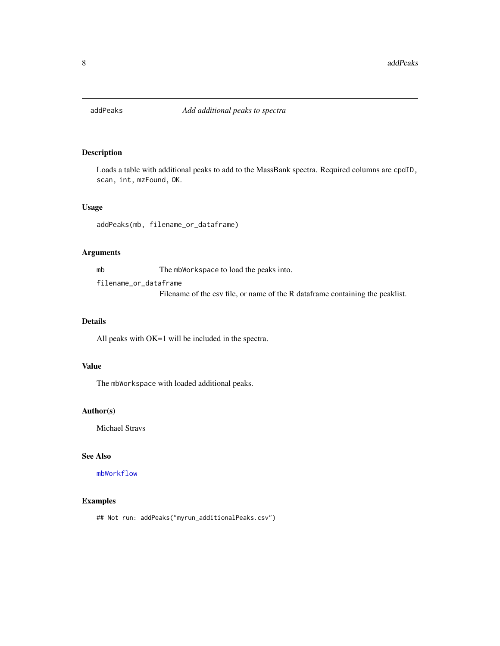<span id="page-7-1"></span><span id="page-7-0"></span>

Loads a table with additional peaks to add to the MassBank spectra. Required columns are cpdID, scan, int, mzFound, OK.

### Usage

addPeaks(mb, filename\_or\_dataframe)

#### Arguments

mb The mbWorkspace to load the peaks into.

filename\_or\_dataframe Filename of the csv file, or name of the R dataframe containing the peaklist.

### Details

All peaks with OK=1 will be included in the spectra.

### Value

The mbWorkspace with loaded additional peaks.

#### Author(s)

Michael Stravs

#### See Also

[mbWorkflow](#page-69-1)

### Examples

## Not run: addPeaks("myrun\_additionalPeaks.csv")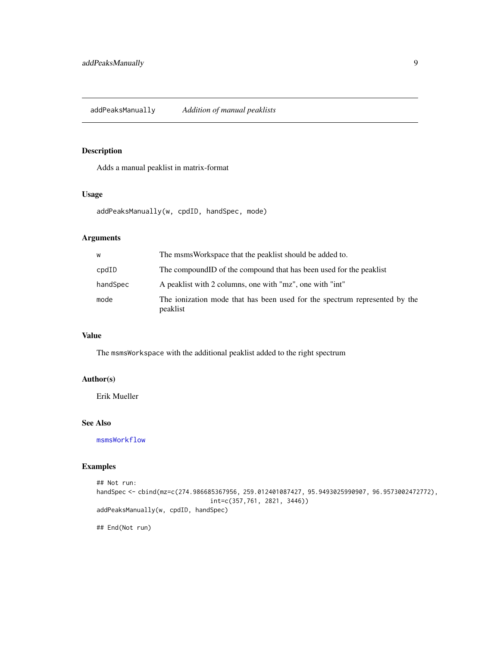<span id="page-8-1"></span><span id="page-8-0"></span>Adds a manual peaklist in matrix-format

#### Usage

addPeaksManually(w, cpdID, handSpec, mode)

### Arguments

| W              | The msms Workspace that the peaklist should be added to.                               |
|----------------|----------------------------------------------------------------------------------------|
| $\text{cpdID}$ | The compound ID of the compound that has been used for the peaklist                    |
| handSpec       | A peaklist with 2 columns, one with "mz", one with "int"                               |
| mode           | The ionization mode that has been used for the spectrum represented by the<br>peaklist |

#### Value

The msmsWorkspace with the additional peaklist added to the right spectrum

#### Author(s)

Erik Mueller

#### See Also

[msmsWorkflow](#page-77-1)

### Examples

```
## Not run:
handSpec <- cbind(mz=c(274.986685367956, 259.012401087427, 95.9493025990907, 96.9573002472772),
                               int=c(357,761, 2821, 3446))
addPeaksManually(w, cpdID, handSpec)
## End(Not run)
```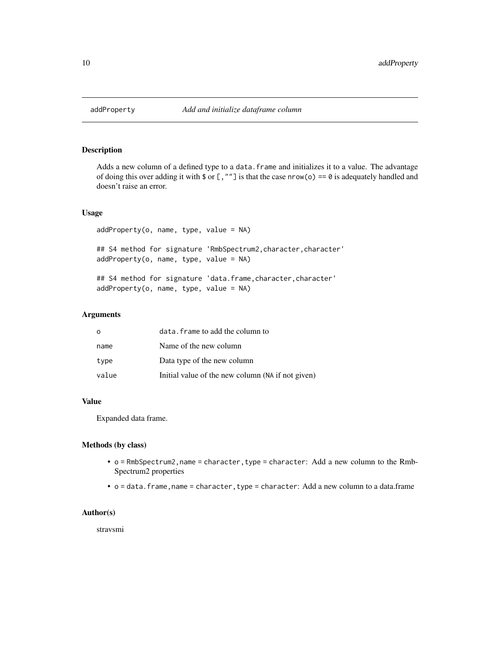<span id="page-9-0"></span>

Adds a new column of a defined type to a data. frame and initializes it to a value. The advantage of doing this over adding it with  $\text{\$ or }$  [, ""] is that the case nrow(o) == 0 is adequately handled and doesn't raise an error.

### Usage

```
addProperty(o, name, type, value = NA)
## S4 method for signature 'RmbSpectrum2, character, character'
addProperty(o, name, type, value = NA)
## S4 method for signature 'data.frame, character, character'
addProperty(o, name, type, value = NA)
```
### Arguments

| $\Omega$ | data. frame to add the column to                  |
|----------|---------------------------------------------------|
| name     | Name of the new column                            |
| type     | Data type of the new column                       |
| value    | Initial value of the new column (NA if not given) |

### Value

Expanded data frame.

#### Methods (by class)

- o = RmbSpectrum2,name = character,type = character: Add a new column to the Rmb-Spectrum2 properties
- o = data.frame, name = character, type = character: Add a new column to a data.frame

#### Author(s)

stravsmi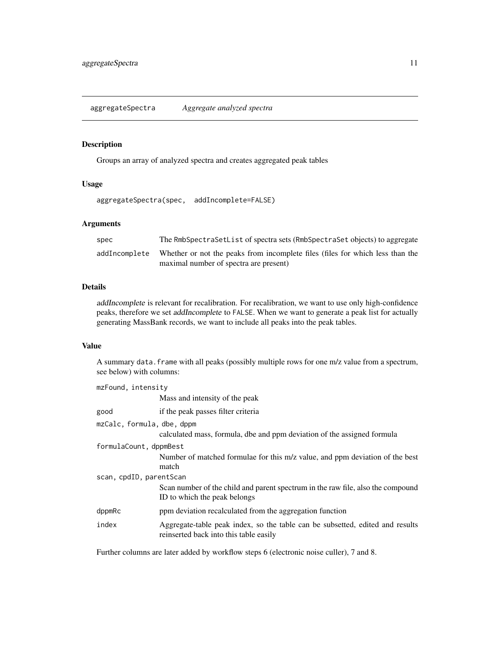<span id="page-10-1"></span><span id="page-10-0"></span>Groups an array of analyzed spectra and creates aggregated peak tables

### Usage

aggregateSpectra(spec, addIncomplete=FALSE)

### Arguments

| spec          | The RmbSpectraSetList of spectra sets (RmbSpectraSet objects) to aggregate                                              |
|---------------|-------------------------------------------------------------------------------------------------------------------------|
| addIncomplete | Whether or not the peaks from incomplete files (files for which less than the<br>maximal number of spectra are present) |

### Details

addIncomplete is relevant for recalibration. For recalibration, we want to use only high-confidence peaks, therefore we set addIncomplete to FALSE. When we want to generate a peak list for actually generating MassBank records, we want to include all peaks into the peak tables.

### Value

A summary data.frame with all peaks (possibly multiple rows for one m/z value from a spectrum, see below) with columns:

| mzFound, intensity         |                                                                                                                         |
|----------------------------|-------------------------------------------------------------------------------------------------------------------------|
|                            | Mass and intensity of the peak                                                                                          |
| good                       | if the peak passes filter criteria                                                                                      |
| mzCalc, formula, dbe, dppm |                                                                                                                         |
|                            | calculated mass, formula, dbe and ppm deviation of the assigned formula                                                 |
| formulaCount, dppmBest     |                                                                                                                         |
|                            | Number of matched formulae for this m/z value, and ppm deviation of the best                                            |
|                            | match                                                                                                                   |
| scan, cpdID, parentScan    |                                                                                                                         |
|                            | Scan number of the child and parent spectrum in the raw file, also the compound<br>ID to which the peak belongs         |
| dppmRc                     | ppm deviation recalculated from the aggregation function                                                                |
| index                      | Aggregate-table peak index, so the table can be subsetted, edited and results<br>reinserted back into this table easily |

Further columns are later added by workflow steps 6 (electronic noise culler), 7 and 8.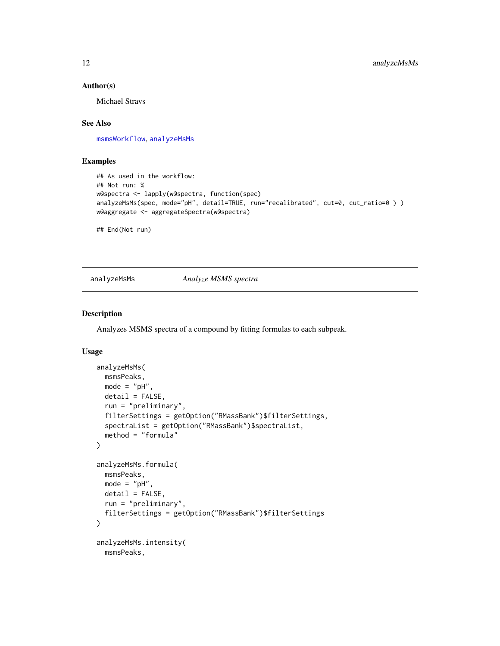#### <span id="page-11-0"></span>Author(s)

Michael Stravs

### See Also

[msmsWorkflow](#page-77-1), [analyzeMsMs](#page-11-1)

### Examples

```
## As used in the workflow:
## Not run: %
w@spectra <- lapply(w@spectra, function(spec)
analyzeMsMs(spec, mode="pH", detail=TRUE, run="recalibrated", cut=0, cut_ratio=0))
w@aggregate <- aggregateSpectra(w@spectra)
```
## End(Not run)

<span id="page-11-1"></span>analyzeMsMs *Analyze MSMS spectra*

### Description

Analyzes MSMS spectra of a compound by fitting formulas to each subpeak.

### Usage

```
analyzeMsMs(
 msmsPeaks,
 mode = "pH"delta1 = FALSE,run = "preliminary",
  filterSettings = getOption("RMassBank")$filterSettings,
  spectraList = getOption("RMassBank")$spectraList,
 method = "formula"
)
analyzeMsMs.formula(
 msmsPeaks,
 mode = "pH",
 detail = FALSE,
  run = "preliminary",
 filterSettings = getOption("RMassBank")$filterSettings
)
analyzeMsMs.intensity(
 msmsPeaks,
```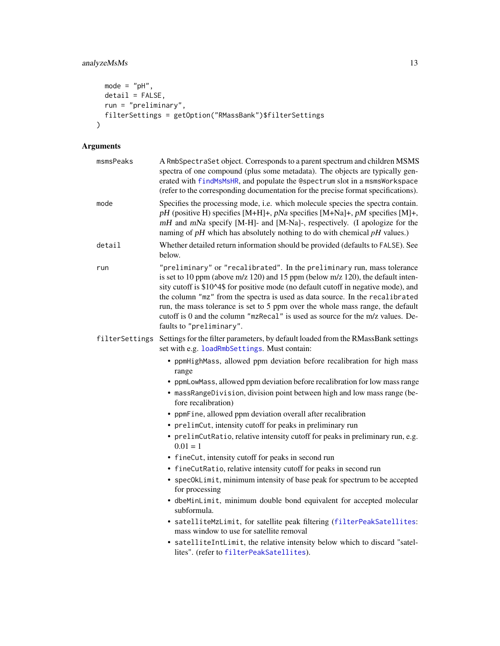```
mode = "pH",delta1 = FALSE,run = "preliminary",
 filterSettings = getOption("RMassBank")$filterSettings
\mathcal{L}
```
## Arguments

| msmsPeaks      | A RmbSpectraSet object. Corresponds to a parent spectrum and children MSMS<br>spectra of one compound (plus some metadata). The objects are typically gen-<br>erated with findMsMsHR, and populate the @spectrum slot in a msmsWorkspace<br>(refer to the corresponding documentation for the precise format specifications).                                                                                                                                                                                                                                                                                                                                                                                                                                                                                                                                                                                                                                                                                                                                       |
|----------------|---------------------------------------------------------------------------------------------------------------------------------------------------------------------------------------------------------------------------------------------------------------------------------------------------------------------------------------------------------------------------------------------------------------------------------------------------------------------------------------------------------------------------------------------------------------------------------------------------------------------------------------------------------------------------------------------------------------------------------------------------------------------------------------------------------------------------------------------------------------------------------------------------------------------------------------------------------------------------------------------------------------------------------------------------------------------|
| mode           | Specifies the processing mode, i.e. which molecule species the spectra contain.<br>$pH$ (positive H) specifies [M+H]+, $pNa$ specifies [M+Na]+, $pM$ specifies [M]+,<br>mH and mNa specify [M-H]- and [M-Na]-, respectively. (I apologize for the<br>naming of $pH$ which has absolutely nothing to do with chemical $pH$ values.)                                                                                                                                                                                                                                                                                                                                                                                                                                                                                                                                                                                                                                                                                                                                  |
| detail         | Whether detailed return information should be provided (defaults to FALSE). See<br>below.                                                                                                                                                                                                                                                                                                                                                                                                                                                                                                                                                                                                                                                                                                                                                                                                                                                                                                                                                                           |
| run            | "preliminary" or "recalibrated". In the preliminary run, mass tolerance<br>is set to 10 ppm (above m/z 120) and 15 ppm (below m/z 120), the default inten-<br>sity cutoff is \$10^4\$ for positive mode (no default cutoff in negative mode), and<br>the column "mz" from the spectra is used as data source. In the recalibrated<br>run, the mass tolerance is set to 5 ppm over the whole mass range, the default<br>cutoff is 0 and the column "mzRecal" is used as source for the m/z values. De-<br>faults to "preliminary".                                                                                                                                                                                                                                                                                                                                                                                                                                                                                                                                   |
| filterSettings | Settings for the filter parameters, by default loaded from the RMassBank settings<br>set with e.g. loadRmbSettings. Must contain:                                                                                                                                                                                                                                                                                                                                                                                                                                                                                                                                                                                                                                                                                                                                                                                                                                                                                                                                   |
|                | • ppmHighMass, allowed ppm deviation before recalibration for high mass<br>range<br>• ppmLowMass, allowed ppm deviation before recalibration for low mass range<br>• massRangeDivision, division point between high and low mass range (be-<br>fore recalibration)<br>• ppmFine, allowed ppm deviation overall after recalibration<br>• prelimCut, intensity cutoff for peaks in preliminary run<br>• prelimCutRatio, relative intensity cutoff for peaks in preliminary run, e.g.<br>$0.01 = 1$<br>• fineCut, intensity cutoff for peaks in second run<br>• fineCutRatio, relative intensity cutoff for peaks in second run<br>• spec0kLimit, minimum intensity of base peak for spectrum to be accepted<br>for processing<br>• dbeMinLimit, minimum double bond equivalent for accepted molecular<br>subformula.<br>• satelliteMzLimit, for satellite peak filtering (filterPeakSatellites:<br>mass window to use for satellite removal<br>• satelliteIntLimit, the relative intensity below which to discard "satel-<br>lites". (refer to filterPeakSatellites). |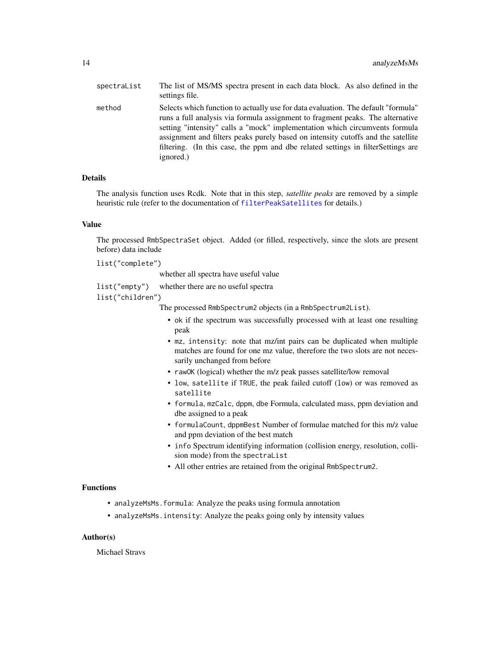| spectraList | The list of MS/MS spectra present in each data block. As also defined in the<br>settings file.                                                                                                                                                                                                                                                                                                                                           |
|-------------|------------------------------------------------------------------------------------------------------------------------------------------------------------------------------------------------------------------------------------------------------------------------------------------------------------------------------------------------------------------------------------------------------------------------------------------|
| method      | Selects which function to actually use for data evaluation. The default "formula"<br>runs a full analysis via formula assignment to fragment peaks. The alternative<br>setting "intensity" calls a "mock" implementation which circumvents formula<br>assignment and filters peaks purely based on intensity cutoffs and the satellite<br>filtering. (In this case, the ppm and dbe related settings in filter Settings are<br>ignored.) |

#### Details

The analysis function uses Rcdk. Note that in this step, *satellite peaks* are removed by a simple heuristic rule (refer to the documentation of [filterPeakSatellites](#page-33-1) for details.)

#### Value

The processed RmbSpectraSet object. Added (or filled, respectively, since the slots are present before) data include

list("complete")

whether all spectra have useful value

list("empty") whether there are no useful spectra

list("children")

The processed RmbSpectrum2 objects (in a RmbSpectrum2List).

- ok if the spectrum was successfully processed with at least one resulting peak
- mz, intensity: note that mz/int pairs can be duplicated when multiple matches are found for one mz value, therefore the two slots are not necessarily unchanged from before
- rawOK (logical) whether the m/z peak passes satellite/low removal
- low, satellite if TRUE, the peak failed cutoff (low) or was removed as satellite
- formula, mzCalc, dppm, dbe Formula, calculated mass, ppm deviation and dbe assigned to a peak
- formulaCount, dppmBest Number of formulae matched for this m/z value and ppm deviation of the best match
- info Spectrum identifying information (collision energy, resolution, collision mode) from the spectraList
- All other entries are retained from the original RmbSpectrum2.

### Functions

- analyzeMsMs.formula: Analyze the peaks using formula annotation
- analyzeMsMs.intensity: Analyze the peaks going only by intensity values

#### Author(s)

Michael Stravs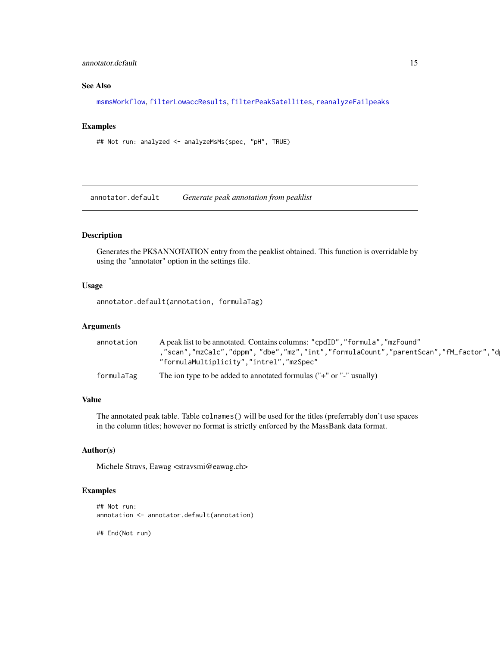#### <span id="page-14-0"></span>annotator.default 15

### See Also

[msmsWorkflow](#page-77-1), [filterLowaccResults](#page-31-1), [filterPeakSatellites](#page-33-1), [reanalyzeFailpeaks](#page-92-1)

### Examples

## Not run: analyzed <- analyzeMsMs(spec, "pH", TRUE)

annotator.default *Generate peak annotation from peaklist*

### Description

Generates the PK\$ANNOTATION entry from the peaklist obtained. This function is overridable by using the "annotator" option in the settings file.

#### Usage

```
annotator.default(annotation, formulaTag)
```
### Arguments

| annotation | A peak list to be annotated. Contains columns: "cpdID", "formula", "mzFound"        |
|------------|-------------------------------------------------------------------------------------|
|            | "scan","mzCalc","dppm", "dbe","mz","int","formulaCount","parentScan","fM_factor","d |
|            | "formulaMultiplicity"."intrel"."mzSpec"                                             |
| formulaTag | The ion type to be added to annotated formulas $("+" or "-" usually)$               |

### Value

The annotated peak table. Table colnames() will be used for the titles (preferrably don't use spaces in the column titles; however no format is strictly enforced by the MassBank data format.

#### Author(s)

Michele Stravs, Eawag <stravsmi@eawag.ch>

#### Examples

```
## Not run:
annotation <- annotator.default(annotation)
```
## End(Not run)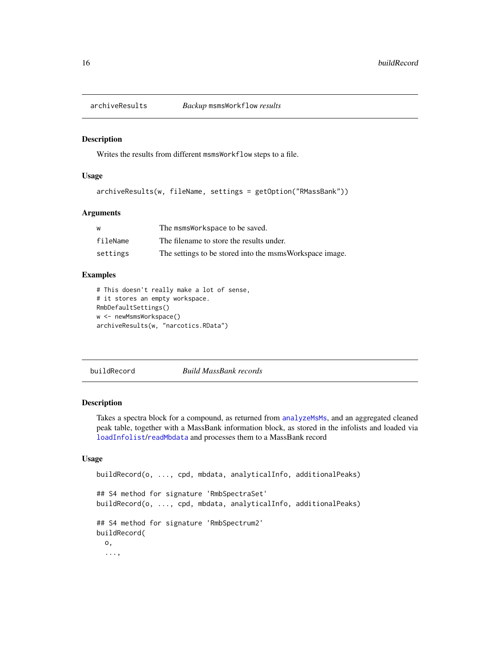<span id="page-15-0"></span>

Writes the results from different msmsWorkflow steps to a file.

#### Usage

archiveResults(w, fileName, settings = getOption("RMassBank"))

#### Arguments

| w        | The msmsWorkspace to be saved.                           |
|----------|----------------------------------------------------------|
| fileName | The filename to store the results under.                 |
| settings | The settings to be stored into the msms Workspace image. |

#### Examples

```
# This doesn't really make a lot of sense,
# it stores an empty workspace.
RmbDefaultSettings()
w <- newMsmsWorkspace()
archiveResults(w, "narcotics.RData")
```
<span id="page-15-1"></span>buildRecord *Build MassBank records*

### Description

Takes a spectra block for a compound, as returned from [analyzeMsMs](#page-11-1), and an aggregated cleaned peak table, together with a MassBank information block, as stored in the infolists and loaded via [loadInfolist](#page-64-1)/[readMbdata](#page-48-1) and processes them to a MassBank record

#### Usage

```
buildRecord(o, ..., cpd, mbdata, analyticalInfo, additionalPeaks)
## S4 method for signature 'RmbSpectraSet'
buildRecord(o, ..., cpd, mbdata, analyticalInfo, additionalPeaks)
## S4 method for signature 'RmbSpectrum2'
buildRecord(
 o,
  ...,
```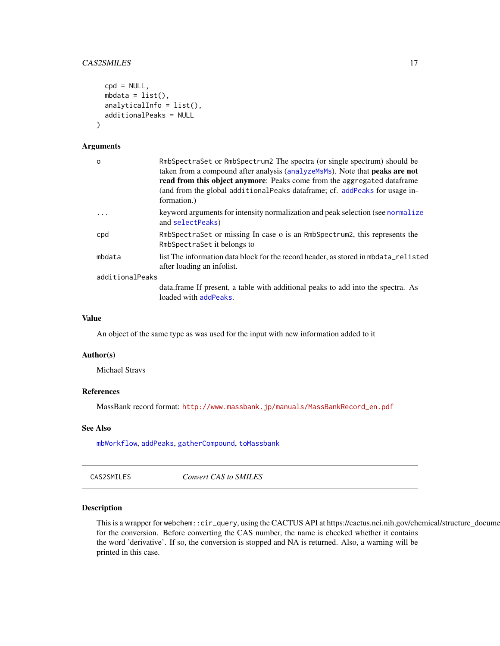### <span id="page-16-0"></span>CAS2SMILES 17

```
cpd = NULL,mbdata = list(),
 analyticalInfo = list(),
 additionalPeaks = NULL
)
```
#### Arguments

| $\Omega$        | RmbSpectraSet or RmbSpectrum2 The spectra (or single spectrum) should be<br>taken from a compound after analysis (analyzeMsMs). Note that peaks are not                 |
|-----------------|-------------------------------------------------------------------------------------------------------------------------------------------------------------------------|
|                 | read from this object anymore: Peaks come from the aggregated dataframe<br>(and from the global additional Peaks data frame; cf. add Peaks for usage in-<br>formation.) |
| $\ddots$ .      | keyword arguments for intensity normalization and peak selection (see normalize<br>and selectPeaks)                                                                     |
| cpd             | RmbSpectraSet or missing In case o is an RmbSpectrum2, this represents the<br>RmbSpectraSet it belongs to                                                               |
| mbdata          | list The information data block for the record header, as stored in mbdata_relisted<br>after loading an infolist.                                                       |
| additionalPeaks |                                                                                                                                                                         |
|                 | data. frame If present, a table with additional peaks to add into the spectra. As<br>loaded with addPeaks.                                                              |

#### Value

An object of the same type as was used for the input with new information added to it

#### Author(s)

Michael Stravs

#### References

MassBank record format: [http://www.massbank.jp/manuals/MassBankRecord\\_en.pdf](http://www.massbank.jp/manuals/MassBankRecord_en.pdf)

### See Also

[mbWorkflow](#page-69-1), [addPeaks](#page-7-1), [gatherCompound](#page-54-1), [toMassbank](#page-110-1)

CAS2SMILES *Convert CAS to SMILES*

#### Description

This is a wrapper for webchem: : cir\_query, using the CACTUS API at https://cactus.nci.nih.gov/chemical/structure\_docume for the conversion. Before converting the CAS number, the name is checked whether it contains the word 'derivative'. If so, the conversion is stopped and NA is returned. Also, a warning will be printed in this case.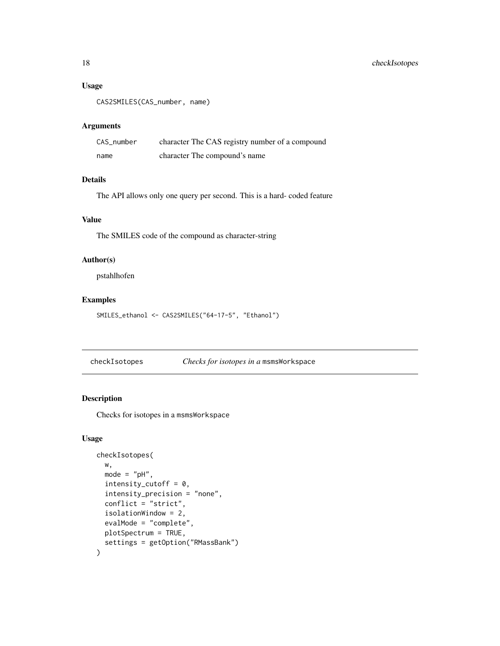### <span id="page-17-0"></span>Usage

```
CAS2SMILES(CAS_number, name)
```
### Arguments

| CAS number | character The CAS registry number of a compound |
|------------|-------------------------------------------------|
| name       | character The compound's name                   |

### Details

The API allows only one query per second. This is a hard- coded feature

### Value

The SMILES code of the compound as character-string

### Author(s)

pstahlhofen

### Examples

```
SMILES_ethanol <- CAS2SMILES("64-17-5", "Ethanol")
```
checkIsotopes *Checks for isotopes in a* msmsWorkspace

### Description

Checks for isotopes in a msmsWorkspace

### Usage

```
checkIsotopes(
  w,
 mode = "pH",
  intensity_cutoff = 0,
  intensity_precision = "none",
  conflict = "strict",
  isolationWindow = 2,
  evalMode = "complete",
 plotSpectrum = TRUE,
  settings = getOption("RMassBank")
\mathcal{E}
```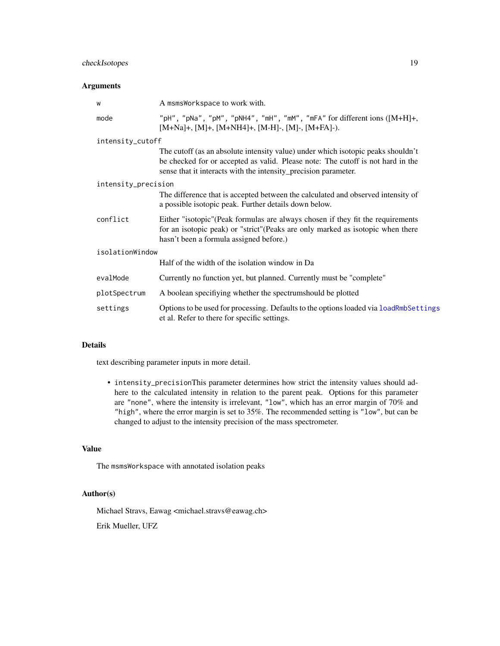#### Arguments

| W                   | A msmsWorkspace to work with.                                                                                                                                                                                                          |  |
|---------------------|----------------------------------------------------------------------------------------------------------------------------------------------------------------------------------------------------------------------------------------|--|
| mode                | "pH", "pNa", "pM", "pNH4", "mH", "mM", "mFA" for different ions ([M+H]+,<br>$[M+Na]+$ , $[M]+$ , $[M+NH4]+$ , $[M-H]$ -, $[M]$ -, $[M+FA]$ -).                                                                                         |  |
| intensity_cutoff    |                                                                                                                                                                                                                                        |  |
|                     | The cutoff (as an absolute intensity value) under which isotopic peaks shouldn't<br>be checked for or accepted as valid. Please note: The cutoff is not hard in the<br>sense that it interacts with the intensity_precision parameter. |  |
| intensity_precision |                                                                                                                                                                                                                                        |  |
|                     | The difference that is accepted between the calculated and observed intensity of<br>a possible isotopic peak. Further details down below.                                                                                              |  |
| conflict            | Either "isotopic" (Peak formulas are always chosen if they fit the requirements<br>for an isotopic peak) or "strict" (Peaks are only marked as isotopic when there<br>hasn't been a formula assigned before.)                          |  |
| isolationWindow     |                                                                                                                                                                                                                                        |  |
|                     | Half of the width of the isolation window in Da                                                                                                                                                                                        |  |
| evalMode            | Currently no function yet, but planned. Currently must be "complete"                                                                                                                                                                   |  |
| plotSpectrum        | A boolean specifiying whether the spectrumshould be plotted                                                                                                                                                                            |  |
| settings            | Options to be used for processing. Defaults to the options loaded via loadRmbSettings<br>et al. Refer to there for specific settings.                                                                                                  |  |

### Details

text describing parameter inputs in more detail.

• intensity\_precisionThis parameter determines how strict the intensity values should adhere to the calculated intensity in relation to the parent peak. Options for this parameter are "none", where the intensity is irrelevant, "low", which has an error margin of 70% and "high", where the error margin is set to 35%. The recommended setting is "low", but can be changed to adjust to the intensity precision of the mass spectrometer.

### Value

The msmsWorkspace with annotated isolation peaks

### Author(s)

Michael Stravs, Eawag <michael.stravs@eawag.ch>

Erik Mueller, UFZ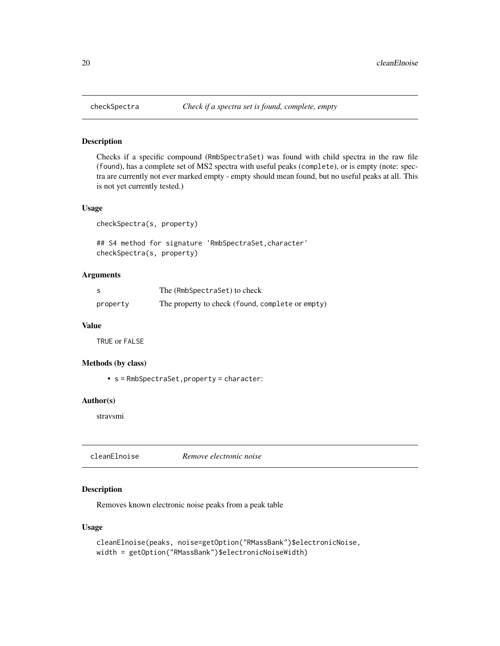<span id="page-19-0"></span>

Checks if a specific compound (RmbSpectraSet) was found with child spectra in the raw file (found), has a complete set of MS2 spectra with useful peaks (complete), or is empty (note: spectra are currently not ever marked empty - empty should mean found, but no useful peaks at all. This is not yet currently tested.)

#### Usage

```
checkSpectra(s, property)
```
## S4 method for signature 'RmbSpectraSet, character' checkSpectra(s, property)

#### Arguments

|          | The (RmbSpectraSet) to check                     |
|----------|--------------------------------------------------|
| property | The property to check (found, complete or empty) |

#### Value

TRUE or FALSE

#### Methods (by class)

• s = RmbSpectraSet,property = character:

### Author(s)

stravsmi

cleanElnoise *Remove electronic noise*

### Description

Removes known electronic noise peaks from a peak table

#### Usage

```
cleanElnoise(peaks, noise=getOption("RMassBank")$electronicNoise,
width = getOption("RMassBank")$electronicNoiseWidth)
```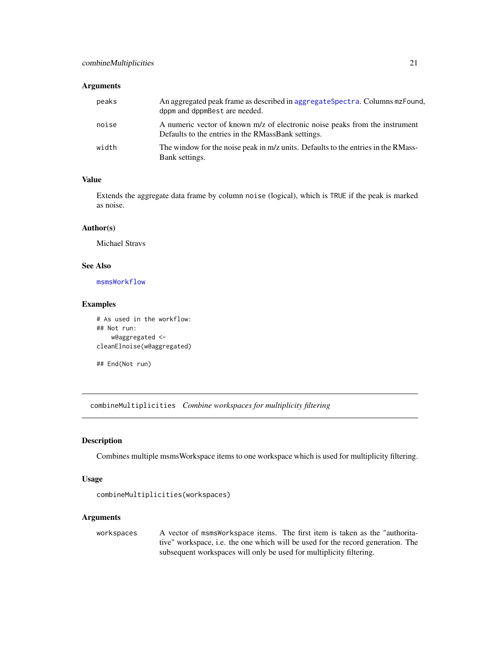### <span id="page-20-0"></span>Arguments

| peaks | An aggregated peak frame as described in aggregateSpectra. Columns mzFound,<br>dppm and dppmBest are needed.                      |
|-------|-----------------------------------------------------------------------------------------------------------------------------------|
| noise | A numeric vector of known m/z of electronic noise peaks from the instrument<br>Defaults to the entries in the RMassBank settings. |
| width | The window for the noise peak in m/z units. Defaults to the entries in the RMass-<br>Bank settings.                               |

### Value

Extends the aggregate data frame by column noise (logical), which is TRUE if the peak is marked as noise.

### Author(s)

Michael Stravs

### See Also

[msmsWorkflow](#page-77-1)

#### Examples

```
# As used in the workflow:
## Not run:
   w@aggregated <-
cleanElnoise(w@aggregated)
```
## End(Not run)

combineMultiplicities *Combine workspaces for multiplicity filtering*

### Description

Combines multiple msmsWorkspace items to one workspace which is used for multiplicity filtering.

#### Usage

```
combineMultiplicities(workspaces)
```
#### Arguments

workspaces A vector of msmsWorkspace items. The first item is taken as the "authoritative" workspace, i.e. the one which will be used for the record generation. The subsequent workspaces will only be used for multiplicity filtering.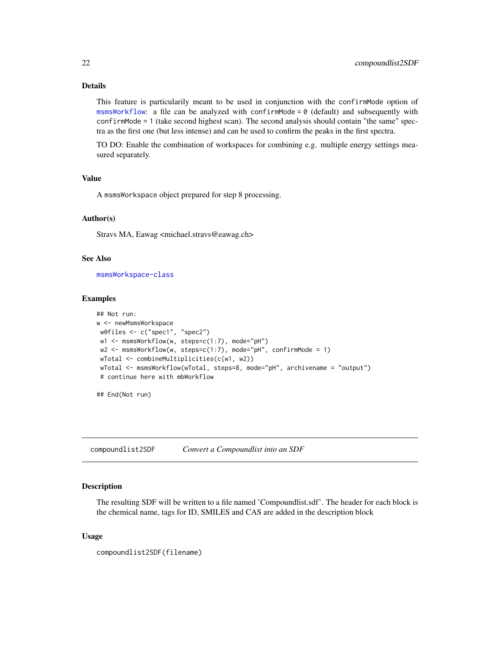### <span id="page-21-0"></span>Details

This feature is particularily meant to be used in conjunction with the confirmMode option of [msmsWorkflow](#page-77-1): a file can be analyzed with confirmMode = 0 (default) and subsequently with confirmMode = 1 (take second highest scan). The second analysis should contain "the same" spectra as the first one (but less intense) and can be used to confirm the peaks in the first spectra.

TO DO: Enable the combination of workspaces for combining e.g. multiple energy settings measured separately.

### Value

A msmsWorkspace object prepared for step 8 processing.

#### Author(s)

Stravs MA, Eawag <michael.stravs@eawag.ch>

#### See Also

[msmsWorkspace-class](#page-78-1)

#### Examples

```
## Not run:
w <- newMsmsWorkspace
w@files <- c("spec1", "spec2")
w1 <- msmsWorkflow(w, steps=c(1:7), mode="pH")
w2 <- msmsWorkflow(w, steps=c(1:7), mode="pH", confirmMode = 1)
wTotal <- combineMultiplicities(c(w1, w2))
wTotal <- msmsWorkflow(wTotal, steps=8, mode="pH", archivename = "output")
 # continue here with mbWorkflow
```
## End(Not run)

compoundlist2SDF *Convert a Compoundlist into an SDF*

#### Description

The resulting SDF will be written to a file named 'Compoundlist.sdf'. The header for each block is the chemical name, tags for ID, SMILES and CAS are added in the description block

#### Usage

compoundlist2SDF(filename)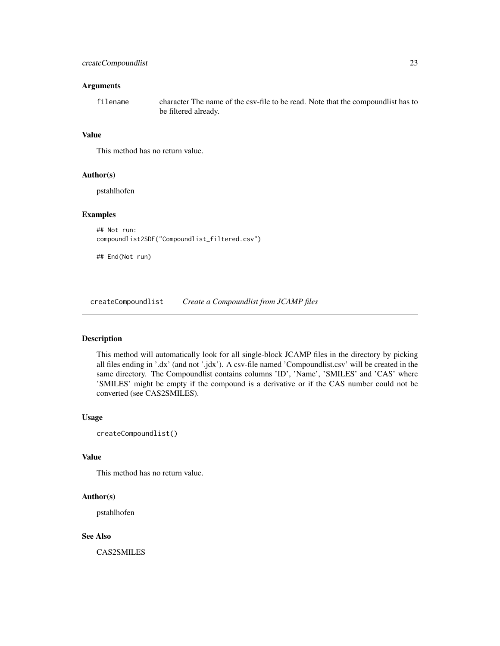### <span id="page-22-0"></span>Arguments

filename character The name of the csv-file to be read. Note that the compoundlist has to be filtered already.

### Value

This method has no return value.

### Author(s)

pstahlhofen

### Examples

```
## Not run:
compoundlist2SDF("Compoundlist_filtered.csv")
```
## End(Not run)

createCompoundlist *Create a Compoundlist from JCAMP files*

#### Description

This method will automatically look for all single-block JCAMP files in the directory by picking all files ending in '.dx' (and not '.jdx'). A csv-file named 'Compoundlist.csv' will be created in the same directory. The Compoundlist contains columns 'ID', 'Name', 'SMILES' and 'CAS' where 'SMILES' might be empty if the compound is a derivative or if the CAS number could not be converted (see CAS2SMILES).

### Usage

createCompoundlist()

#### Value

This method has no return value.

#### Author(s)

pstahlhofen

#### See Also

CAS2SMILES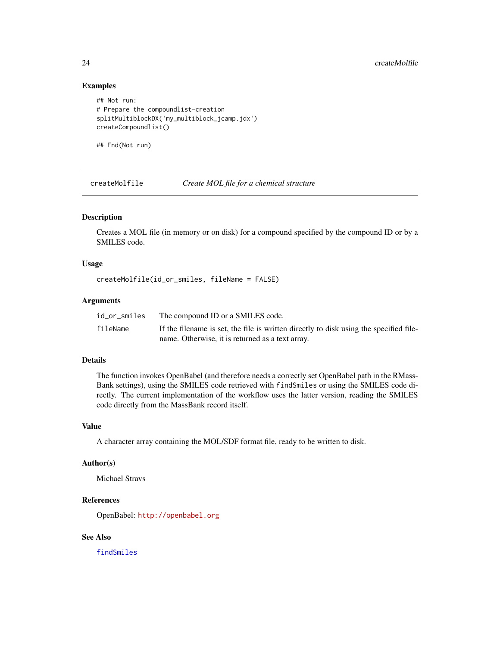#### Examples

```
## Not run:
# Prepare the compoundlist-creation
splitMultiblockDX('my_multiblock_jcamp.jdx')
createCompoundlist()
```
## End(Not run)

<span id="page-23-1"></span>createMolfile *Create MOL file for a chemical structure*

#### Description

Creates a MOL file (in memory or on disk) for a compound specified by the compound ID or by a SMILES code.

#### Usage

```
createMolfile(id_or_smiles, fileName = FALSE)
```
### Arguments

| id_or_smiles | The compound ID or a SMILES code.                                                      |
|--------------|----------------------------------------------------------------------------------------|
| fileName     | If the filename is set, the file is written directly to disk using the specified file- |
|              | name. Otherwise, it is returned as a text array.                                       |

### Details

The function invokes OpenBabel (and therefore needs a correctly set OpenBabel path in the RMass-Bank settings), using the SMILES code retrieved with findSmiles or using the SMILES code directly. The current implementation of the workflow uses the latter version, reading the SMILES code directly from the MassBank record itself.

#### Value

A character array containing the MOL/SDF format file, ready to be written to disk.

#### Author(s)

Michael Stravs

### References

OpenBabel: <http://openbabel.org>

### See Also

[findSmiles](#page-45-1)

<span id="page-23-0"></span>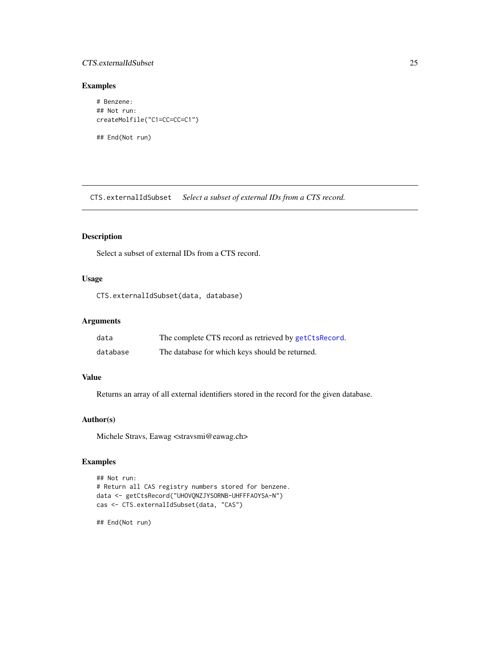### <span id="page-24-0"></span>CTS.externalIdSubset 25

### Examples

# Benzene: ## Not run: createMolfile("C1=CC=CC=C1")

## End(Not run)

CTS.externalIdSubset *Select a subset of external IDs from a CTS record.*

### Description

Select a subset of external IDs from a CTS record.

### Usage

CTS.externalIdSubset(data, database)

### Arguments

| data     | The complete CTS record as retrieved by getCtsRecord. |
|----------|-------------------------------------------------------|
| database | The database for which keys should be returned.       |

### Value

Returns an array of all external identifiers stored in the record for the given database.

### Author(s)

Michele Stravs, Eawag <stravsmi@eawag.ch>

### Examples

```
## Not run:
# Return all CAS registry numbers stored for benzene.
data <- getCtsRecord("UHOVQNZJYSORNB-UHFFFAOYSA-N")
cas <- CTS.externalIdSubset(data, "CAS")
```
## End(Not run)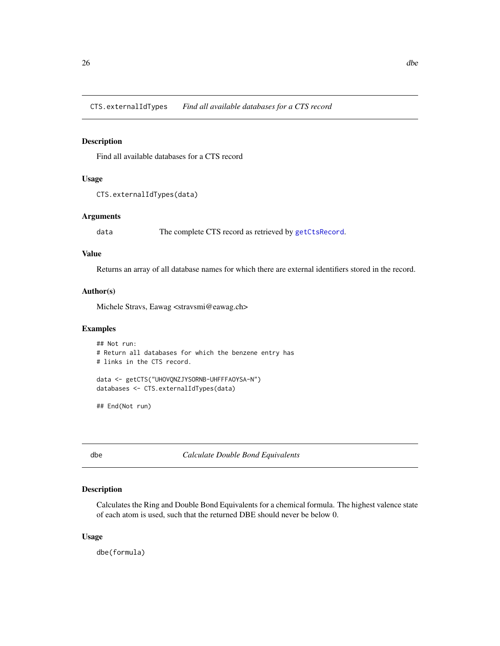<span id="page-25-0"></span>CTS.externalIdTypes *Find all available databases for a CTS record*

### Description

Find all available databases for a CTS record

### Usage

```
CTS.externalIdTypes(data)
```
### Arguments

data The complete CTS record as retrieved by [getCtsRecord](#page-59-1).

#### Value

Returns an array of all database names for which there are external identifiers stored in the record.

### Author(s)

Michele Stravs, Eawag <stravsmi@eawag.ch>

#### Examples

```
## Not run:
# Return all databases for which the benzene entry has
# links in the CTS record.
data <- getCTS("UHOVQNZJYSORNB-UHFFFAOYSA-N")
databases <- CTS.externalIdTypes(data)
```
## End(Not run)

dbe *Calculate Double Bond Equivalents*

### Description

Calculates the Ring and Double Bond Equivalents for a chemical formula. The highest valence state of each atom is used, such that the returned DBE should never be below 0.

#### Usage

dbe(formula)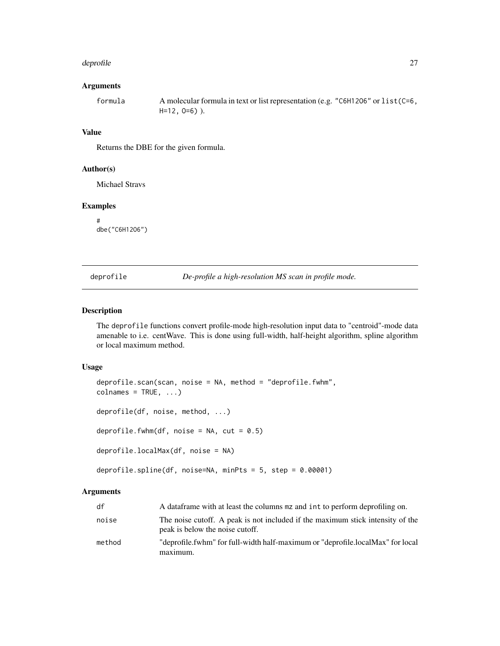#### <span id="page-26-0"></span>deprofile 27

### Arguments

| formula | A molecular formula in text or list representation (e.g. "C6H1206" or $list$ (C=6, |
|---------|------------------------------------------------------------------------------------|
|         | $H=12, 0=6)$ ).                                                                    |

### Value

Returns the DBE for the given formula.

#### Author(s)

Michael Stravs

### Examples

# dbe("C6H12O6")

deprofile *De-profile a high-resolution MS scan in profile mode.*

### Description

The deprofile functions convert profile-mode high-resolution input data to "centroid"-mode data amenable to i.e. centWave. This is done using full-width, half-height algorithm, spline algorithm or local maximum method.

#### Usage

```
deprofile.scan(scan, noise = NA, method = "deprofile.fwhm",
colnames = TRUE, ...)deprofile(df, noise, method, ...)
deprofile.fwhm(df, noise = NA, cut = 0.5)
deprofile.localMax(df, noise = NA)
deprofile.spline(df, noise=NA, minPts = 5, step = 0.00001)
```
### Arguments

| df     | A data frame with at least the columns mz and int to perform deprofiling on.                                      |
|--------|-------------------------------------------------------------------------------------------------------------------|
| noise  | The noise cutoff. A peak is not included if the maximum stick intensity of the<br>peak is below the noise cutoff. |
| method | "deprofile.fwhm" for full-width half-maximum or "deprofile.localMax" for local<br>maximum.                        |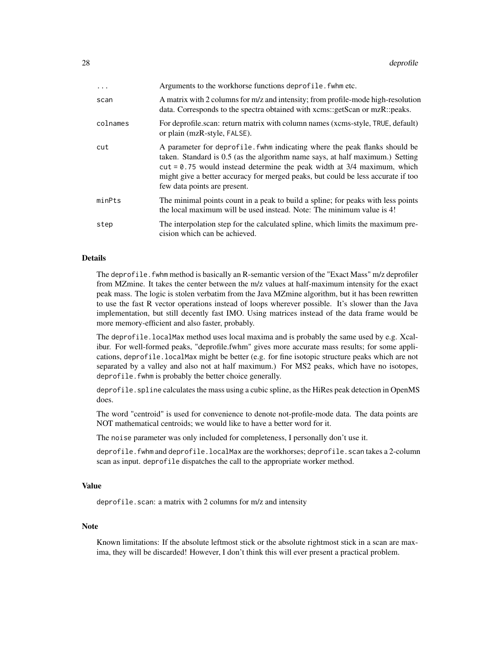| $\ddots$ | Arguments to the workhorse functions deprofile. fwhm etc.                                                                                                                                                                                                                                                                                                      |
|----------|----------------------------------------------------------------------------------------------------------------------------------------------------------------------------------------------------------------------------------------------------------------------------------------------------------------------------------------------------------------|
| scan     | A matrix with 2 columns for m/z and intensity; from profile-mode high-resolution<br>data. Corresponds to the spectra obtained with xcms::getScan or mzR::peaks.                                                                                                                                                                                                |
| colnames | For deprofile scan: return matrix with column names (xcms-style, TRUE, default)<br>or plain (mzR-style, FALSE).                                                                                                                                                                                                                                                |
| cut      | A parameter for deprofile. fwhm indicating where the peak flanks should be<br>taken. Standard is 0.5 (as the algorithm name says, at half maximum.) Setting<br>$cut = 0.75$ would instead determine the peak width at $3/4$ maximum, which<br>might give a better accuracy for merged peaks, but could be less accurate if too<br>few data points are present. |
| minPts   | The minimal points count in a peak to build a spline; for peaks with less points<br>the local maximum will be used instead. Note: The minimum value is 4!                                                                                                                                                                                                      |
| step     | The interpolation step for the calculated spline, which limits the maximum pre-<br>cision which can be achieved.                                                                                                                                                                                                                                               |

#### Details

The deprofile. fwhm method is basically an R-semantic version of the "Exact Mass" m/z deprofiler from MZmine. It takes the center between the m/z values at half-maximum intensity for the exact peak mass. The logic is stolen verbatim from the Java MZmine algorithm, but it has been rewritten to use the fast R vector operations instead of loops wherever possible. It's slower than the Java implementation, but still decently fast IMO. Using matrices instead of the data frame would be more memory-efficient and also faster, probably.

The deprofile.localMax method uses local maxima and is probably the same used by e.g. Xcalibur. For well-formed peaks, "deprofile.fwhm" gives more accurate mass results; for some applications, deprofile.localMax might be better (e.g. for fine isotopic structure peaks which are not separated by a valley and also not at half maximum.) For MS2 peaks, which have no isotopes, deprofile. fwhm is probably the better choice generally.

deprofile. spline calculates the mass using a cubic spline, as the HiRes peak detection in OpenMS does.

The word "centroid" is used for convenience to denote not-profile-mode data. The data points are NOT mathematical centroids; we would like to have a better word for it.

The noise parameter was only included for completeness, I personally don't use it.

deprofile.fwhm and deprofile.localMax are the workhorses; deprofile.scan takes a 2-column scan as input. deprofile dispatches the call to the appropriate worker method.

### Value

deprofile.scan: a matrix with 2 columns for m/z and intensity

#### Note

Known limitations: If the absolute leftmost stick or the absolute rightmost stick in a scan are maxima, they will be discarded! However, I don't think this will ever present a practical problem.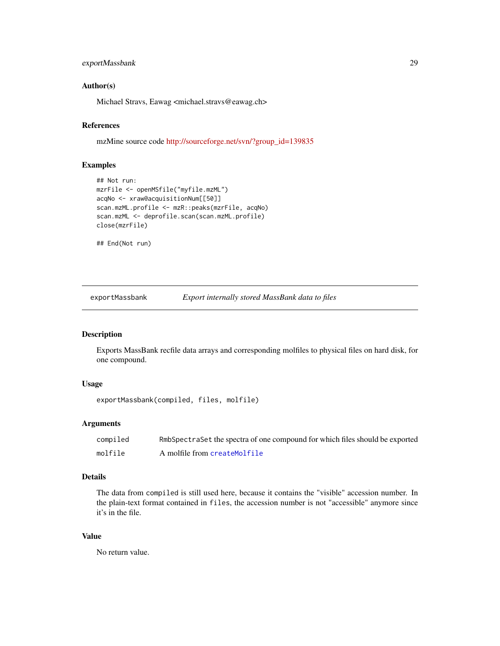### <span id="page-28-0"></span>exportMassbank 29

#### Author(s)

Michael Stravs, Eawag <michael.stravs@eawag.ch>

### References

mzMine source code [http://sourceforge.net/svn/?group\\_id=139835](http://sourceforge.net/svn/?group_id=139835)

#### Examples

```
## Not run:
mzrFile <- openMSfile("myfile.mzML")
acqNo <- xraw@acquisitionNum[[50]]
scan.mzML.profile <- mzR::peaks(mzrFile, acqNo)
scan.mzML <- deprofile.scan(scan.mzML.profile)
close(mzrFile)
```
## End(Not run)

exportMassbank *Export internally stored MassBank data to files*

### Description

Exports MassBank recfile data arrays and corresponding molfiles to physical files on hard disk, for one compound.

#### Usage

```
exportMassbank(compiled, files, molfile)
```
### Arguments

| compiled | RmbSpectraset the spectra of one compound for which files should be exported |
|----------|------------------------------------------------------------------------------|
| molfile  | A molfile from createMolfile                                                 |

#### Details

The data from compiled is still used here, because it contains the "visible" accession number. In the plain-text format contained in files, the accession number is not "accessible" anymore since it's in the file.

#### Value

No return value.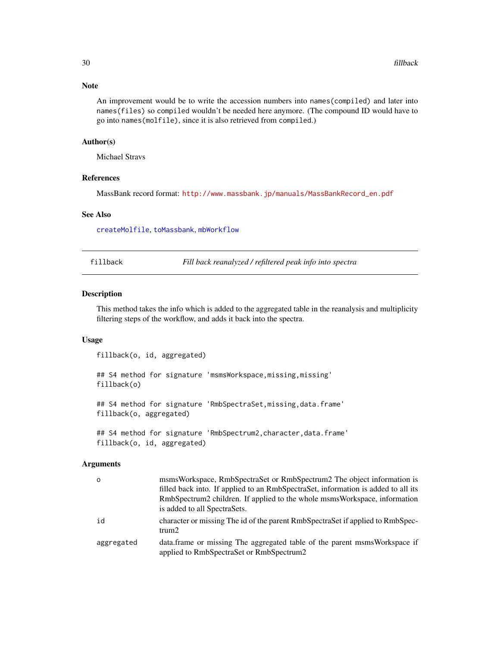#### <span id="page-29-0"></span>Note

An improvement would be to write the accession numbers into names(compiled) and later into names(files) so compiled wouldn't be needed here anymore. (The compound ID would have to go into names(molfile), since it is also retrieved from compiled.)

#### Author(s)

Michael Stravs

### References

MassBank record format: [http://www.massbank.jp/manuals/MassBankRecord\\_en.pdf](http://www.massbank.jp/manuals/MassBankRecord_en.pdf)

### See Also

[createMolfile](#page-23-1), [toMassbank](#page-110-1), [mbWorkflow](#page-69-1)

fillback *Fill back reanalyzed / refiltered peak info into spectra*

#### Description

This method takes the info which is added to the aggregated table in the reanalysis and multiplicity filtering steps of the workflow, and adds it back into the spectra.

#### Usage

fillback(o, id, aggregated)

```
## S4 method for signature 'msmsWorkspace,missing,missing'
fillback(o)
```
## S4 method for signature 'RmbSpectraSet, missing, data.frame' fillback(o, aggregated)

```
## S4 method for signature 'RmbSpectrum2, character, data.frame'
fillback(o, id, aggregated)
```
#### Arguments

| O          | msmsWorkspace, RmbSpectraSet or RmbSpectrum2 The object information is                                                |
|------------|-----------------------------------------------------------------------------------------------------------------------|
|            | filled back into. If applied to an RmbSpectraSet, information is added to all its                                     |
|            | RmbSpectrum2 children. If applied to the whole msmsWorkspace, information                                             |
|            | is added to all SpectraSets.                                                                                          |
| id         | character or missing The id of the parent RmbSpectraSet if applied to RmbSpec-<br>trum <sub>2</sub>                   |
| aggregated | data.frame or missing The aggregated table of the parent msmsWorkspace if<br>applied to RmbSpectraSet or RmbSpectrum2 |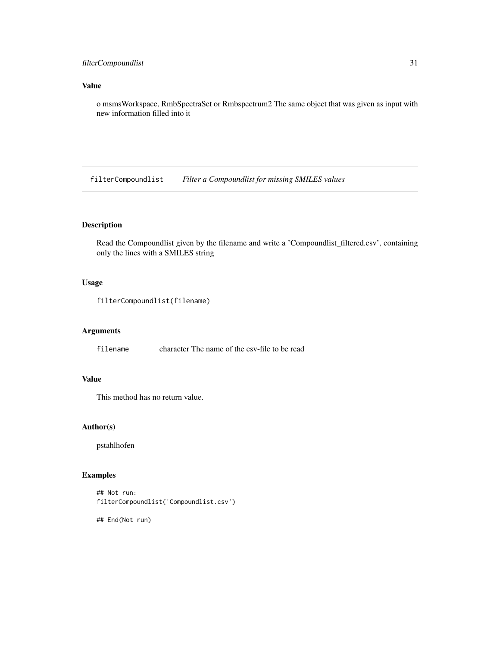### <span id="page-30-0"></span>Value

o msmsWorkspace, RmbSpectraSet or Rmbspectrum2 The same object that was given as input with new information filled into it

filterCompoundlist *Filter a Compoundlist for missing SMILES values*

### Description

Read the Compoundlist given by the filename and write a 'Compoundlist\_filtered.csv', containing only the lines with a SMILES string

### Usage

filterCompoundlist(filename)

### Arguments

filename character The name of the csv-file to be read

### Value

This method has no return value.

### Author(s)

pstahlhofen

### Examples

```
## Not run:
filterCompoundlist('Compoundlist.csv')
```
## End(Not run)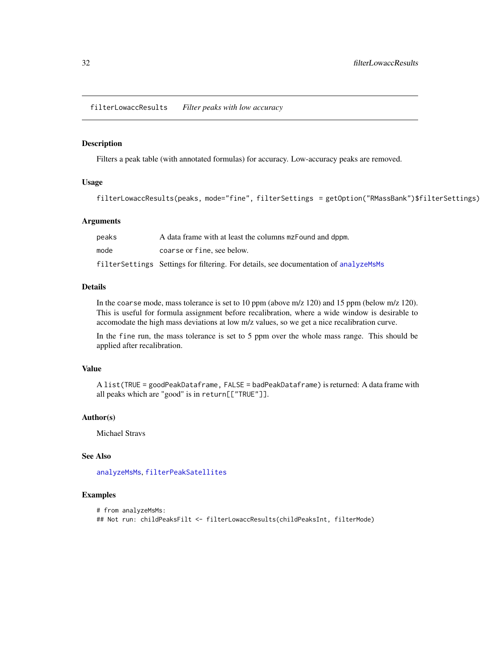<span id="page-31-1"></span><span id="page-31-0"></span>filterLowaccResults *Filter peaks with low accuracy*

### Description

Filters a peak table (with annotated formulas) for accuracy. Low-accuracy peaks are removed.

#### Usage

```
filterLowaccResults(peaks, mode="fine", filterSettings = getOption("RMassBank")$filterSettings)
```
#### Arguments

| peaks | A data frame with at least the columns mzFound and dppm.                              |
|-------|---------------------------------------------------------------------------------------|
| mode  | coarse or fine, see below.                                                            |
|       | filter Settings Settings for filtering. For details, see documentation of analyzeMsMs |

### Details

In the coarse mode, mass tolerance is set to 10 ppm (above m/z 120) and 15 ppm (below m/z 120). This is useful for formula assignment before recalibration, where a wide window is desirable to accomodate the high mass deviations at low m/z values, so we get a nice recalibration curve.

In the fine run, the mass tolerance is set to 5 ppm over the whole mass range. This should be applied after recalibration.

### Value

A list(TRUE = goodPeakDataframe, FALSE = badPeakDataframe) is returned: A data frame with all peaks which are "good" is in return[["TRUE"]].

#### Author(s)

Michael Stravs

#### See Also

[analyzeMsMs](#page-11-1), [filterPeakSatellites](#page-33-1)

#### Examples

```
# from analyzeMsMs:
## Not run: childPeaksFilt <- filterLowaccResults(childPeaksInt, filterMode)
```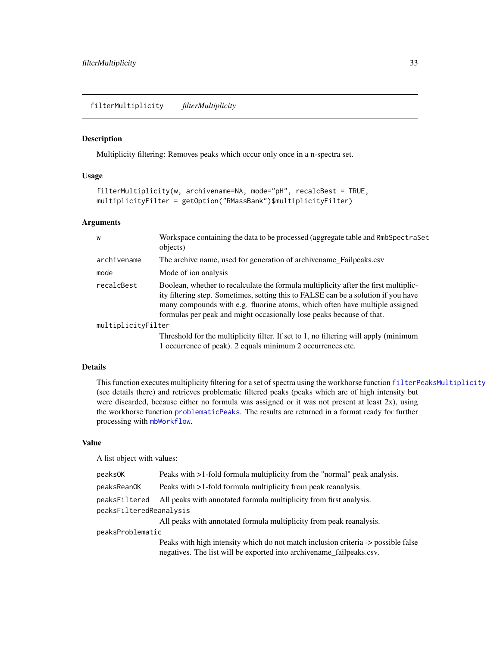<span id="page-32-0"></span>Multiplicity filtering: Removes peaks which occur only once in a n-spectra set.

### Usage

```
filterMultiplicity(w, archivename=NA, mode="pH", recalcBest = TRUE,
multiplicityFilter = getOption("RMassBank")$multiplicityFilter)
```
### Arguments

| W                  | Workspace containing the data to be processed (aggregate table and RmbSpectraSet<br>objects)                                                                                                                                                                                                                                     |
|--------------------|----------------------------------------------------------------------------------------------------------------------------------------------------------------------------------------------------------------------------------------------------------------------------------------------------------------------------------|
| archivename        | The archive name, used for generation of archivename_Failpeaks.csv                                                                                                                                                                                                                                                               |
| mode               | Mode of ion analysis                                                                                                                                                                                                                                                                                                             |
| recalcBest         | Boolean, whether to recalculate the formula multiplicity after the first multiplic-<br>ity filtering step. Sometimes, setting this to FALSE can be a solution if you have<br>many compounds with e.g. fluorine atoms, which often have multiple assigned<br>formulas per peak and might occasionally lose peaks because of that. |
| multiplicityFilter |                                                                                                                                                                                                                                                                                                                                  |
|                    | Threshold for the multiplicity filter. If set to 1, no filtering will apply (minimum<br>1 occurrence of peak). 2 equals minimum 2 occurrences etc.                                                                                                                                                                               |

#### Details

This function executes multiplicity filtering for a set of spectra using the workhorse function [filterPeaksMultiplicity](#page-34-1) (see details there) and retrieves problematic filtered peaks (peaks which are of high intensity but were discarded, because either no formula was assigned or it was not present at least  $2x$ ), using the workhorse function [problematicPeaks](#page-88-1). The results are returned in a format ready for further processing with [mbWorkflow](#page-69-1).

### Value

A list object with values:

| peaks0K                 | Peaks with >1-fold formula multiplicity from the "normal" peak analysis.                                                                                  |  |
|-------------------------|-----------------------------------------------------------------------------------------------------------------------------------------------------------|--|
| peaksReanOK             | Peaks with >1-fold formula multiplicity from peak reanalysis.                                                                                             |  |
| peaksFiltered           | All peaks with annotated formula multiplicity from first analysis.                                                                                        |  |
| peaksFilteredReanalysis |                                                                                                                                                           |  |
|                         | All peaks with annotated formula multiplicity from peak reanalysis.                                                                                       |  |
| peaksProblematic        |                                                                                                                                                           |  |
|                         | Peaks with high intensity which do not match inclusion criteria -> possible false<br>negatives. The list will be exported into archivename_failpeaks.csv. |  |
|                         |                                                                                                                                                           |  |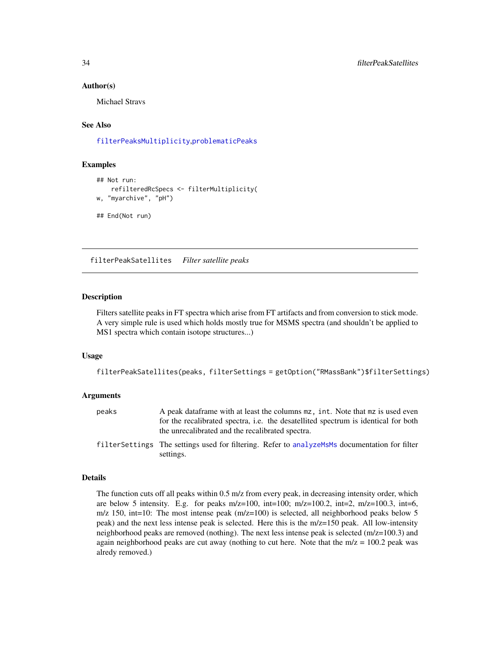#### Author(s)

Michael Stravs

### See Also

[filterPeaksMultiplicity](#page-34-1),[problematicPeaks](#page-88-1)

#### Examples

```
## Not run:
    refilteredRcSpecs <- filterMultiplicity(
w, "myarchive", "pH")
```
## End(Not run)

<span id="page-33-1"></span>filterPeakSatellites *Filter satellite peaks*

#### **Description**

Filters satellite peaks in FT spectra which arise from FT artifacts and from conversion to stick mode. A very simple rule is used which holds mostly true for MSMS spectra (and shouldn't be applied to MS1 spectra which contain isotope structures...)

#### Usage

```
filterPeakSatellites(peaks, filterSettings = getOption("RMassBank")$filterSettings)
```
#### Arguments

| peaks | A peak data frame with at least the columns mz, int. Note that mz is used even                             |
|-------|------------------------------------------------------------------------------------------------------------|
|       | for the recalibrated spectra, <i>i.e.</i> the desatellited spectrum is identical for both                  |
|       | the unrecalibrated and the recalibrated spectra.                                                           |
|       | filterSettings The settings used for filtering. Refer to analyzeMsMs documentation for filter<br>settings. |

#### Details

The function cuts off all peaks within 0.5 m/z from every peak, in decreasing intensity order, which are below 5 intensity. E.g. for peaks  $m/z=100$ ,  $int=100$ ;  $m/z=100.2$ ,  $int=2$ ,  $m/z=100.3$ ,  $int=6$ , m/z 150, int=10: The most intense peak  $(m/z=100)$  is selected, all neighborhood peaks below 5 peak) and the next less intense peak is selected. Here this is the m/z=150 peak. All low-intensity neighborhood peaks are removed (nothing). The next less intense peak is selected (m/z=100.3) and again neighborhood peaks are cut away (nothing to cut here. Note that the  $m/z = 100.2$  peak was alredy removed.)

<span id="page-33-0"></span>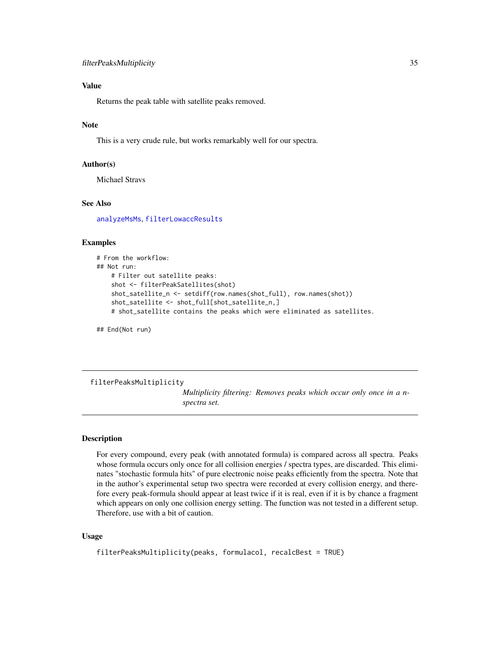### <span id="page-34-0"></span>Value

Returns the peak table with satellite peaks removed.

#### **Note**

This is a very crude rule, but works remarkably well for our spectra.

#### Author(s)

Michael Stravs

### See Also

[analyzeMsMs](#page-11-1), [filterLowaccResults](#page-31-1)

#### Examples

```
# From the workflow:
## Not run:
   # Filter out satellite peaks:
    shot <- filterPeakSatellites(shot)
    shot_satellite_n <- setdiff(row.names(shot_full), row.names(shot))
    shot_satellite <- shot_full[shot_satellite_n,]
    # shot_satellite contains the peaks which were eliminated as satellites.
```
## End(Not run)

<span id="page-34-1"></span>filterPeaksMultiplicity

*Multiplicity filtering: Removes peaks which occur only once in a nspectra set.*

### Description

For every compound, every peak (with annotated formula) is compared across all spectra. Peaks whose formula occurs only once for all collision energies / spectra types, are discarded. This eliminates "stochastic formula hits" of pure electronic noise peaks efficiently from the spectra. Note that in the author's experimental setup two spectra were recorded at every collision energy, and therefore every peak-formula should appear at least twice if it is real, even if it is by chance a fragment which appears on only one collision energy setting. The function was not tested in a different setup. Therefore, use with a bit of caution.

#### Usage

```
filterPeaksMultiplicity(peaks, formulacol, recalcBest = TRUE)
```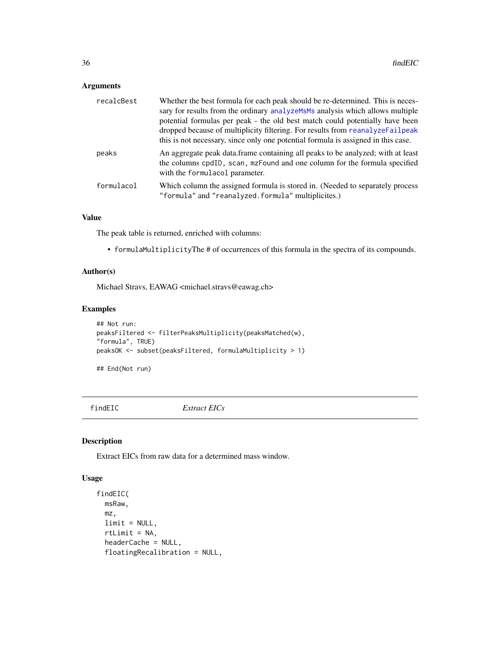### <span id="page-35-0"></span>Arguments

| recalcBest | Whether the best formula for each peak should be re-determined. This is neces-<br>sary for results from the ordinary analyzeMsMs analysis which allows multiple<br>potential formulas per peak - the old best match could potentially have been<br>dropped because of multiplicity filtering. For results from reanalyzeFailpeak<br>this is not necessary, since only one potential formula is assigned in this case. |
|------------|-----------------------------------------------------------------------------------------------------------------------------------------------------------------------------------------------------------------------------------------------------------------------------------------------------------------------------------------------------------------------------------------------------------------------|
| peaks      | An aggregate peak data. frame containing all peaks to be analyzed; with at least<br>the columns cpdID, scan, mzFound and one column for the formula specified<br>with the formulacol parameter.                                                                                                                                                                                                                       |
| formulacol | Which column the assigned formula is stored in. (Needed to separately process<br>"formula" and "reanalyzed.formula" multiplicites.)                                                                                                                                                                                                                                                                                   |

### Value

The peak table is returned, enriched with columns:

• formulaMultiplicityThe # of occurrences of this formula in the spectra of its compounds.

#### Author(s)

Michael Stravs, EAWAG <michael.stravs@eawag.ch>

### Examples

```
## Not run:
peaksFiltered <- filterPeaksMultiplicity(peaksMatched(w),
"formula", TRUE)
peaksOK <- subset(peaksFiltered, formulaMultiplicity > 1)
## End(Not run)
```
findEIC *Extract EICs*

### Description

Extract EICs from raw data for a determined mass window.

#### Usage

```
findEIC(
 msRaw,
 mz,
  limit = NULL,
  rtLimit = NA,
  headerCache = NULL,
  floatingRecalibration = NULL,
```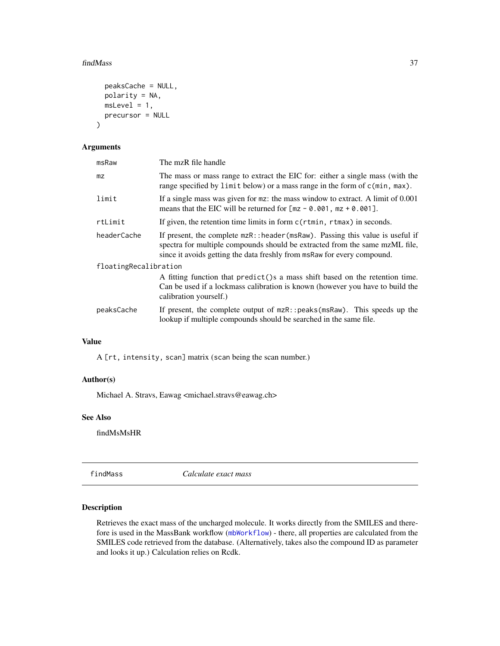#### findMass 37

```
peaksCache = NULL,
 polarity = NA,
 msLevel = 1,precursor = NULL
)
```
# Arguments

| msRaw                 | The mzR file handle                                                                                                                                                                                                                        |  |
|-----------------------|--------------------------------------------------------------------------------------------------------------------------------------------------------------------------------------------------------------------------------------------|--|
| mz                    | The mass or mass range to extract the EIC for: either a single mass (with the<br>range specified by limit below) or a mass range in the form of c(min, max).                                                                               |  |
| limit                 | If a single mass was given for mz: the mass window to extract. A limit of 0.001<br>means that the EIC will be returned for $[mz - 0.001, mz + 0.001]$ .                                                                                    |  |
| rtLimit               | If given, the retention time limits in form c(rtmin, rtmax) in seconds.                                                                                                                                                                    |  |
| headerCache           | If present, the complete $mzR$ : header (msRaw). Passing this value is useful if<br>spectra for multiple compounds should be extracted from the same mzML file,<br>since it avoids getting the data freshly from msRaw for every compound. |  |
| floatingRecalibration |                                                                                                                                                                                                                                            |  |
|                       | A fitting function that predict () s a mass shift based on the retention time.<br>Can be used if a lockmass calibration is known (however you have to build the<br>calibration yourself.)                                                  |  |
| peaksCache            | If present, the complete output of $mzR$ : peaks ( $msRaw$ ). This speeds up the<br>lookup if multiple compounds should be searched in the same file.                                                                                      |  |
|                       |                                                                                                                                                                                                                                            |  |

# Value

A [rt, intensity, scan] matrix (scan being the scan number.)

# Author(s)

Michael A. Stravs, Eawag <michael.stravs@eawag.ch>

## See Also

findMsMsHR

<span id="page-36-0"></span>findMass *Calculate exact mass*

## Description

Retrieves the exact mass of the uncharged molecule. It works directly from the SMILES and therefore is used in the MassBank workflow ([mbWorkflow](#page-69-0)) - there, all properties are calculated from the SMILES code retrieved from the database. (Alternatively, takes also the compound ID as parameter and looks it up.) Calculation relies on Rcdk.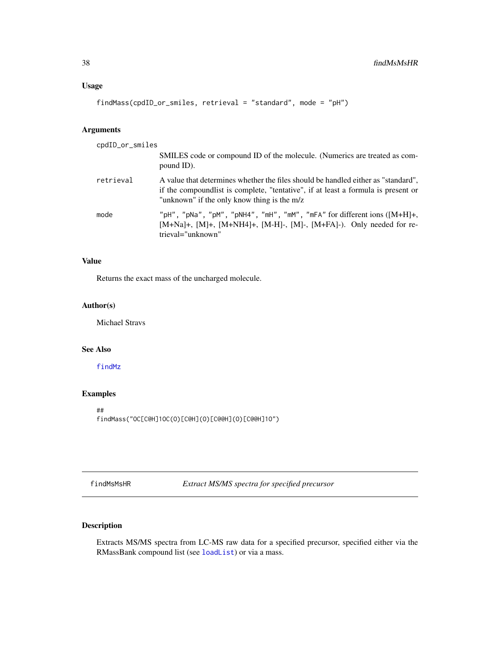## Usage

```
findMass(cpdID_or_smiles, retrieval = "standard", mode = "pH")
```
# Arguments

cpdID\_or\_smiles

|           | SMILES code or compound ID of the molecule. (Numerics are treated as com-<br>pound ID).                                                                                                                                |
|-----------|------------------------------------------------------------------------------------------------------------------------------------------------------------------------------------------------------------------------|
| retrieval | A value that determines whether the files should be handled either as "standard",<br>if the compound is t is complete, "tentative", if at least a formula is present or<br>"unknown" if the only know thing is the m/z |
| mode      | "pH", "pNa", "pM", "pNH4", "mH", "mM", "mFA" for different ions $([M+H]+)$<br>$[M+Na]+$ , $[M]+$ , $[M+NH4]+$ , $[M+H]$ -, $[M]+FA]$ -). Only needed for re-<br>trieval="unknown"                                      |

## Value

Returns the exact mass of the uncharged molecule.

## Author(s)

Michael Stravs

# See Also

[findMz](#page-45-0)

# Examples

```
##
findMass("OC[C@H]1OC(O)[C@H](O)[C@@H](O)[C@@H]1O")
```
<span id="page-37-0"></span>findMsMsHR *Extract MS/MS spectra for specified precursor*

# Description

Extracts MS/MS spectra from LC-MS raw data for a specified precursor, specified either via the RMassBank compound list (see [loadList](#page-65-0)) or via a mass.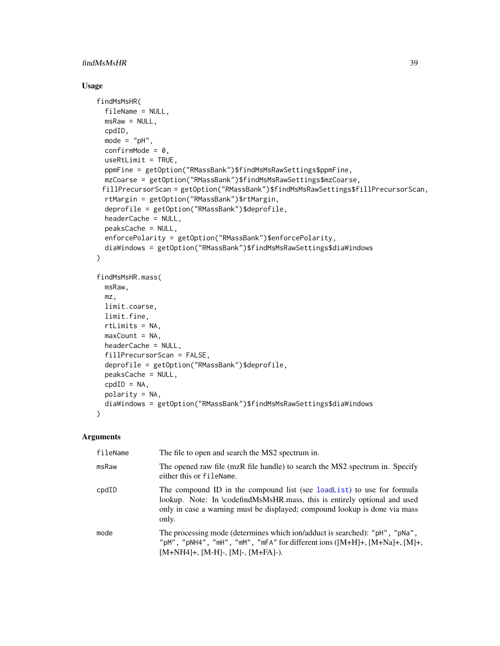## findMsMsHR 39

## Usage

```
findMsMsHR(
  fileName = NULL,
 msRaw = NULL,
 cpdID,
 mode = "pH",
  confirmMode = 0,
  useRtLimit = TRUE,
 ppmFine = getOption("RMassBank")$findMsMsRawSettings$ppmFine,
 mzCoarse = getOption("RMassBank")$findMsMsRawSettings$mzCoarse,
 fillPrecursorScan = getOption("RMassBank")$findMsMsRawSettings$fillPrecursorScan,
  rtMargin = getOption("RMassBank")$rtMargin,
  deprofile = getOption("RMassBank")$deprofile,
  headerCache = NULL,
 peaksCache = NULL,
  enforcePolarity = getOption("RMassBank")$enforcePolarity,
  diaWindows = getOption("RMassBank")$findMsMsRawSettings$diaWindows
\lambdafindMsMsHR.mass(
 msRaw,
 mz,
 limit.coarse,
 limit.fine,
  rtLimits = NA,
  maxCount = NA,
 headerCache = NULL,
  fillPrecursorScan = FALSE,
  deprofile = getOption("RMassBank")$deprofile,
 peaksCache = NULL,
  cpdID = NA,
 polarity = NA,
 diaWindows = getOption("RMassBank")$findMsMsRawSettings$diaWindows
)
```
## Arguments

| fileName       | The file to open and search the MS2 spectrum in.                                                                                                                                                                                           |
|----------------|--------------------------------------------------------------------------------------------------------------------------------------------------------------------------------------------------------------------------------------------|
| msRaw          | The opened raw file (mzR file handle) to search the MS2 spectrum in. Specify<br>either this or fileName.                                                                                                                                   |
| $\text{cpdID}$ | The compound ID in the compound list (see loadList) to use for formula<br>lookup. Note: In \codefindMsMsHR.mass, this is entirely optional and used<br>only in case a warning must be displayed; compound lookup is done via mass<br>only. |
| mode           | The processing mode (determines which ion/adduct is searched): "pH", "pNa",<br>"pM", "pNH4", "mH", "mM", "mFA" for different ions $([M+H]+, [M+Na]+, [M]+$<br>$[M+NH4]+$ , $[M-H]$ -, $[M]$ -, $[M+FA]$ -).                                |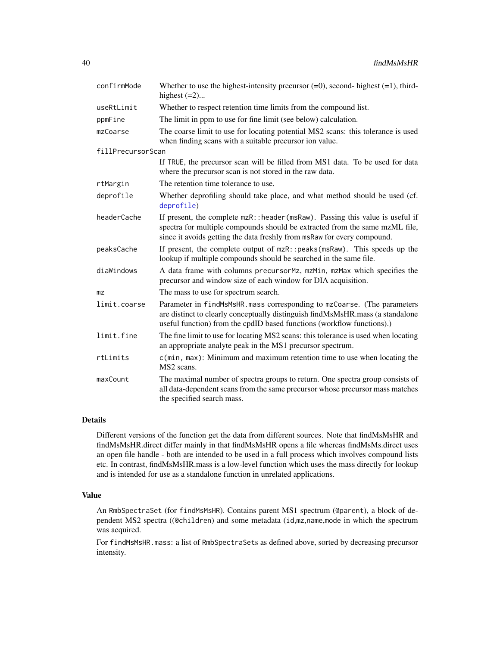| confirmMode       | Whether to use the highest-intensity precursor $(=0)$ , second-highest $(=1)$ , third-<br>highest $(=2)$                                                                                                                                 |
|-------------------|------------------------------------------------------------------------------------------------------------------------------------------------------------------------------------------------------------------------------------------|
| useRtLimit        | Whether to respect retention time limits from the compound list.                                                                                                                                                                         |
| ppmFine           | The limit in ppm to use for fine limit (see below) calculation.                                                                                                                                                                          |
| mzCoarse          | The coarse limit to use for locating potential MS2 scans: this tolerance is used<br>when finding scans with a suitable precursor ion value.                                                                                              |
| fillPrecursorScan |                                                                                                                                                                                                                                          |
|                   | If TRUE, the precursor scan will be filled from MS1 data. To be used for data<br>where the precursor scan is not stored in the raw data.                                                                                                 |
| rtMargin          | The retention time tolerance to use.                                                                                                                                                                                                     |
| deprofile         | Whether deprofiling should take place, and what method should be used (cf.<br>deprofile)                                                                                                                                                 |
| headerCache       | If present, the complete mzR:: header (msRaw). Passing this value is useful if<br>spectra for multiple compounds should be extracted from the same mzML file,<br>since it avoids getting the data freshly from msRaw for every compound. |
| peaksCache        | If present, the complete output of mzR:: peaks (msRaw). This speeds up the<br>lookup if multiple compounds should be searched in the same file.                                                                                          |
| diaWindows        | A data frame with columns precursorMz, mzMin, mzMax which specifies the<br>precursor and window size of each window for DIA acquisition.                                                                                                 |
| m <sub>Z</sub>    | The mass to use for spectrum search.                                                                                                                                                                                                     |
| limit.coarse      | Parameter in findMsMsHR.mass corresponding to mzCoarse. (The parameters<br>are distinct to clearly conceptually distinguish findMsMsHR.mass (a standalone<br>useful function) from the cpdID based functions (workflow functions).)      |
| limit.fine        | The fine limit to use for locating MS2 scans: this tolerance is used when locating<br>an appropriate analyte peak in the MS1 precursor spectrum.                                                                                         |
| rtLimits          | $c$ (min, max): Minimum and maximum retention time to use when locating the<br>MS <sub>2</sub> scans.                                                                                                                                    |
| maxCount          | The maximal number of spectra groups to return. One spectra group consists of<br>all data-dependent scans from the same precursor whose precursor mass matches<br>the specified search mass.                                             |

## Details

Different versions of the function get the data from different sources. Note that findMsMsHR and findMsMsHR.direct differ mainly in that findMsMsHR opens a file whereas findMsMs.direct uses an open file handle - both are intended to be used in a full process which involves compound lists etc. In contrast, findMsMsHR.mass is a low-level function which uses the mass directly for lookup and is intended for use as a standalone function in unrelated applications.

#### Value

An RmbSpectraSet (for findMsMsHR). Contains parent MS1 spectrum (@parent), a block of dependent MS2 spectra ((@children) and some metadata (id,mz,name,mode in which the spectrum was acquired.

For findMsMsHR.mass: a list of RmbSpectraSets as defined above, sorted by decreasing precursor intensity.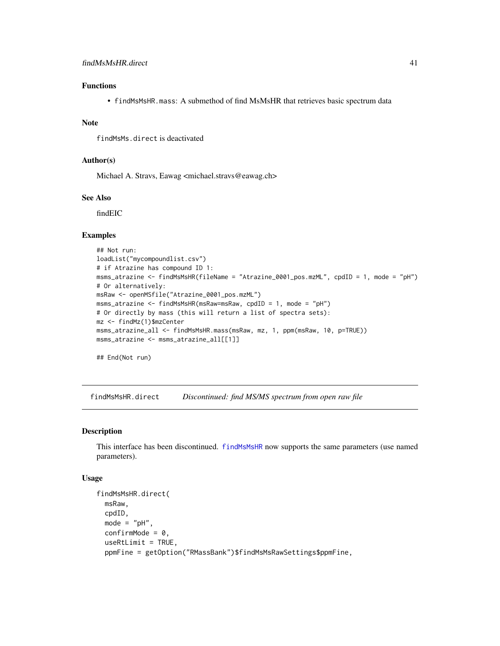## findMsMsHR.direct 41

# Functions

• findMsMsHR.mass: A submethod of find MsMsHR that retrieves basic spectrum data

#### Note

findMsMs.direct is deactivated

## Author(s)

Michael A. Stravs, Eawag <michael.stravs@eawag.ch>

## See Also

findEIC

# Examples

```
## Not run:
loadList("mycompoundlist.csv")
# if Atrazine has compound ID 1:
msms_atrazine <- findMsMsHR(fileName = "Atrazine_0001_pos.mzML", cpdID = 1, mode = "pH")
# Or alternatively:
msRaw <- openMSfile("Atrazine_0001_pos.mzML")
msms_atrazine <- findMsMsHR(msRaw=msRaw, cpdID = 1, mode = "pH")
# Or directly by mass (this will return a list of spectra sets):
mz <- findMz(1)$mzCenter
msms_atrazine_all <- findMsMsHR.mass(msRaw, mz, 1, ppm(msRaw, 10, p=TRUE))
msms_atrazine <- msms_atrazine_all[[1]]
```
## End(Not run)

findMsMsHR.direct *Discontinued: find MS/MS spectrum from open raw file*

# Description

This interface has been discontinued. [findMsMsHR](#page-37-0) now supports the same parameters (use named parameters).

#### Usage

```
findMsMsHR.direct(
 msRaw,
  cpdID,
 mode = "pH",
 confirmMode = 0,
  useRtlimit = TRUE,ppmFine = getOption("RMassBank")$findMsMsRawSettings$ppmFine,
```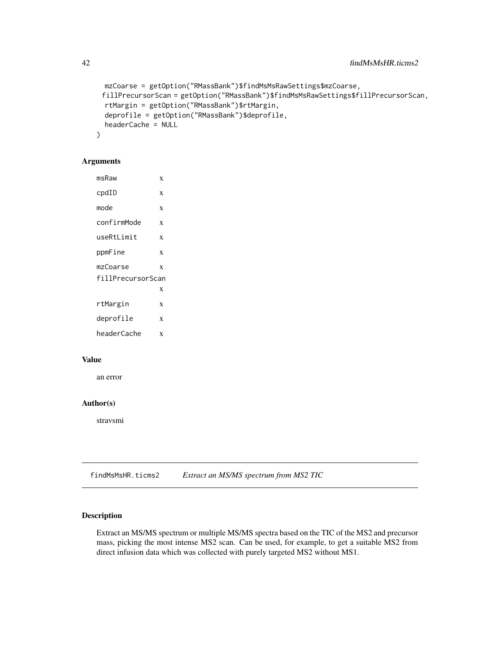```
mzCoarse = getOption("RMassBank")$findMsMsRawSettings$mzCoarse,
fillPrecursorScan = getOption("RMassBank")$findMsMsRawSettings$fillPrecursorScan,
rtMargin = getOption("RMassBank")$rtMargin,
deprofile = getOption("RMassBank")$deprofile,
headerCache = NULL
```
# Arguments

 $\mathcal{E}$ 

```
msRaw x
cpdID x
mode x
confirmMode x
useRtLimit x
ppmFine x
mzCoarse x
fillPrecursorScan
          x
rtMargin x
deprofile x
headerCache x
```
# Value

an error

# Author(s)

stravsmi

findMsMsHR.ticms2 *Extract an MS/MS spectrum from MS2 TIC*

## Description

Extract an MS/MS spectrum or multiple MS/MS spectra based on the TIC of the MS2 and precursor mass, picking the most intense MS2 scan. Can be used, for example, to get a suitable MS2 from direct infusion data which was collected with purely targeted MS2 without MS1.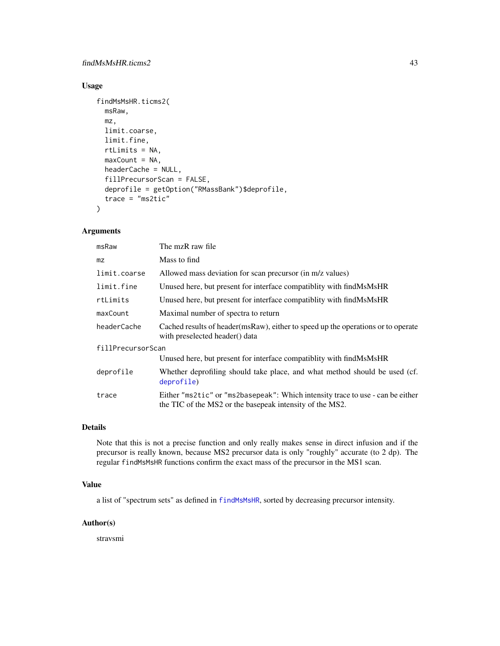## findMsMsHR.ticms2 43

# Usage

```
findMsMsHR.ticms2(
 msRaw,
 mz,
  limit.coarse,
 limit.fine,
  rtLimits = NA,
 maxCount = NA,
 headerCache = NULL,
  fillPrecursorScan = FALSE,
  deprofile = getOption("RMassBank")$deprofile,
  trace = "ms2tic"\lambda
```
# Arguments

| msRaw             | The mzR raw file                                                                                                                           |  |
|-------------------|--------------------------------------------------------------------------------------------------------------------------------------------|--|
| mz                | Mass to find                                                                                                                               |  |
| limit.coarse      | Allowed mass deviation for scan precursor (in m/z values)                                                                                  |  |
| limit.fine        | Unused here, but present for interface compatibity with find MsMsHR                                                                        |  |
| rtLimits          | Unused here, but present for interface compatibity with find MsMsHR                                                                        |  |
| maxCount          | Maximal number of spectra to return                                                                                                        |  |
| headerCache       | Cached results of header (msRaw), either to speed up the operations or to operate<br>with preselected header() data                        |  |
| fillPrecursorScan |                                                                                                                                            |  |
|                   | Unused here, but present for interface compatibility with find MsMsHR                                                                      |  |
| deprofile         | Whether deprofiling should take place, and what method should be used (cf.<br>deprofile)                                                   |  |
| trace             | Either "ms2tic" or "ms2basepeak": Which intensity trace to use - can be either<br>the TIC of the MS2 or the basepeak intensity of the MS2. |  |

## Details

Note that this is not a precise function and only really makes sense in direct infusion and if the precursor is really known, because MS2 precursor data is only "roughly" accurate (to 2 dp). The regular findMsMsHR functions confirm the exact mass of the precursor in the MS1 scan.

## Value

a list of "spectrum sets" as defined in [findMsMsHR](#page-37-0), sorted by decreasing precursor intensity.

### Author(s)

stravsmi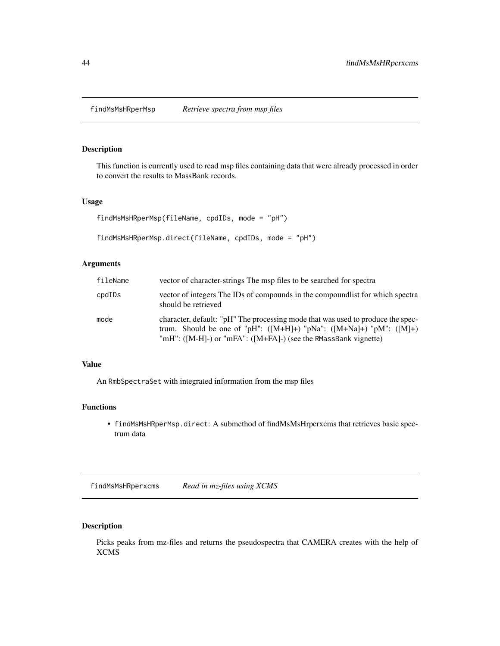findMsMsHRperMsp *Retrieve spectra from msp files*

## Description

This function is currently used to read msp files containing data that were already processed in order to convert the results to MassBank records.

## Usage

```
findMsMsHRperMsp(fileName, cpdIDs, mode = "pH")
```

```
findMsMsHRperMsp.direct(fileName, cpdIDs, mode = "pH")
```
# Arguments

| fileName | vector of character-strings The msp files to be searched for spectra                                                                                                                                                            |
|----------|---------------------------------------------------------------------------------------------------------------------------------------------------------------------------------------------------------------------------------|
| cpdIDs   | vector of integers The IDs of compounds in the compound ist for which spectra<br>should be retrieved                                                                                                                            |
| mode     | character, default: "pH" The processing mode that was used to produce the spec-<br>trum. Should be one of "pH": $([M+H]+)$ "pNa": $([M+Na]+)$ "pM": $([M]+)$<br>"mH": ([M-H]-) or "mFA": ([M+FA]-) (see the RMassBank vignette) |

## Value

An RmbSpectraSet with integrated information from the msp files

## Functions

• findMsMsHRperMsp.direct: A submethod of findMsMsHrperxcms that retrieves basic spectrum data

findMsMsHRperxcms *Read in mz-files using XCMS*

## Description

Picks peaks from mz-files and returns the pseudospectra that CAMERA creates with the help of XCMS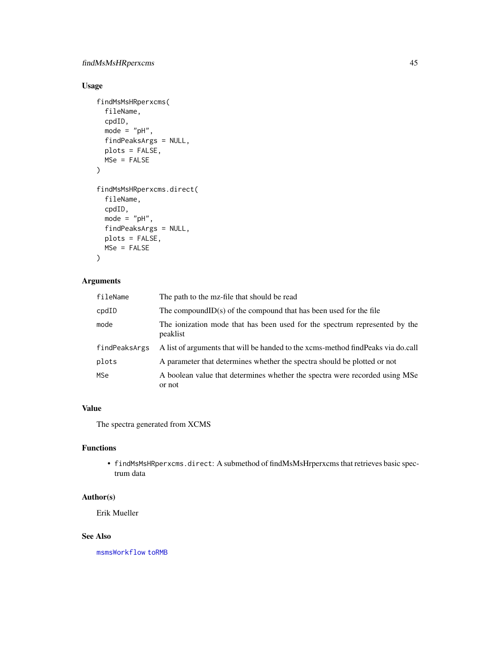# findMsMsHRperxcms 45

# Usage

```
findMsMsHRperxcms(
  fileName,
  cpdID,
  mode = "pH",findPeaksArgs = NULL,
  plots = FALSE,
  MSe = FALSE
\mathcal{L}findMsMsHRperxcms.direct(
  fileName,
  cpdID,
  mode = "pH",findPeaksArgs = NULL,
  plots = FALSE,
  MSe = FALSE
\mathcal{L}
```
# Arguments

| fileName       | The path to the mz-file that should be read                                            |
|----------------|----------------------------------------------------------------------------------------|
| $\text{cpdID}$ | The compound $ID(s)$ of the compound that has been used for the file                   |
| mode           | The ionization mode that has been used for the spectrum represented by the<br>peaklist |
| findPeaksArgs  | A list of arguments that will be handed to the xcms-method find Peaks via do.call      |
| plots          | A parameter that determines whether the spectra should be plotted or not               |
| MSe            | A boolean value that determines whether the spectra were recorded using MSe<br>or not  |

# Value

The spectra generated from XCMS

## Functions

• findMsMsHRperxcms.direct: A submethod of findMsMsHrperxcms that retrieves basic spectrum data

# Author(s)

Erik Mueller

# See Also

[msmsWorkflow](#page-77-0) [toRMB](#page-111-0)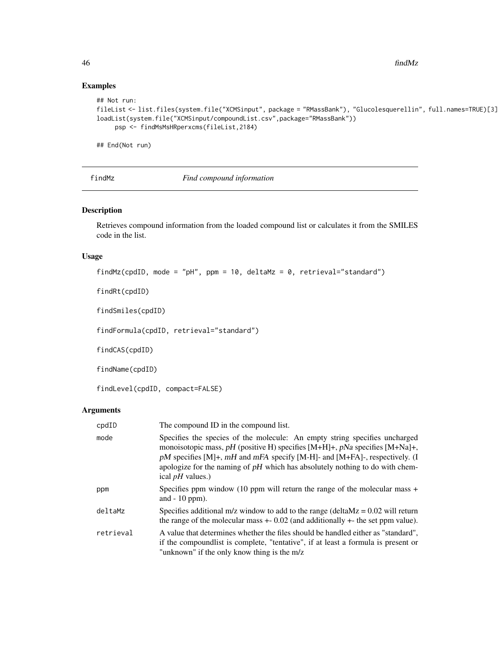# Examples

```
## Not run:
fileList <- list.files(system.file("XCMSinput", package = "RMassBank"), "Glucolesquerellin", full.names=TRUE)[3]
loadList(system.file("XCMSinput/compoundList.csv",package="RMassBank"))
    psp <- findMsMsHRperxcms(fileList,2184)
```
## End(Not run)

<span id="page-45-0"></span>

|  | indMz |
|--|-------|
|  |       |
|  |       |

 $Find\ compound\ information$ 

# Description

Retrieves compound information from the loaded compound list or calculates it from the SMILES code in the list.

# Usage

findMz(cpdID, mode = "pH", ppm = 10, deltaMz = 0, retrieval="standard")

findRt(cpdID)

findSmiles(cpdID)

findFormula(cpdID, retrieval="standard")

findCAS(cpdID)

findName(cpdID)

findLevel(cpdID, compact=FALSE)

## Arguments

| $\text{cpdID}$ | The compound ID in the compound list.                                                                                                                                                                                                                                                                                                                           |
|----------------|-----------------------------------------------------------------------------------------------------------------------------------------------------------------------------------------------------------------------------------------------------------------------------------------------------------------------------------------------------------------|
| mode           | Specifies the species of the molecule: An empty string specifies uncharged<br>monoisotopic mass, $pH$ (positive H) specifies $[M+H]+$ , $pNa$ specifies $[M+Na]+$ ,<br>$pM$ specifies [M]+, $mH$ and $mFA$ specify [M-H]- and [M+FA]-, respectively. (I<br>apologize for the naming of $pH$ which has absolutely nothing to do with chem-<br>ical $pH$ values.) |
| ppm            | Specifies ppm window (10 ppm will return the range of the molecular mass $+$<br>and $-10$ ppm).                                                                                                                                                                                                                                                                 |
| deltaMz        | Specifies additional m/z window to add to the range (deltaMz = $0.02$ will return<br>the range of the molecular mass $+0.02$ (and additionally $+$ the set ppm value).                                                                                                                                                                                          |
| retrieval      | A value that determines whether the files should be handled either as "standard",<br>if the compound is t is complete, "tentative", if at least a formula is present or<br>"unknown" if the only know thing is the m/z                                                                                                                                          |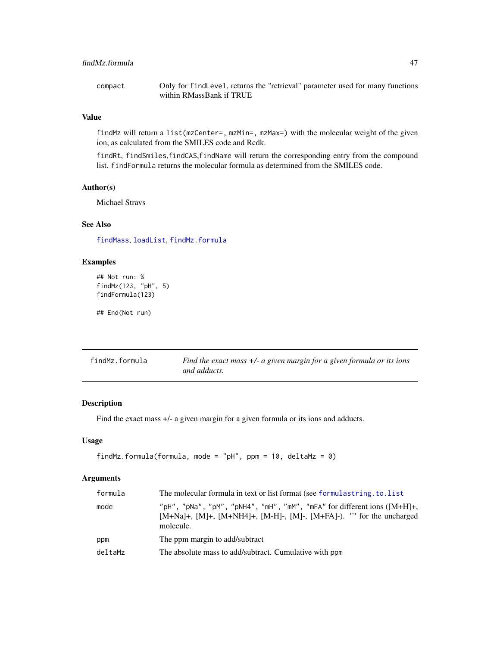## findMz.formula 47

compact Only for findLevel, returns the "retrieval" parameter used for many functions within RMassBank if TRUE

# Value

findMz will return a list(mzCenter=, mzMin=, mzMax=) with the molecular weight of the given ion, as calculated from the SMILES code and Rcdk.

findRt, findSmiles,findCAS,findName will return the corresponding entry from the compound list. findFormula returns the molecular formula as determined from the SMILES code.

# Author(s)

Michael Stravs

## See Also

[findMass](#page-36-0), [loadList](#page-65-0), [findMz.formula](#page-46-0)

## Examples

```
## Not run: %
findMz(123, "pH", 5)
findFormula(123)
```
## End(Not run)

<span id="page-46-0"></span>

| findMz.formula | Find the exact mass $+/- a$ given margin for a given formula or its ions |
|----------------|--------------------------------------------------------------------------|
|                | and adducts.                                                             |

# Description

Find the exact mass +/- a given margin for a given formula or its ions and adducts.

#### Usage

```
findMz.formula(formula, mode = "pH", ppm = 10, deltaMz = 0)
```
#### Arguments

| formula | The molecular formula in text or list format (see formulastring.to.list)                                                                                                   |
|---------|----------------------------------------------------------------------------------------------------------------------------------------------------------------------------|
| mode    | "pH", "pNa", "pM", "pNH4", "mH", "mM", "mFA" for different ions $([M+H]+)$<br>$[M+Na]+$ , $[M]+$ , $[M+NH4]+$ , $[M-H]$ -, $[M]+FA$ ]-). "" for the uncharged<br>molecule. |
| ppm     | The ppm margin to add/subtract                                                                                                                                             |
| deltaMz | The absolute mass to add/subtract. Cumulative with ppm                                                                                                                     |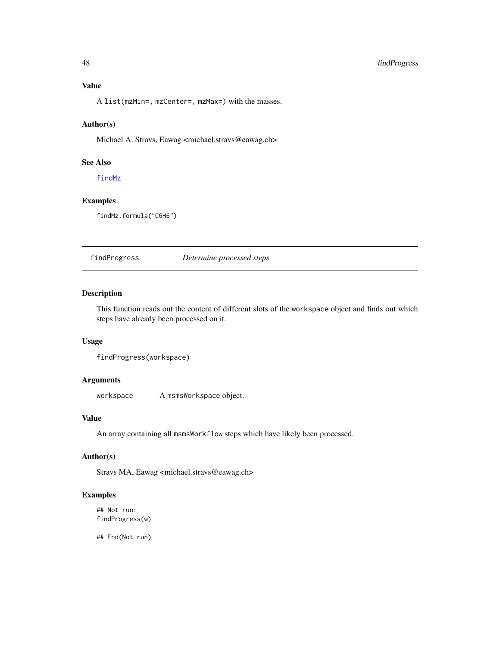# Value

A list(mzMin=, mzCenter=, mzMax=) with the masses.

#### Author(s)

Michael A. Stravs, Eawag <michael.stravs@eawag.ch>

# See Also

[findMz](#page-45-0)

## Examples

findMz.formula("C6H6")

findProgress *Determine processed steps*

## Description

This function reads out the content of different slots of the workspace object and finds out which steps have already been processed on it.

#### Usage

```
findProgress(workspace)
```
# Arguments

workspace A msmsWorkspace object.

## Value

An array containing all msmsWorkflow steps which have likely been processed.

## Author(s)

Stravs MA, Eawag <michael.stravs@eawag.ch>

## Examples

```
## Not run:
findProgress(w)
```
## End(Not run)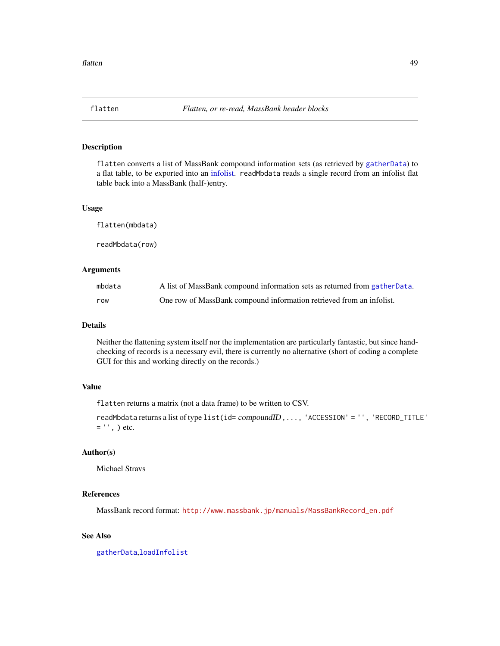# Description

flatten converts a list of MassBank compound information sets (as retrieved by [gatherData](#page-50-0)) to a flat table, to be exported into an [infolist.](#page-64-0) readMbdata reads a single record from an infolist flat table back into a MassBank (half-)entry.

#### Usage

flatten(mbdata)

readMbdata(row)

# Arguments

| mbdata | A list of MassBank compound information sets as returned from gatherData. |
|--------|---------------------------------------------------------------------------|
| row    | One row of MassBank compound information retrieved from an infolist.      |

#### Details

Neither the flattening system itself nor the implementation are particularly fantastic, but since handchecking of records is a necessary evil, there is currently no alternative (short of coding a complete GUI for this and working directly on the records.)

# Value

flatten returns a matrix (not a data frame) to be written to CSV.

```
readMbdata returns a list of type list(id= compoundID,..., 'ACCESSION' = '', 'RECORD_TITLE'
= '', ) etc.
```
# Author(s)

Michael Stravs

## References

MassBank record format: [http://www.massbank.jp/manuals/MassBankRecord\\_en.pdf](http://www.massbank.jp/manuals/MassBankRecord_en.pdf)

#### See Also

[gatherData](#page-50-0),[loadInfolist](#page-64-0)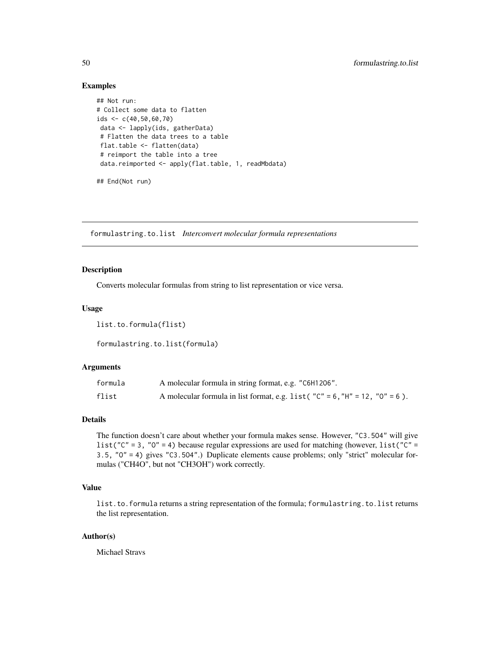## Examples

```
## Not run:
# Collect some data to flatten
ids <- c(40,50,60,70)
data <- lapply(ids, gatherData)
 # Flatten the data trees to a table
 flat.table <- flatten(data)
 # reimport the table into a tree
 data.reimported <- apply(flat.table, 1, readMbdata)
## End(Not run)
```
<span id="page-49-0"></span>formulastring.to.list *Interconvert molecular formula representations*

# <span id="page-49-1"></span>Description

Converts molecular formulas from string to list representation or vice versa.

## Usage

list.to.formula(flist)

formulastring.to.list(formula)

#### Arguments

| formula | A molecular formula in string format, e.g. "C6H1206".                                 |
|---------|---------------------------------------------------------------------------------------|
| flist   | A molecular formula in list format, e.g. list ( $C'' = 6$ , $H'' = 12$ , $T'' = 6$ ). |

# Details

The function doesn't care about whether your formula makes sense. However, "C3.5O4" will give list(" $C'' = 3$ , " $O'' = 4$ ) because regular expressions are used for matching (however, list(" $C'' =$ 3.5, "O" = 4) gives "C3.5O4".) Duplicate elements cause problems; only "strict" molecular formulas ("CH4O", but not "CH3OH") work correctly.

# Value

list.to.formula returns a string representation of the formula; formulastring.to.list returns the list representation.

#### Author(s)

Michael Stravs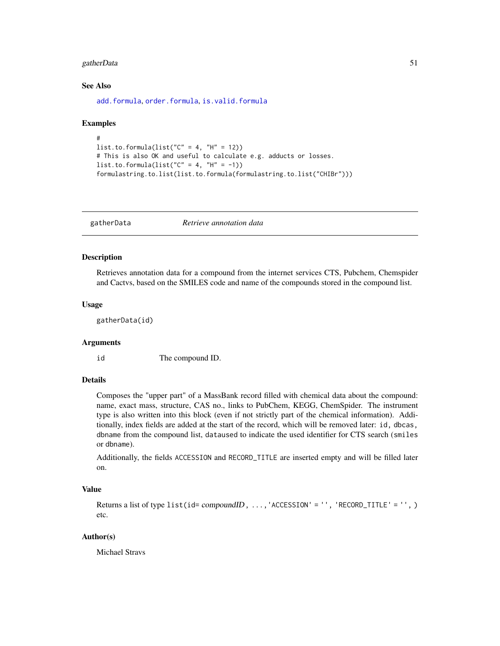#### gatherData 51

#### See Also

[add.formula](#page-5-0), [order.formula](#page-81-0), [is.valid.formula](#page-63-0)

#### Examples

```
#
list.to.format(alist("C" = 4, "H" = 12))# This is also OK and useful to calculate e.g. adducts or losses.
list.to.formula(list("C'' = 4, "H'' = -1))
formulastring.to.list(list.to.formula(formulastring.to.list("CHIBr")))
```
<span id="page-50-0"></span>gatherData *Retrieve annotation data*

#### Description

Retrieves annotation data for a compound from the internet services CTS, Pubchem, Chemspider and Cactvs, based on the SMILES code and name of the compounds stored in the compound list.

#### Usage

gatherData(id)

#### Arguments

id The compound ID.

#### Details

Composes the "upper part" of a MassBank record filled with chemical data about the compound: name, exact mass, structure, CAS no., links to PubChem, KEGG, ChemSpider. The instrument type is also written into this block (even if not strictly part of the chemical information). Additionally, index fields are added at the start of the record, which will be removed later: id, dbcas, dbname from the compound list, dataused to indicate the used identifier for CTS search (smiles or dbname).

Additionally, the fields ACCESSION and RECORD\_TITLE are inserted empty and will be filled later on.

# Value

```
Returns a list of type list (id= compoundID, ..., 'ACCESSION' = '', 'RECORD_TITLE' = '', )
etc.
```
## Author(s)

Michael Stravs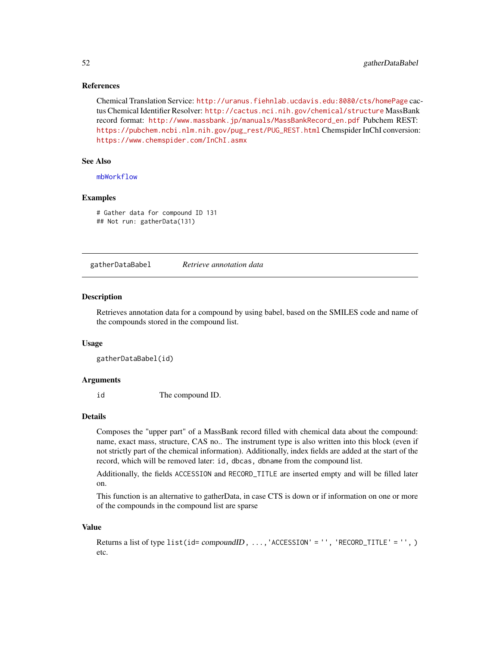#### References

Chemical Translation Service: <http://uranus.fiehnlab.ucdavis.edu:8080/cts/homePage> cactus Chemical Identifier Resolver: <http://cactus.nci.nih.gov/chemical/structure> MassBank record format: [http://www.massbank.jp/manuals/MassBankRecord\\_en.pdf](http://www.massbank.jp/manuals/MassBankRecord_en.pdf) Pubchem REST: [https://pubchem.ncbi.nlm.nih.gov/pug\\_rest/PUG\\_REST.html](https://pubchem.ncbi.nlm.nih.gov/pug_rest/PUG_REST.html) Chemspider InChI conversion: <https://www.chemspider.com/InChI.asmx>

## See Also

[mbWorkflow](#page-69-0)

#### Examples

```
# Gather data for compound ID 131
## Not run: gatherData(131)
```
gatherDataBabel *Retrieve annotation data*

#### Description

Retrieves annotation data for a compound by using babel, based on the SMILES code and name of the compounds stored in the compound list.

#### Usage

```
gatherDataBabel(id)
```
#### Arguments

id The compound ID.

## Details

Composes the "upper part" of a MassBank record filled with chemical data about the compound: name, exact mass, structure, CAS no.. The instrument type is also written into this block (even if not strictly part of the chemical information). Additionally, index fields are added at the start of the record, which will be removed later: id, dbcas, dbname from the compound list.

Additionally, the fields ACCESSION and RECORD\_TITLE are inserted empty and will be filled later on.

This function is an alternative to gatherData, in case CTS is down or if information on one or more of the compounds in the compound list are sparse

#### Value

Returns a list of type list(id= compoundID, ...,'ACCESSION' = '', 'RECORD\_TITLE' = '', ) etc.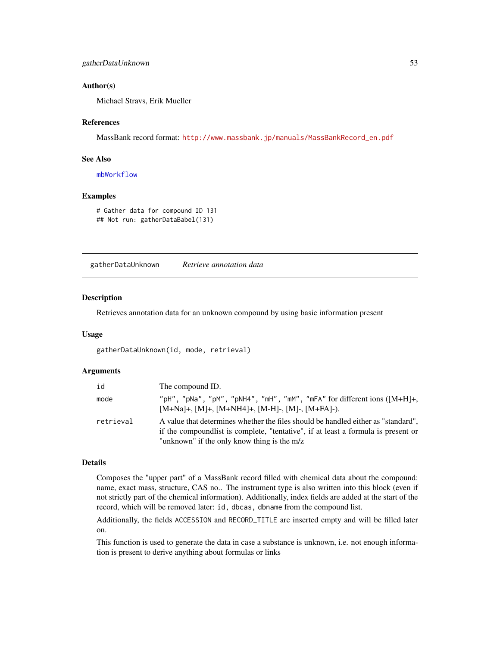## Author(s)

Michael Stravs, Erik Mueller

#### References

MassBank record format: [http://www.massbank.jp/manuals/MassBankRecord\\_en.pdf](http://www.massbank.jp/manuals/MassBankRecord_en.pdf)

## See Also

[mbWorkflow](#page-69-0)

## Examples

```
# Gather data for compound ID 131
## Not run: gatherDataBabel(131)
```
gatherDataUnknown *Retrieve annotation data*

#### Description

Retrieves annotation data for an unknown compound by using basic information present

#### Usage

gatherDataUnknown(id, mode, retrieval)

### Arguments

| id        | The compound ID.                                                                                                                                                                                                      |
|-----------|-----------------------------------------------------------------------------------------------------------------------------------------------------------------------------------------------------------------------|
| mode      | "pH", "pNa", "pM", "pNH4", "mH", "mM", "mFA" for different ions $([M+H] +$<br>$[M+Na]+$ , $[M]+$ , $[M+NH4]+$ , $[M-H]$ -, $[M]+FA$ ]-).                                                                              |
| retrieval | A value that determines whether the files should be handled either as "standard".<br>if the compoundlist is complete, "tentative", if at least a formula is present or<br>"unknown" if the only know thing is the m/z |

## Details

Composes the "upper part" of a MassBank record filled with chemical data about the compound: name, exact mass, structure, CAS no.. The instrument type is also written into this block (even if not strictly part of the chemical information). Additionally, index fields are added at the start of the record, which will be removed later: id, dbcas, dbname from the compound list.

Additionally, the fields ACCESSION and RECORD\_TITLE are inserted empty and will be filled later on.

This function is used to generate the data in case a substance is unknown, i.e. not enough information is present to derive anything about formulas or links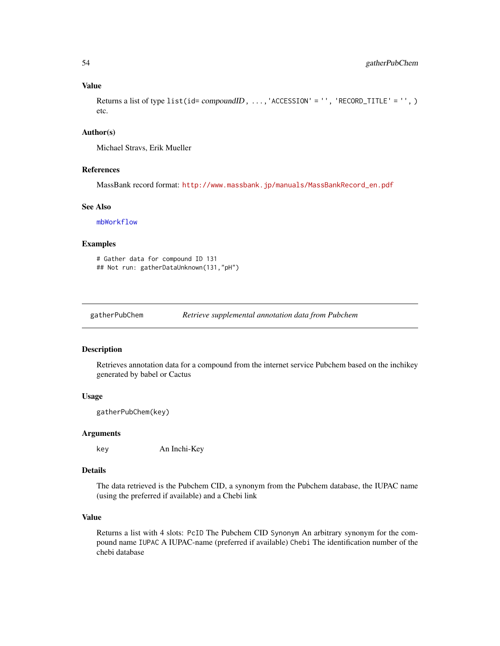#### Value

Returns a list of type list(id= compoundID, ..., 'ACCESSION' = '', 'RECORD\_TITLE' = '', ) etc.

## Author(s)

Michael Stravs, Erik Mueller

#### References

MassBank record format: [http://www.massbank.jp/manuals/MassBankRecord\\_en.pdf](http://www.massbank.jp/manuals/MassBankRecord_en.pdf)

#### See Also

[mbWorkflow](#page-69-0)

#### Examples

# Gather data for compound ID 131 ## Not run: gatherDataUnknown(131,"pH")

gatherPubChem *Retrieve supplemental annotation data from Pubchem*

#### Description

Retrieves annotation data for a compound from the internet service Pubchem based on the inchikey generated by babel or Cactus

#### Usage

gatherPubChem(key)

#### Arguments

key An Inchi-Key

# Details

The data retrieved is the Pubchem CID, a synonym from the Pubchem database, the IUPAC name (using the preferred if available) and a Chebi link

## Value

Returns a list with 4 slots: PcID The Pubchem CID Synonym An arbitrary synonym for the compound name IUPAC A IUPAC-name (preferred if available) Chebi The identification number of the chebi database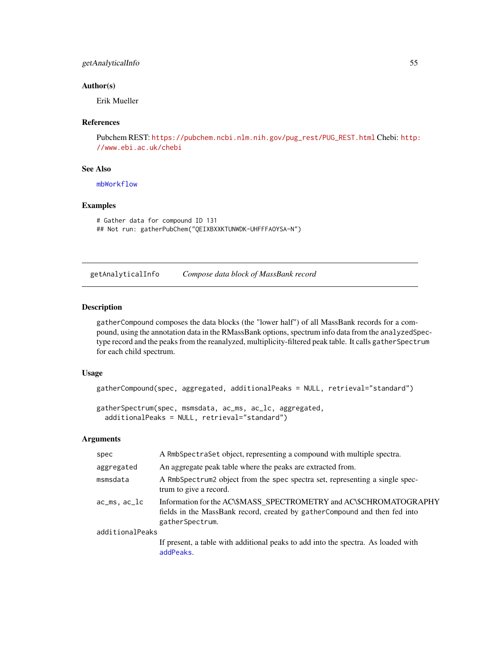# getAnalyticalInfo 55

## Author(s)

Erik Mueller

# References

Pubchem REST: [https://pubchem.ncbi.nlm.nih.gov/pug\\_rest/PUG\\_REST.html](https://pubchem.ncbi.nlm.nih.gov/pug_rest/PUG_REST.html) Chebi: [http:](http://www.ebi.ac.uk/chebi) [//www.ebi.ac.uk/chebi](http://www.ebi.ac.uk/chebi)

## See Also

[mbWorkflow](#page-69-0)

# Examples

```
# Gather data for compound ID 131
## Not run: gatherPubChem("QEIXBXXKTUNWDK-UHFFFAOYSA-N")
```
getAnalyticalInfo *Compose data block of MassBank record*

#### Description

gatherCompound composes the data blocks (the "lower half") of all MassBank records for a compound, using the annotation data in the RMassBank options, spectrum info data from the analyzedSpectype record and the peaks from the reanalyzed, multiplicity-filtered peak table. It calls gatherSpectrum for each child spectrum.

## Usage

```
gatherCompound(spec, aggregated, additionalPeaks = NULL, retrieval="standard")
```

```
gatherSpectrum(spec, msmsdata, ac_ms, ac_lc, aggregated,
  additionalPeaks = NULL, retrieval="standard")
```
#### Arguments

| spec            | A RmbSpectraSet object, representing a compound with multiple spectra.                                                                                               |
|-----------------|----------------------------------------------------------------------------------------------------------------------------------------------------------------------|
| aggregated      | An aggregate peak table where the peaks are extracted from.                                                                                                          |
| msmsdata        | A RmbSpectrum2 object from the spec spectra set, representing a single spec-<br>trum to give a record.                                                               |
| $acms, ac\_lc$  | Information for the AC\\$MASS SPECTROMETRY and AC\\$CHROMATOGRAPHY<br>fields in the MassBank record, created by gather Compound and then fed into<br>gatherSpectrum. |
| additionalPeaks |                                                                                                                                                                      |
|                 | If present, a table with additional peaks to add into the spectra. As loaded with<br>addPeaks.                                                                       |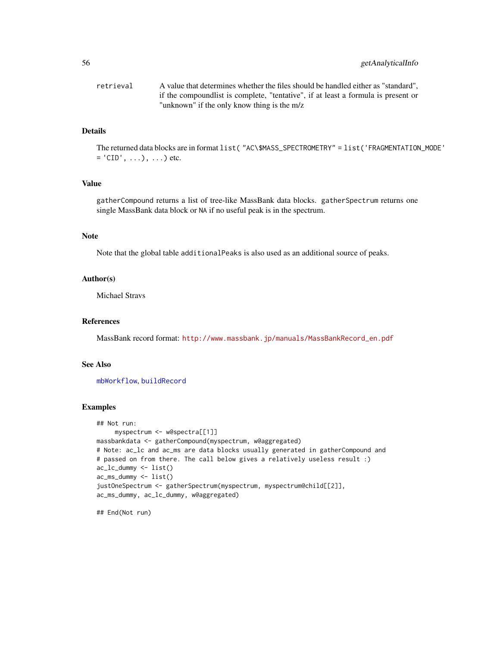| retrieval | A value that determines whether the files should be handled either as "standard". |
|-----------|-----------------------------------------------------------------------------------|
|           | if the compoundlist is complete, "tentative", if at least a formula is present or |
|           | "unknown" if the only know thing is the m/z                                       |

#### Details

The returned data blocks are in format list( "AC\\$MASS\_SPECTROMETRY" = list('FRAGMENTATION\_MODE'  $=$   $'CD'$ , ...), ...) etc.

# Value

gatherCompound returns a list of tree-like MassBank data blocks. gatherSpectrum returns one single MassBank data block or NA if no useful peak is in the spectrum.

#### Note

Note that the global table additionalPeaks is also used as an additional source of peaks.

# Author(s)

Michael Stravs

## References

MassBank record format: [http://www.massbank.jp/manuals/MassBankRecord\\_en.pdf](http://www.massbank.jp/manuals/MassBankRecord_en.pdf)

## See Also

[mbWorkflow](#page-69-0), [buildRecord](#page-15-0)

#### Examples

```
## Not run:
     myspectrum <- w@spectra[[1]]
massbankdata <- gatherCompound(myspectrum, w@aggregated)
# Note: ac_lc and ac_ms are data blocks usually generated in gatherCompound and
# passed on from there. The call below gives a relatively useless result :)
ac_lc_dummy <- list()
ac_ms_dummy <- list()
justOneSpectrum <- gatherSpectrum(myspectrum, myspectrum@child[[2]],
ac_ms_dummy, ac_lc_dummy, w@aggregated)
```
## End(Not run)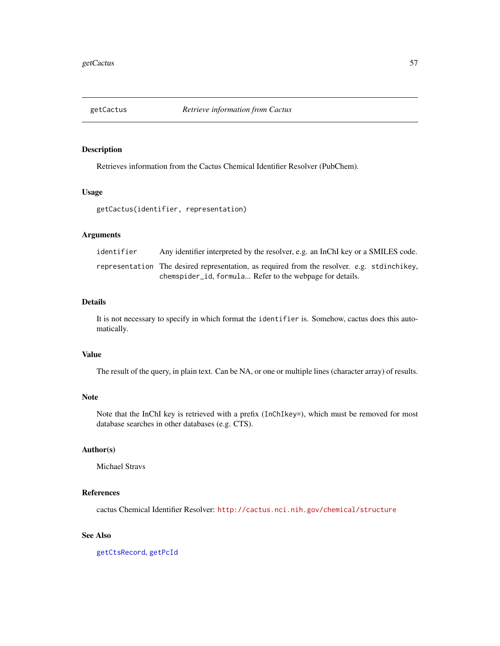<span id="page-56-0"></span>

## Description

Retrieves information from the Cactus Chemical Identifier Resolver (PubChem).

## Usage

getCactus(identifier, representation)

## Arguments

| identifier | Any identifier interpreted by the resolver, e.g. an InChI key or a SMILES code.             |
|------------|---------------------------------------------------------------------------------------------|
|            | representation The desired representation, as required from the resolver, e.g. stdinchikey, |
|            | chemspider id, formula Refer to the webpage for details.                                    |

## Details

It is not necessary to specify in which format the identifier is. Somehow, cactus does this automatically.

# Value

The result of the query, in plain text. Can be NA, or one or multiple lines (character array) of results.

## Note

Note that the InChI key is retrieved with a prefix (InChIkey=), which must be removed for most database searches in other databases (e.g. CTS).

# Author(s)

Michael Stravs

### References

cactus Chemical Identifier Resolver: <http://cactus.nci.nih.gov/chemical/structure>

## See Also

[getCtsRecord](#page-59-0), [getPcId](#page-62-0)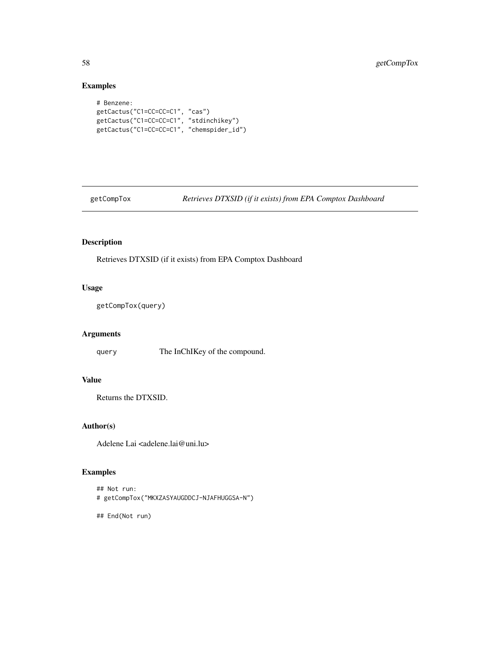# Examples

```
# Benzene:
getCactus("C1=CC=CC=C1", "cas")
getCactus("C1=CC=CC=C1", "stdinchikey")
getCactus("C1=CC=CC=C1", "chemspider_id")
```
getCompTox *Retrieves DTXSID (if it exists) from EPA Comptox Dashboard*

# Description

Retrieves DTXSID (if it exists) from EPA Comptox Dashboard

## Usage

getCompTox(query)

# Arguments

query The InChIKey of the compound.

# Value

Returns the DTXSID.

## Author(s)

Adelene Lai <adelene.lai@uni.lu>

## Examples

```
## Not run:
# getCompTox("MKXZASYAUGDDCJ-NJAFHUGGSA-N")
```
## End(Not run)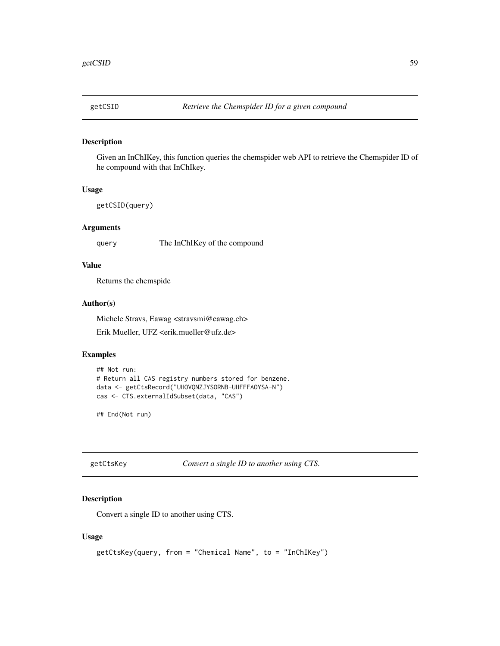### Description

Given an InChIKey, this function queries the chemspider web API to retrieve the Chemspider ID of he compound with that InChIkey.

#### Usage

```
getCSID(query)
```
## Arguments

query The InChIKey of the compound

# Value

Returns the chemspide

## Author(s)

Michele Stravs, Eawag <stravsmi@eawag.ch>

Erik Mueller, UFZ <erik.mueller@ufz.de>

## Examples

```
## Not run:
# Return all CAS registry numbers stored for benzene.
data <- getCtsRecord("UHOVQNZJYSORNB-UHFFFAOYSA-N")
cas <- CTS.externalIdSubset(data, "CAS")
```
## End(Not run)

getCtsKey *Convert a single ID to another using CTS.*

# Description

Convert a single ID to another using CTS.

# Usage

```
getCtsKey(query, from = "Chemical Name", to = "InChIKey")
```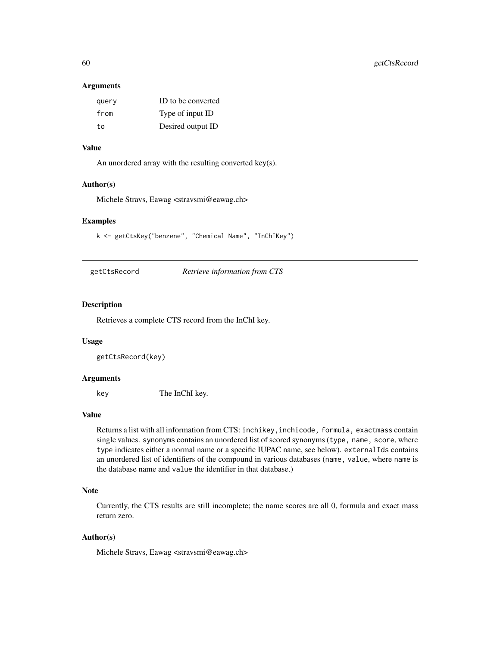#### **Arguments**

| query | ID to be converted |
|-------|--------------------|
| from  | Type of input ID   |
| to    | Desired output ID  |

# Value

An unordered array with the resulting converted key(s).

#### Author(s)

Michele Stravs, Eawag <stravsmi@eawag.ch>

#### Examples

k <- getCtsKey("benzene", "Chemical Name", "InChIKey")

<span id="page-59-0"></span>

getCtsRecord *Retrieve information from CTS*

## Description

Retrieves a complete CTS record from the InChI key.

#### Usage

getCtsRecord(key)

# Arguments

key The InChI key.

## Value

Returns a list with all information from CTS: inchikey,inchicode, formula, exactmass contain single values. synonyms contains an unordered list of scored synonyms (type, name, score, where type indicates either a normal name or a specific IUPAC name, see below). externalIds contains an unordered list of identifiers of the compound in various databases (name, value, where name is the database name and value the identifier in that database.)

# Note

Currently, the CTS results are still incomplete; the name scores are all 0, formula and exact mass return zero.

## Author(s)

Michele Stravs, Eawag <stravsmi@eawag.ch>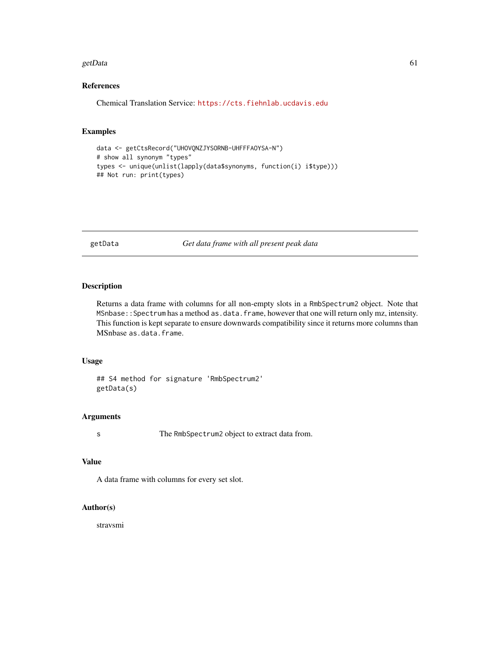#### getData 61

## References

Chemical Translation Service: <https://cts.fiehnlab.ucdavis.edu>

## Examples

```
data <- getCtsRecord("UHOVQNZJYSORNB-UHFFFAOYSA-N")
# show all synonym "types"
types <- unique(unlist(lapply(data$synonyms, function(i) i$type)))
## Not run: print(types)
```
getData *Get data frame with all present peak data*

#### Description

Returns a data frame with columns for all non-empty slots in a RmbSpectrum2 object. Note that MSnbase::Spectrum has a method as.data.frame, however that one will return only mz, intensity. This function is kept separate to ensure downwards compatibility since it returns more columns than MSnbase as.data.frame.

#### Usage

## S4 method for signature 'RmbSpectrum2' getData(s)

## Arguments

s The RmbSpectrum2 object to extract data from.

#### Value

A data frame with columns for every set slot.

## Author(s)

stravsmi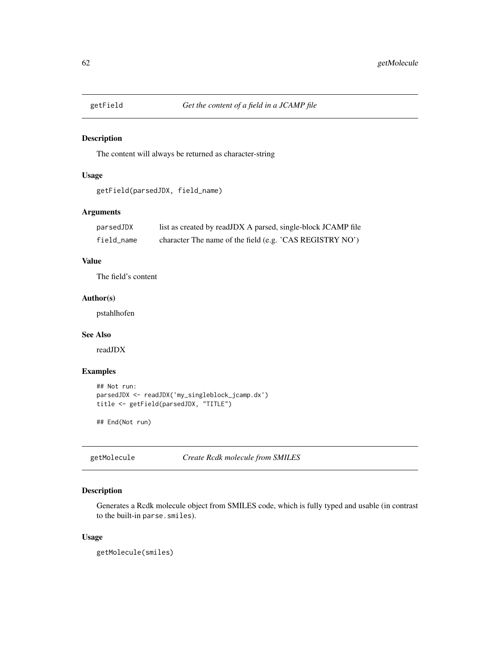# Description

The content will always be returned as character-string

# Usage

```
getField(parsedJDX, field_name)
```
# Arguments

| parsedJDX  | list as created by readJDX A parsed, single-block JCAMP file |  |
|------------|--------------------------------------------------------------|--|
| field name | character The name of the field (e.g. 'CAS REGISTRY NO')     |  |

# Value

The field's content

## Author(s)

pstahlhofen

# See Also

readJDX

# Examples

```
## Not run:
parsedJDX <- readJDX('my_singleblock_jcamp.dx')
title <- getField(parsedJDX, "TITLE")
```
## End(Not run)

getMolecule *Create Rcdk molecule from SMILES*

## Description

Generates a Rcdk molecule object from SMILES code, which is fully typed and usable (in contrast to the built-in parse.smiles).

#### Usage

getMolecule(smiles)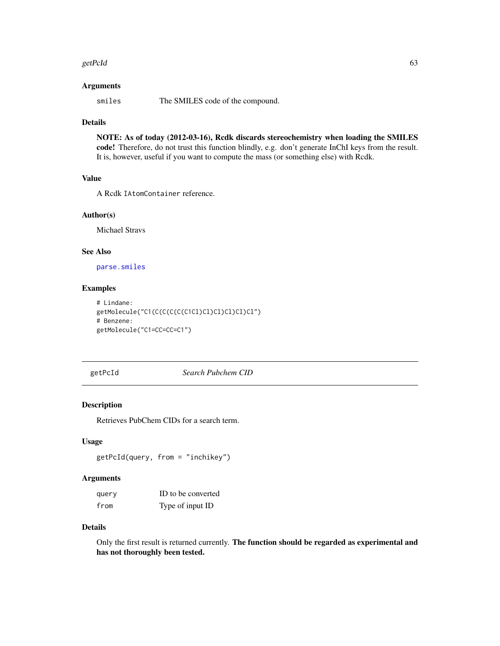#### getPcId 63

#### **Arguments**

smiles The SMILES code of the compound.

### Details

NOTE: As of today (2012-03-16), Rcdk discards stereochemistry when loading the SMILES code! Therefore, do not trust this function blindly, e.g. don't generate InChI keys from the result. It is, however, useful if you want to compute the mass (or something else) with Rcdk.

#### Value

A Rcdk IAtomContainer reference.

## Author(s)

Michael Stravs

## See Also

[parse.smiles](#page-0-0)

# Examples

```
# Lindane:
getMolecule("C1(C(C(C(C(C1Cl)Cl)Cl)Cl)Cl)Cl")
# Benzene:
getMolecule("C1=CC=CC=C1")
```
<span id="page-62-0"></span>getPcId *Search Pubchem CID*

## Description

Retrieves PubChem CIDs for a search term.

#### Usage

```
getPcId(query, from = "inchikey")
```
## Arguments

| query | ID to be converted |
|-------|--------------------|
| from  | Type of input ID   |

## Details

Only the first result is returned currently. The function should be regarded as experimental and has not thoroughly been tested.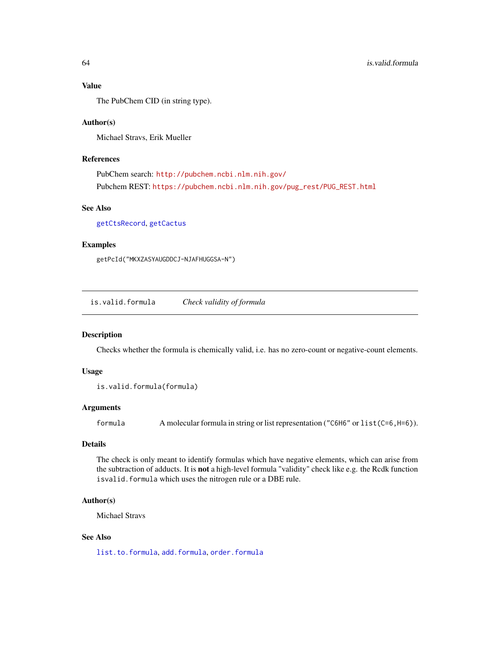#### Value

The PubChem CID (in string type).

### Author(s)

Michael Stravs, Erik Mueller

#### References

PubChem search: <http://pubchem.ncbi.nlm.nih.gov/> Pubchem REST: [https://pubchem.ncbi.nlm.nih.gov/pug\\_rest/PUG\\_REST.html](https://pubchem.ncbi.nlm.nih.gov/pug_rest/PUG_REST.html)

#### See Also

[getCtsRecord](#page-59-0), [getCactus](#page-56-0)

#### Examples

getPcId("MKXZASYAUGDDCJ-NJAFHUGGSA-N")

<span id="page-63-0"></span>is.valid.formula *Check validity of formula*

## Description

Checks whether the formula is chemically valid, i.e. has no zero-count or negative-count elements.

#### Usage

```
is.valid.formula(formula)
```
## Arguments

formula A molecular formula in string or list representation ("C6H6" or list(C=6,H=6)).

# Details

The check is only meant to identify formulas which have negative elements, which can arise from the subtraction of adducts. It is not a high-level formula "validity" check like e.g. the Rcdk function isvalid.formula which uses the nitrogen rule or a DBE rule.

#### Author(s)

Michael Stravs

# See Also

[list.to.formula](#page-49-1), [add.formula](#page-5-0), [order.formula](#page-81-0)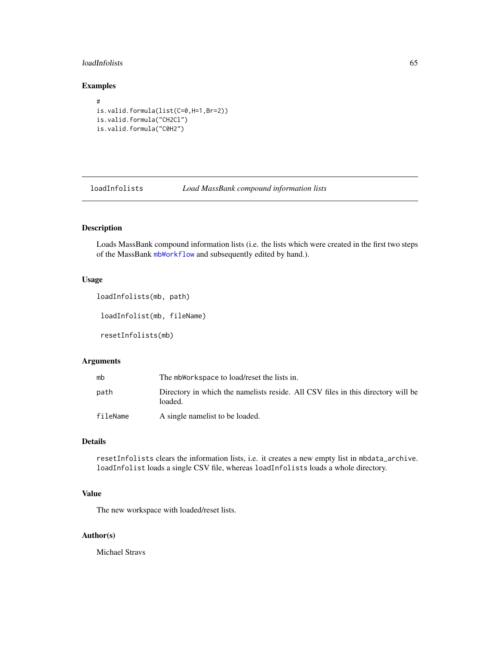#### loadInfolists 65

## Examples

```
#
is.valid.formula(list(C=0,H=1,Br=2))
is.valid.formula("CH2Cl")
is.valid.formula("C0H2")
```
<span id="page-64-1"></span>loadInfolists *Load MassBank compound information lists*

# <span id="page-64-0"></span>Description

Loads MassBank compound information lists (i.e. the lists which were created in the first two steps of the MassBank [mbWorkflow](#page-69-0) and subsequently edited by hand.).

#### Usage

```
loadInfolists(mb, path)
```
loadInfolist(mb, fileName)

resetInfolists(mb)

#### Arguments

| mb       | The mbWorkspace to load/reset the lists in.                                                 |
|----------|---------------------------------------------------------------------------------------------|
| path     | Directory in which the namelists reside. All CSV files in this directory will be<br>loaded. |
| fileName | A single namelist to be loaded.                                                             |

#### Details

resetInfolists clears the information lists, i.e. it creates a new empty list in mbdata\_archive. loadInfolist loads a single CSV file, whereas loadInfolists loads a whole directory.

## Value

The new workspace with loaded/reset lists.

#### Author(s)

Michael Stravs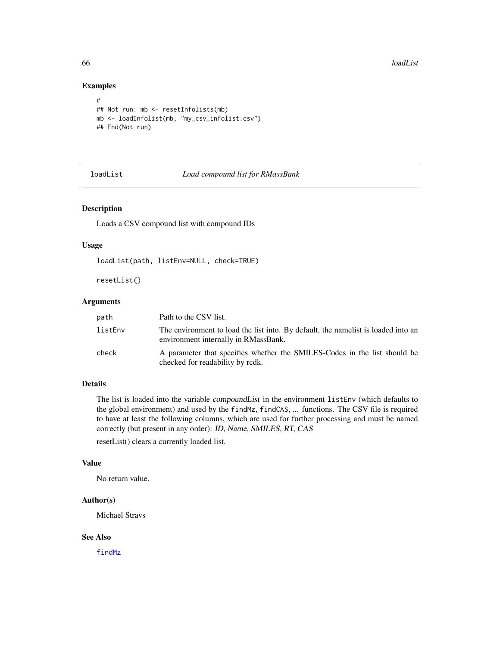## Examples

```
#
## Not run: mb <- resetInfolists(mb)
mb <- loadInfolist(mb, "my_csv_infolist.csv")
## End(Not run)
```
## <span id="page-65-0"></span>loadList *Load compound list for RMassBank*

#### Description

Loads a CSV compound list with compound IDs

#### Usage

```
loadList(path, listEnv=NULL, check=TRUE)
```

```
resetList()
```
# Arguments

| path    | Path to the CSV list.                                                                                                     |
|---------|---------------------------------------------------------------------------------------------------------------------------|
| listEnv | The environment to load the list into. By default, the namelist is loaded into an<br>environment internally in RMassBank. |
| check   | A parameter that specifies whether the SMILES-Codes in the list should be<br>checked for readability by rcdk.             |

# Details

The list is loaded into the variable compoundList in the environment listEnv (which defaults to the global environment) and used by the findMz, findCAS, ... functions. The CSV file is required to have at least the following columns, which are used for further processing and must be named correctly (but present in any order): ID, Name, SMILES, RT, CAS

resetList() clears a currently loaded list.

## Value

No return value.

# Author(s)

Michael Stravs

## See Also

[findMz](#page-45-0)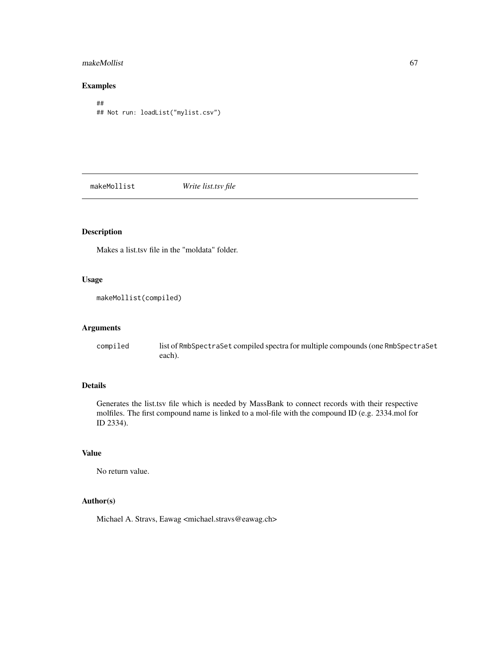## makeMollist 67

# Examples

```
##
## Not run: loadList("mylist.csv")
```
makeMollist *Write list.tsv file*

# Description

Makes a list.tsv file in the "moldata" folder.

# Usage

makeMollist(compiled)

#### Arguments

compiled list of RmbSpectraSet compiled spectra for multiple compounds (one RmbSpectraSet each).

# Details

Generates the list.tsv file which is needed by MassBank to connect records with their respective molfiles. The first compound name is linked to a mol-file with the compound ID (e.g. 2334.mol for ID 2334).

# Value

No return value.

# Author(s)

Michael A. Stravs, Eawag <michael.stravs@eawag.ch>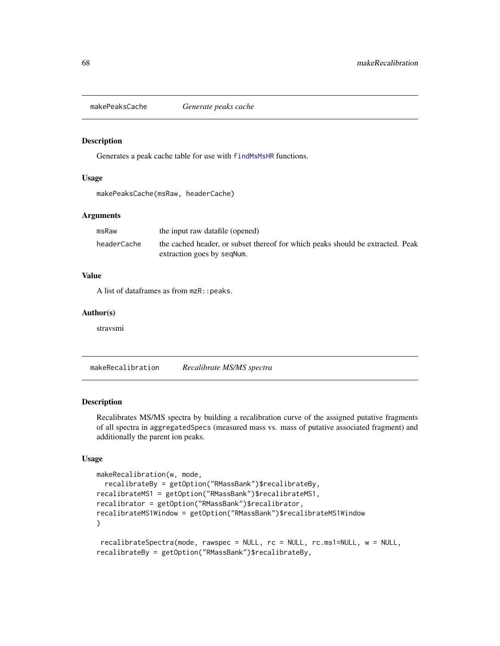#### Description

Generates a peak cache table for use with [findMsMsHR](#page-37-0) functions.

#### Usage

makePeaksCache(msRaw, headerCache)

## Arguments

| msRaw       | the input raw datafile (opened)                                                |
|-------------|--------------------------------------------------------------------------------|
| headerCache | the cached header, or subset thereof for which peaks should be extracted. Peak |
|             | extraction goes by seqNum.                                                     |

#### Value

A list of dataframes as from mzR::peaks.

## Author(s)

stravsmi

makeRecalibration *Recalibrate MS/MS spectra*

#### Description

Recalibrates MS/MS spectra by building a recalibration curve of the assigned putative fragments of all spectra in aggregatedSpecs (measured mass vs. mass of putative associated fragment) and additionally the parent ion peaks.

#### Usage

```
makeRecalibration(w, mode,
  recalibrateBy = getOption("RMassBank")$recalibrateBy,
recalibrateMS1 = getOption("RMassBank")$recalibrateMS1,
recalibrator = getOption("RMassBank")$recalibrator,
recalibrateMS1Window = getOption("RMassBank")$recalibrateMS1Window
)
```

```
recalibrateSpectra(mode, rawspec = NULL, rc = NULL, rc.ms1=NULL, w = NULL,
recalibrateBy = getOption("RMassBank")$recalibrateBy,
```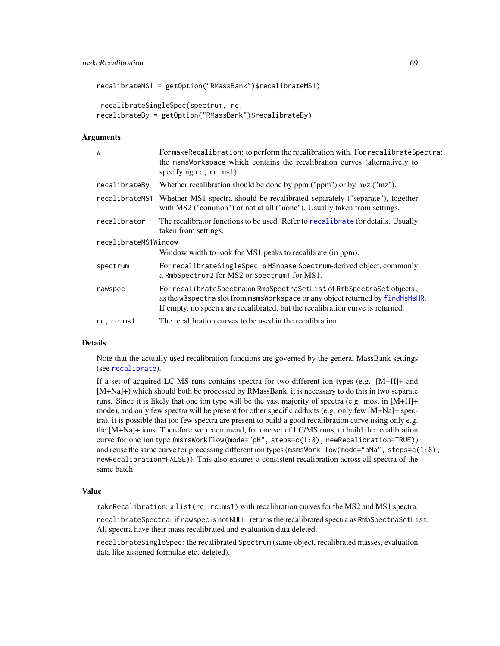```
recalibrateMS1 = getOption("RMassBank")$recalibrateMS1)
```

```
recalibrateSingleSpec(spectrum, rc,
recalibrateBy = getOption("RMassBank")$recalibrateBy)
```
#### Arguments

| W                    | For makeRecalibration: to perform the recalibration with. For recalibrateSpectra:<br>the msmsWorkspace which contains the recalibration curves (alternatively to<br>specifying $rc$ , $rc$ . ms1).                                          |  |
|----------------------|---------------------------------------------------------------------------------------------------------------------------------------------------------------------------------------------------------------------------------------------|--|
| recalibrateBy        | Whether recalibration should be done by ppm ("ppm") or by $m/z$ (" $mz$ ").                                                                                                                                                                 |  |
| recalibrateMS1       | Whether MS1 spectra should be recalibrated separately ("separate"), together<br>with MS2 ("common") or not at all ("none"). Usually taken from settings.                                                                                    |  |
| recalibrator         | The recalibrator functions to be used. Refer to recalibrate for details. Usually<br>taken from settings.                                                                                                                                    |  |
| recalibrateMS1Window |                                                                                                                                                                                                                                             |  |
|                      | Window width to look for MS1 peaks to recalibrate (in ppm).                                                                                                                                                                                 |  |
| spectrum             | For recalibrateSingleSpec: a MSnbase Spectrum-derived object, commonly<br>a RmbSpectrum2 for MS2 or Spectrum1 for MS1.                                                                                                                      |  |
| rawspec              | For recalibrateSpectra: an RmbSpectraSetList of RmbSpectraSet objects,<br>as the w@spectra slot from msmsWorkspace or any object returned by findMsMsHR.<br>If empty, no spectra are recalibrated, but the recalibration curve is returned. |  |
| rc, rc.ms1           | The recalibration curves to be used in the recalibration.                                                                                                                                                                                   |  |
|                      |                                                                                                                                                                                                                                             |  |

## **Details**

Note that the actually used recalibration functions are governed by the general MassBank settings (see [recalibrate](#page-94-0)).

If a set of acquired LC-MS runs contains spectra for two different ion types (e.g. [M+H]+ and [M+Na]+) which should both be processed by RMassBank, it is necessary to do this in two separate runs. Since it is likely that one ion type will be the vast majority of spectra (e.g. most in [M+H]+ mode), and only few spectra will be present for other specific adducts (e.g. only few [M+Na]+ spectra), it is possible that too few spectra are present to build a good recalibration curve using only e.g. the [M+Na]+ ions. Therefore we recommend, for one set of LC/MS runs, to build the recalibration curve for one ion type (msmsWorkflow(mode="pH", steps=c(1:8), newRecalibration=TRUE)) and reuse the same curve for processing different ion types (msmsWorkflow(mode="pNa", steps=c(1:8), newRecalibration=FALSE)). This also ensures a consistent recalibration across all spectra of the same batch.

#### Value

makeRecalibration: a list(rc, rc.ms1) with recalibration curves for the MS2 and MS1 spectra.

recalibrateSpectra: if rawspec is not NULL, returns the recalibrated spectra as RmbSpectraSetList. All spectra have their mass recalibrated and evaluation data deleted.

recalibrateSingleSpec: the recalibrated Spectrum (same object, recalibrated masses, evaluation data like assigned formulae etc. deleted).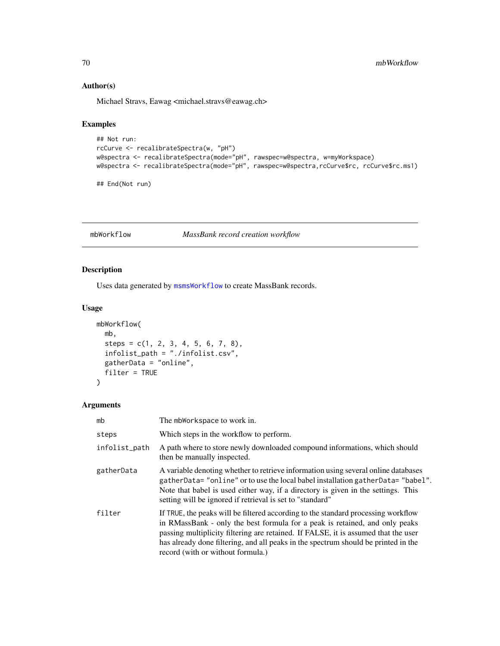# Author(s)

Michael Stravs, Eawag <michael.stravs@eawag.ch>

## Examples

```
## Not run:
rcCurve <- recalibrateSpectra(w, "pH")
w@spectra <- recalibrateSpectra(mode="pH", rawspec=w@spectra, w=myWorkspace)
w@spectra <- recalibrateSpectra(mode="pH", rawspec=w@spectra,rcCurve$rc, rcCurve$rc.ms1)
```
## End(Not run)

#### <span id="page-69-0"></span>mbWorkflow *MassBank record creation workflow*

## Description

Uses data generated by [msmsWorkflow](#page-77-0) to create MassBank records.

#### Usage

```
mbWorkflow(
 mb,
  steps = c(1, 2, 3, 4, 5, 6, 7, 8),infolist_path = "./infolist.csv",
 gatherData = "online",
  filter = TRUE
\mathcal{L}
```
## Arguments

| mb            | The mbWorkspace to work in.                                                                                                                                                                                                                                                                                                                                                       |
|---------------|-----------------------------------------------------------------------------------------------------------------------------------------------------------------------------------------------------------------------------------------------------------------------------------------------------------------------------------------------------------------------------------|
| steps         | Which steps in the workflow to perform.                                                                                                                                                                                                                                                                                                                                           |
| infolist_path | A path where to store newly downloaded compound informations, which should<br>then be manually inspected.                                                                                                                                                                                                                                                                         |
| gatherData    | A variable denoting whether to retrieve information using several online databases<br>gatherData="online" or to use the local babel installation gatherData="babel".<br>Note that babel is used either way, if a directory is given in the settings. This<br>setting will be ignored if retrieval is set to "standard"                                                            |
| filter        | If TRUE, the peaks will be filtered according to the standard processing workflow<br>in RMassBank - only the best formula for a peak is retained, and only peaks<br>passing multiplicity filtering are retained. If FALSE, it is assumed that the user<br>has already done filtering, and all peaks in the spectrum should be printed in the<br>record (with or without formula.) |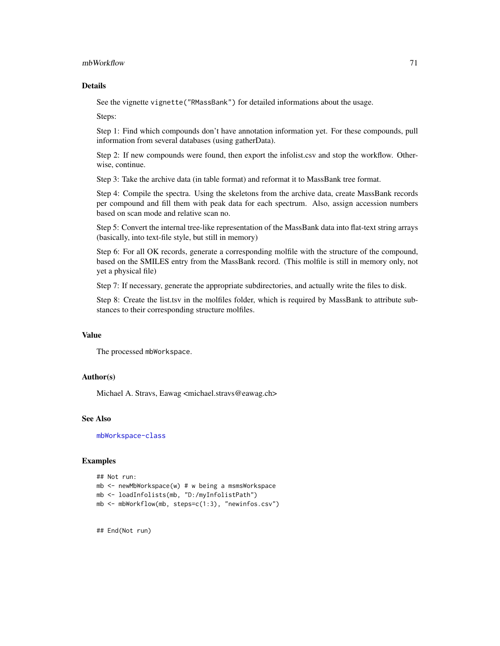#### mbWorkflow 71

#### Details

See the vignette vignette("RMassBank") for detailed informations about the usage.

Steps:

Step 1: Find which compounds don't have annotation information yet. For these compounds, pull information from several databases (using gatherData).

Step 2: If new compounds were found, then export the infolist.csv and stop the workflow. Otherwise, continue.

Step 3: Take the archive data (in table format) and reformat it to MassBank tree format.

Step 4: Compile the spectra. Using the skeletons from the archive data, create MassBank records per compound and fill them with peak data for each spectrum. Also, assign accession numbers based on scan mode and relative scan no.

Step 5: Convert the internal tree-like representation of the MassBank data into flat-text string arrays (basically, into text-file style, but still in memory)

Step 6: For all OK records, generate a corresponding molfile with the structure of the compound, based on the SMILES entry from the MassBank record. (This molfile is still in memory only, not yet a physical file)

Step 7: If necessary, generate the appropriate subdirectories, and actually write the files to disk.

Step 8: Create the list.tsv in the molfiles folder, which is required by MassBank to attribute substances to their corresponding structure molfiles.

#### Value

The processed mbWorkspace.

#### Author(s)

Michael A. Stravs, Eawag <michael.stravs@eawag.ch>

#### See Also

[mbWorkspace-class](#page-71-0)

#### Examples

```
## Not run:
mb <- newMbWorkspace(w) # w being a msmsWorkspace
mb <- loadInfolists(mb, "D:/myInfolistPath")
mb <- mbWorkflow(mb, steps=c(1:3), "newinfos.csv")
```
## End(Not run)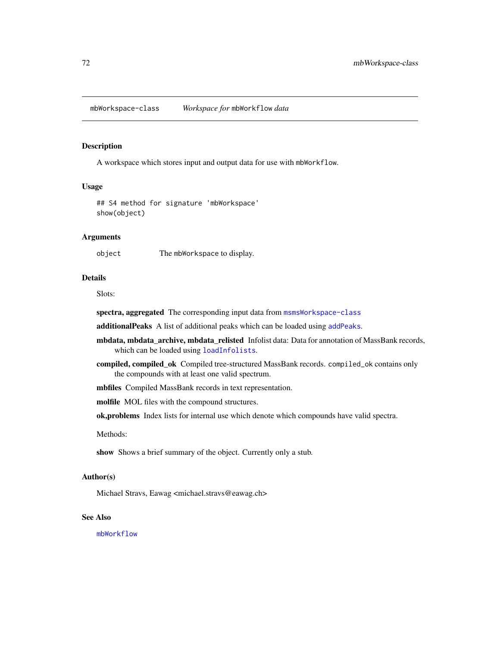<span id="page-71-0"></span>mbWorkspace-class *Workspace for* mbWorkflow *data*

#### Description

A workspace which stores input and output data for use with mbWorkflow.

#### Usage

```
## S4 method for signature 'mbWorkspace'
show(object)
```
## Arguments

object The mbWorkspace to display.

## Details

Slots:

spectra, aggregated The corresponding input data from [msmsWorkspace-class](#page-78-0)

additionalPeaks A list of additional peaks which can be loaded using [addPeaks](#page-7-0).

- mbdata, mbdata\_archive, mbdata\_relisted Infolist data: Data for annotation of MassBank records, which can be loaded using [loadInfolists](#page-64-1).
- compiled, compiled\_ok Compiled tree-structured MassBank records. compiled\_ok contains only the compounds with at least one valid spectrum.

mbfiles Compiled MassBank records in text representation.

molfile MOL files with the compound structures.

ok,problems Index lists for internal use which denote which compounds have valid spectra.

Methods:

show Shows a brief summary of the object. Currently only a stub.

#### Author(s)

Michael Stravs, Eawag <michael.stravs@eawag.ch>

## See Also

[mbWorkflow](#page-69-0)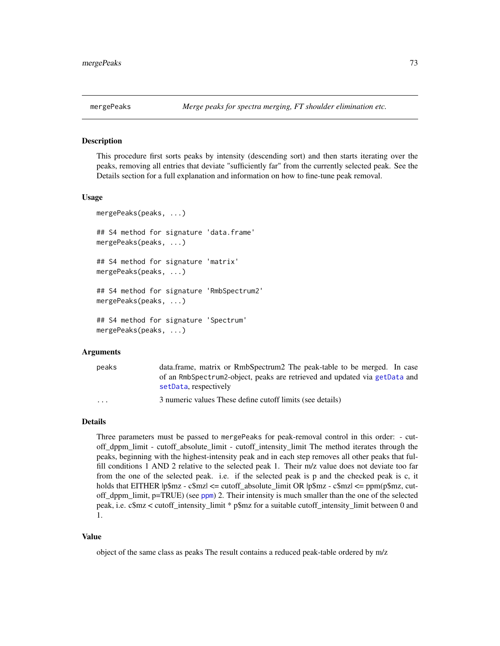This procedure first sorts peaks by intensity (descending sort) and then starts iterating over the peaks, removing all entries that deviate "sufficiently far" from the currently selected peak. See the Details section for a full explanation and information on how to fine-tune peak removal.

#### Usage

```
mergePeaks(peaks, ...)
## S4 method for signature 'data.frame'
mergePeaks(peaks, ...)
## S4 method for signature 'matrix'
mergePeaks(peaks, ...)
## S4 method for signature 'RmbSpectrum2'
mergePeaks(peaks, ...)
## S4 method for signature 'Spectrum'
mergePeaks(peaks, ...)
```
#### Arguments

| peaks                   | data.frame, matrix or RmbSpectrum2 The peak-table to be merged. In case    |
|-------------------------|----------------------------------------------------------------------------|
|                         | of an RmbSpectrum2-object, peaks are retrieved and updated via getData and |
|                         | setData, respectively                                                      |
| $\cdot$ $\cdot$ $\cdot$ | 3 numeric values These define cutoff limits (see details)                  |

### Details

Three parameters must be passed to mergePeaks for peak-removal control in this order: - cutoff\_dppm\_limit - cutoff\_absolute\_limit - cutoff\_intensity\_limit The method iterates through the peaks, beginning with the highest-intensity peak and in each step removes all other peaks that fulfill conditions 1 AND 2 relative to the selected peak 1. Their m/z value does not deviate too far from the one of the selected peak. i.e. if the selected peak is p and the checked peak is c, it holds that EITHER  $|p\$ {Smz - c\{Smz}| \leq cutoff\\_absolute\\_limit OR } |p\{Smz - c\{Smz}| \leq= ppm(p\{Smz, cut-1}) off\_dppm\_limit, p=TRUE) (see [ppm](#page-87-0)) 2. Their intensity is much smaller than the one of the selected peak, i.e. c\$mz < cutoff\_intensity\_limit \* p\$mz for a suitable cutoff\_intensity\_limit between 0 and 1.

#### Value

object of the same class as peaks The result contains a reduced peak-table ordered by m/z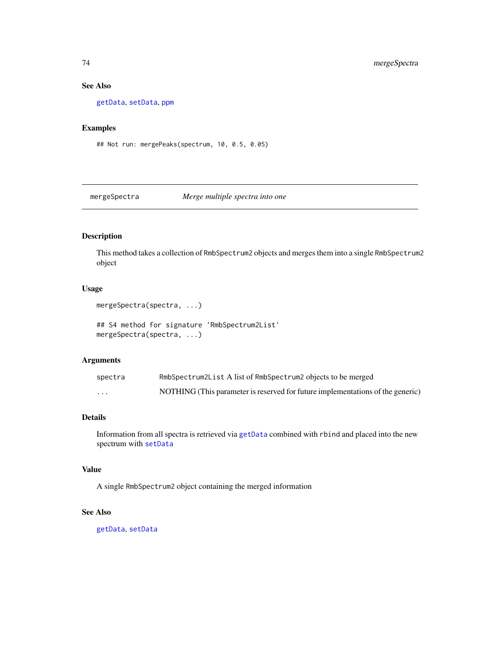## See Also

[getData](#page-60-0), [setData](#page-107-0), [ppm](#page-87-0)

## Examples

## Not run: mergePeaks(spectrum, 10, 0.5, 0.05)

mergeSpectra *Merge multiple spectra into one*

# Description

This method takes a collection of RmbSpectrum2 objects and merges them into a single RmbSpectrum2 object

# Usage

```
mergeSpectra(spectra, ...)
```
## S4 method for signature 'RmbSpectrum2List' mergeSpectra(spectra, ...)

### Arguments

| spectra | RmbSpectrum2List A list of RmbSpectrum2 objects to be merged                   |
|---------|--------------------------------------------------------------------------------|
| $\cdot$ | NOTHING (This parameter is reserved for future implementations of the generic) |

## Details

Information from all spectra is retrieved via [getData](#page-60-0) combined with rbind and placed into the new spectrum with [setData](#page-107-0)

### Value

A single RmbSpectrum2 object containing the merged information

### See Also

[getData](#page-60-0), [setData](#page-107-0)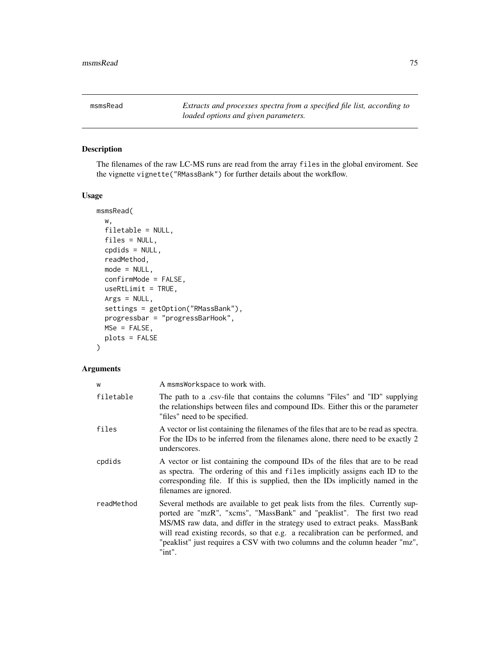msmsRead *Extracts and processes spectra from a specified file list, according to loaded options and given parameters.*

# Description

The filenames of the raw LC-MS runs are read from the array files in the global enviroment. See the vignette vignette("RMassBank") for further details about the workflow.

#### Usage

```
msmsRead(
 w,
  filetable = NULL,
  files = NULL,
 cpdids = NULL,
  readMethod,
 mode = NULL,confirmMode = FALSE,
 useRtLimit = TRUE,
 Args = NULL,
  settings = getOption("RMassBank"),
 progressbar = "progressBarHook",
 MSe = FALSE,
 plots = FALSE
\mathcal{L}
```
## Arguments

| W          | A msmsWorkspace to work with.                                                                                                                                                                                                                                                                                                                                                                                      |
|------------|--------------------------------------------------------------------------------------------------------------------------------------------------------------------------------------------------------------------------------------------------------------------------------------------------------------------------------------------------------------------------------------------------------------------|
| filetable  | The path to a .csv-file that contains the columns "Files" and "ID" supplying<br>the relationships between files and compound IDs. Either this or the parameter<br>"files" need to be specified.                                                                                                                                                                                                                    |
| files      | A vector or list containing the filenames of the files that are to be read as spectra.<br>For the IDs to be inferred from the filenames alone, there need to be exactly 2<br>underscores.                                                                                                                                                                                                                          |
| cpdids     | A vector or list containing the compound IDs of the files that are to be read<br>as spectra. The ordering of this and files implicitly assigns each ID to the<br>corresponding file. If this is supplied, then the IDs implicitly named in the<br>filenames are ignored.                                                                                                                                           |
| readMethod | Several methods are available to get peak lists from the files. Currently sup-<br>ported are "mzR", "xcms", "MassBank" and "peaklist". The first two read<br>MS/MS raw data, and differ in the strategy used to extract peaks. MassBank<br>will read existing records, so that e.g. a recalibration can be performed, and<br>"peaklist" just requires a CSV with two columns and the column header "mz",<br>"int". |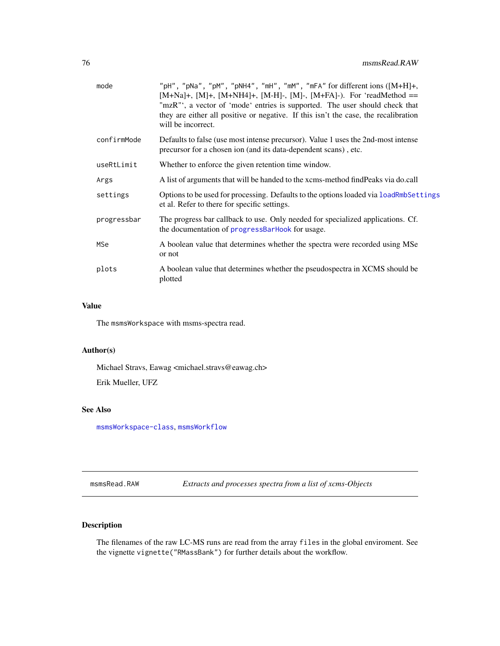| mode        | "pH", "pNa", "pM", "pNH4", "mH", "mM", "mFA" for different ions $([M+H]+$<br>$[M+Na]+$ , $[M]+$ , $[M+NH4]+$ , $[M-H]$ -, $[M]+FA$ ]-). For 'readMethod ==<br>"mzR"', a vector of 'mode' entries is supported. The user should check that<br>they are either all positive or negative. If this isn't the case, the recalibration<br>will be incorrect. |
|-------------|--------------------------------------------------------------------------------------------------------------------------------------------------------------------------------------------------------------------------------------------------------------------------------------------------------------------------------------------------------|
| confirmMode | Defaults to false (use most intense precursor). Value 1 uses the 2nd-most intense<br>precursor for a chosen ion (and its data-dependent scans), etc.                                                                                                                                                                                                   |
| useRtLimit  | Whether to enforce the given retention time window.                                                                                                                                                                                                                                                                                                    |
| Args        | A list of arguments that will be handed to the xcms-method find Peaks via do.call                                                                                                                                                                                                                                                                      |
| settings    | Options to be used for processing. Defaults to the options loaded via loadRmbSettings<br>et al. Refer to there for specific settings.                                                                                                                                                                                                                  |
| progressbar | The progress bar callback to use. Only needed for specialized applications. Cf.<br>the documentation of progressBarHook for usage.                                                                                                                                                                                                                     |
| MSe         | A boolean value that determines whether the spectra were recorded using MSe<br>or not                                                                                                                                                                                                                                                                  |
| plots       | A boolean value that determines whether the pseudospectra in XCMS should be<br>plotted                                                                                                                                                                                                                                                                 |

# Value

The msmsWorkspace with msms-spectra read.

# Author(s)

Michael Stravs, Eawag <michael.stravs@eawag.ch>

Erik Mueller, UFZ

## See Also

[msmsWorkspace-class](#page-78-0), [msmsWorkflow](#page-77-0)

msmsRead.RAW *Extracts and processes spectra from a list of xcms-Objects*

# Description

The filenames of the raw LC-MS runs are read from the array files in the global enviroment. See the vignette vignette("RMassBank") for further details about the workflow.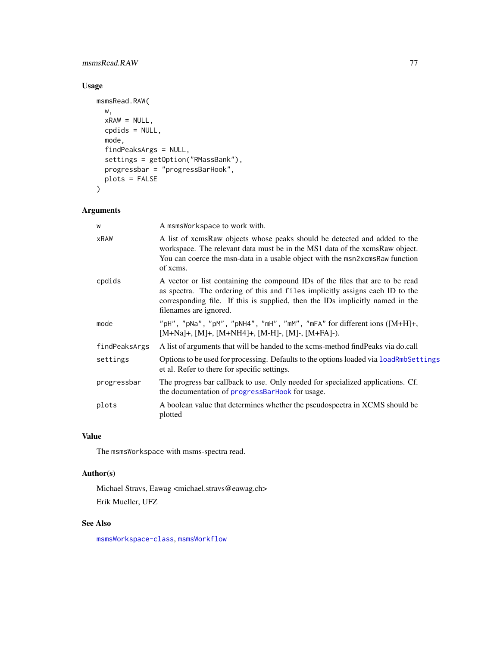# msmsRead.RAW 77

# Usage

```
msmsRead.RAW(
 w,
 xRAW = NULL,cpdids = NULL,
 mode,
 findPeaksArgs = NULL,
 settings = getOption("RMassBank"),
 progressbar = "progressBarHook",
 plots = FALSE
)
```
# Arguments

| W             | A msmsWorkspace to work with.                                                                                                                                                                                                                                            |
|---------------|--------------------------------------------------------------------------------------------------------------------------------------------------------------------------------------------------------------------------------------------------------------------------|
| xRAW          | A list of xcmsRaw objects whose peaks should be detected and added to the<br>workspace. The relevant data must be in the MS1 data of the xcmsRaw object.<br>You can coerce the msn-data in a usable object with the msn2xcmsRaw function<br>of xcms.                     |
| cpdids        | A vector or list containing the compound IDs of the files that are to be read<br>as spectra. The ordering of this and files implicitly assigns each ID to the<br>corresponding file. If this is supplied, then the IDs implicitly named in the<br>filenames are ignored. |
| mode          | "pH", "pNa", "pM", "pNH4", "mH", "mM", "mFA" for different ions $([M+H]+,$<br>$[M+Na]+$ , $[M]+$ , $[M+NH4]+$ , $[M-H]$ -, $[M]+FA$ ]-).                                                                                                                                 |
| findPeaksArgs | A list of arguments that will be handed to the xcms-method find Peaks via do.call                                                                                                                                                                                        |
| settings      | Options to be used for processing. Defaults to the options loaded via loadRmbSettings<br>et al. Refer to there for specific settings.                                                                                                                                    |
| progressbar   | The progress bar callback to use. Only needed for specialized applications. Cf.<br>the documentation of progressBarHook for usage.                                                                                                                                       |
| plots         | A boolean value that determines whether the pseudospectra in XCMS should be<br>plotted                                                                                                                                                                                   |

# Value

The msmsWorkspace with msms-spectra read.

## Author(s)

Michael Stravs, Eawag <michael.stravs@eawag.ch> Erik Mueller, UFZ

# See Also

[msmsWorkspace-class](#page-78-0), [msmsWorkflow](#page-77-0)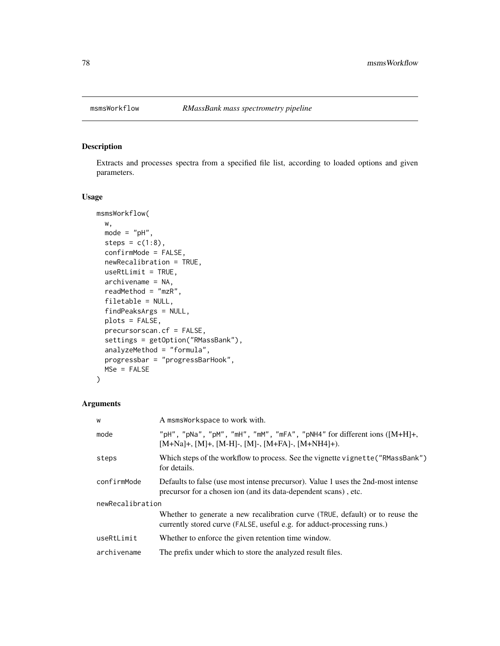<span id="page-77-0"></span>

Extracts and processes spectra from a specified file list, according to loaded options and given parameters.

# Usage

```
msmsWorkflow(
  w,
 mode = "pH",
  steps = c(1:8),
 confirmMode = FALSE,
  newRecalibration = TRUE,
  useRtLimit = TRUE,
  archivename = NA,
  readMethod = "mzR",
  filetable = NULL,
  findPeaksArgs = NULL,
 plots = FALSE,
 precursorscan.cf = FALSE,
  settings = getOption("RMassBank"),
  analyzeMethod = "formula",
 progressbar = "progressBarHook",
 MSe = FALSE
)
```
# Arguments

| W                | A msmsWorkspace to work with.                                                                                                                            |  |
|------------------|----------------------------------------------------------------------------------------------------------------------------------------------------------|--|
| mode             | "pH", "pNa", "pM", "mH", "mM", "mFA", "pNH4" for different ions $([M+H]+$<br>$[M+Na]+$ , $[M]+$ , $[M-H]$ -, $[M]+FA$ ]-, $[M+NH4]+$ ).                  |  |
| steps            | Which steps of the workflow to process. See the vignette vignette ("RMassBank")<br>for details.                                                          |  |
| confirmMode      | Defaults to false (use most intense precursor). Value 1 uses the 2nd-most intense<br>precursor for a chosen ion (and its data-dependent scans), etc.     |  |
| newRecalibration |                                                                                                                                                          |  |
|                  | Whether to generate a new recalibration curve (TRUE, default) or to reuse the<br>currently stored curve (FALSE, useful e.g. for adduct-processing runs.) |  |
| useRtLimit       | Whether to enforce the given retention time window.                                                                                                      |  |
| archivename      | The prefix under which to store the analyzed result files.                                                                                               |  |
|                  |                                                                                                                                                          |  |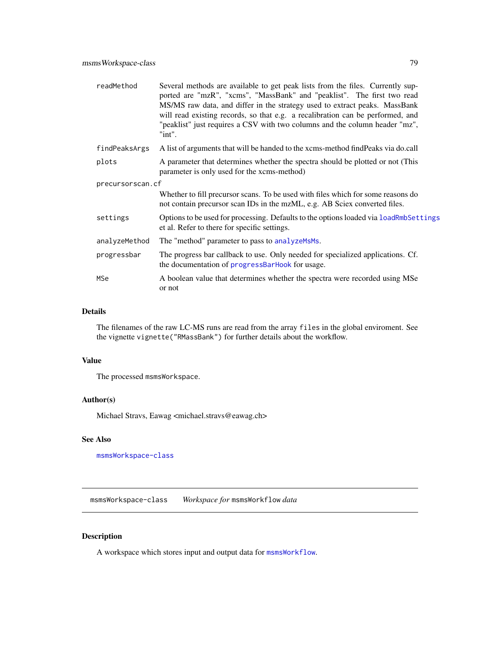| readMethod       | Several methods are available to get peak lists from the files. Currently sup-<br>ported are "mzR", "xcms", "MassBank" and "peaklist". The first two read<br>MS/MS raw data, and differ in the strategy used to extract peaks. MassBank<br>will read existing records, so that e.g. a recalibration can be performed, and<br>"peaklist" just requires a CSV with two columns and the column header "mz",<br>"int". |  |
|------------------|--------------------------------------------------------------------------------------------------------------------------------------------------------------------------------------------------------------------------------------------------------------------------------------------------------------------------------------------------------------------------------------------------------------------|--|
| findPeaksArgs    | A list of arguments that will be handed to the xcms-method find Peaks via do.call                                                                                                                                                                                                                                                                                                                                  |  |
| plots            | A parameter that determines whether the spectra should be plotted or not (This<br>parameter is only used for the xcms-method)                                                                                                                                                                                                                                                                                      |  |
| precursorscan.cf |                                                                                                                                                                                                                                                                                                                                                                                                                    |  |
|                  | Whether to fill precursor scans. To be used with files which for some reasons do<br>not contain precursor scan IDs in the mzML, e.g. AB Sciex converted files.                                                                                                                                                                                                                                                     |  |
| settings         | Options to be used for processing. Defaults to the options loaded via loadRmbSettings<br>et al. Refer to there for specific settings.                                                                                                                                                                                                                                                                              |  |
| analyzeMethod    | The "method" parameter to pass to analyzeMsMs.                                                                                                                                                                                                                                                                                                                                                                     |  |
| progressbar      | The progress bar callback to use. Only needed for specialized applications. Cf.<br>the documentation of progressBarHook for usage.                                                                                                                                                                                                                                                                                 |  |
| <b>MSe</b>       | A boolean value that determines whether the spectra were recorded using MSe<br>or not                                                                                                                                                                                                                                                                                                                              |  |

# Details

The filenames of the raw LC-MS runs are read from the array files in the global enviroment. See the vignette vignette("RMassBank") for further details about the workflow.

# Value

The processed msmsWorkspace.

## Author(s)

Michael Stravs, Eawag <michael.stravs@eawag.ch>

# See Also

[msmsWorkspace-class](#page-78-0)

<span id="page-78-0"></span>msmsWorkspace-class *Workspace for* msmsWorkflow *data*

# Description

A workspace which stores input and output data for [msmsWorkflow](#page-77-0).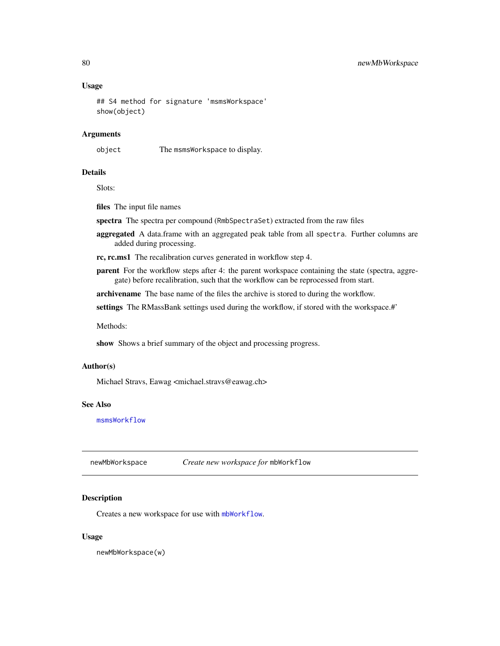#### Usage

```
## S4 method for signature 'msmsWorkspace'
show(object)
```
## Arguments

object The msmsWorkspace to display.

#### Details

Slots:

files The input file names

spectra The spectra per compound (RmbSpectraSet) extracted from the raw files

- aggregated A data.frame with an aggregated peak table from all spectra. Further columns are added during processing.
- rc, rc.ms1 The recalibration curves generated in workflow step 4.
- **parent** For the workflow steps after 4: the parent workspace containing the state (spectra, aggregate) before recalibration, such that the workflow can be reprocessed from start.

archivename The base name of the files the archive is stored to during the workflow.

settings The RMassBank settings used during the workflow, if stored with the workspace.#'

Methods<sup>-</sup>

show Shows a brief summary of the object and processing progress.

#### Author(s)

Michael Stravs, Eawag <michael.stravs@eawag.ch>

#### See Also

[msmsWorkflow](#page-77-0)

newMbWorkspace *Create new workspace for* mbWorkflow

## Description

Creates a new workspace for use with [mbWorkflow](#page-69-0).

#### Usage

newMbWorkspace(w)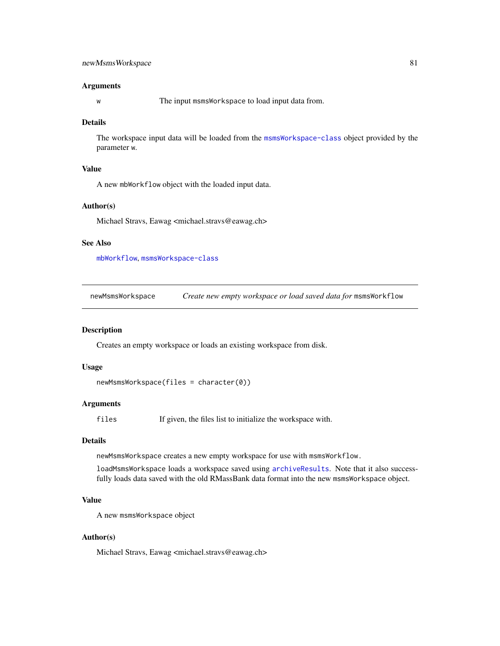# newMsmsWorkspace 81

#### Arguments

w The input msmsWorkspace to load input data from.

#### Details

The workspace input data will be loaded from the [msmsWorkspace-class](#page-78-0) object provided by the parameter w.

#### Value

A new mbWorkflow object with the loaded input data.

### Author(s)

Michael Stravs, Eawag <michael.stravs@eawag.ch>

#### See Also

[mbWorkflow](#page-69-0), [msmsWorkspace-class](#page-78-0)

newMsmsWorkspace *Create new empty workspace or load saved data for* msmsWorkflow

#### Description

Creates an empty workspace or loads an existing workspace from disk.

### Usage

```
newMsmsWorkspace(files = character(0))
```
### Arguments

files If given, the files list to initialize the workspace with.

#### Details

newMsmsWorkspace creates a new empty workspace for use with msmsWorkflow.

loadMsmsWorkspace loads a workspace saved using [archiveResults](#page-15-0). Note that it also successfully loads data saved with the old RMassBank data format into the new msmsWorkspace object.

# Value

A new msmsWorkspace object

## Author(s)

Michael Stravs, Eawag <michael.stravs@eawag.ch>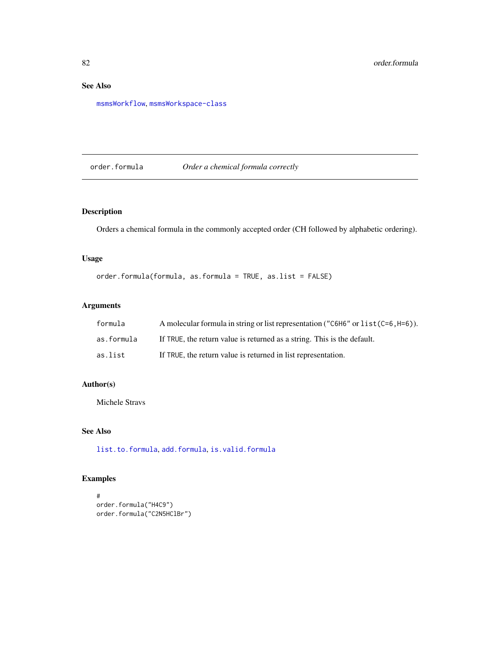# See Also

[msmsWorkflow](#page-77-0), [msmsWorkspace-class](#page-78-0)

order.formula *Order a chemical formula correctly*

# Description

Orders a chemical formula in the commonly accepted order (CH followed by alphabetic ordering).

# Usage

```
order.formula(formula, as.formula = TRUE, as.list = FALSE)
```
## Arguments

| formula    | A molecular formula in string or list representation ( $\degree$ C6H6 $\degree$ or list (C=6, H=6)). |
|------------|------------------------------------------------------------------------------------------------------|
| as.formula | If TRUE, the return value is returned as a string. This is the default.                              |
| as.list    | If TRUE, the return value is returned in list representation.                                        |

## Author(s)

Michele Stravs

# See Also

[list.to.formula](#page-49-0), [add.formula](#page-5-0), [is.valid.formula](#page-63-0)

# Examples

```
#
order.formula("H4C9")
order.formula("C2N5HClBr")
```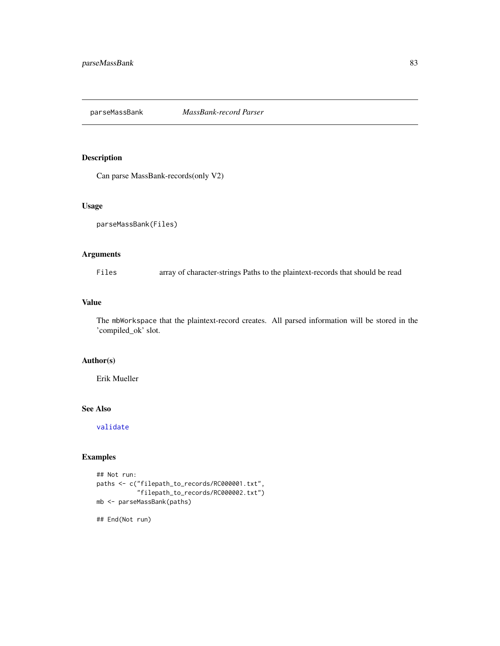parseMassBank *MassBank-record Parser*

## Description

Can parse MassBank-records(only V2)

## Usage

```
parseMassBank(Files)
```
### Arguments

Files array of character-strings Paths to the plaintext-records that should be read

# Value

The mbWorkspace that the plaintext-record creates. All parsed information will be stored in the 'compiled\_ok' slot.

# Author(s)

Erik Mueller

# See Also

[validate](#page-114-0)

# Examples

```
## Not run:
paths <- c("filepath_to_records/RC000001.txt",
           "filepath_to_records/RC000002.txt")
mb <- parseMassBank(paths)
```
## End(Not run)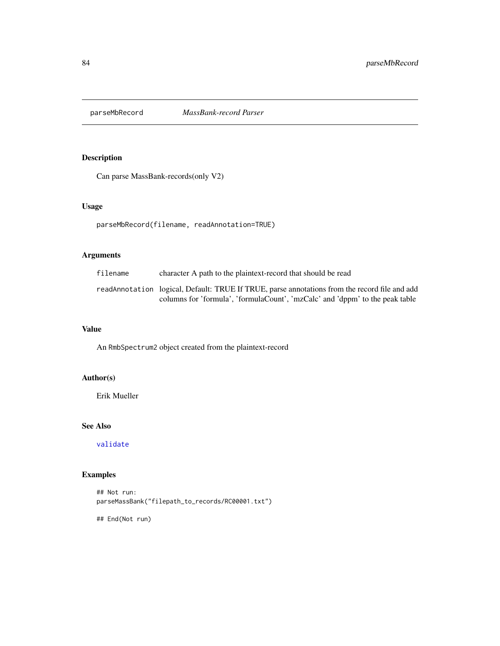Can parse MassBank-records(only V2)

## Usage

parseMbRecord(filename, readAnnotation=TRUE)

# Arguments

| filename | character A path to the plaintext-record that should be read                                  |
|----------|-----------------------------------------------------------------------------------------------|
|          | readAnnotation logical, Default: TRUE If TRUE, parse annotations from the record file and add |
|          | columns for 'formula', 'formulaCount', 'mzCalc' and 'dppm' to the peak table                  |

## Value

An RmbSpectrum2 object created from the plaintext-record

# Author(s)

Erik Mueller

# See Also

[validate](#page-114-0)

# Examples

```
## Not run:
parseMassBank("filepath_to_records/RC00001.txt")
```
## End(Not run)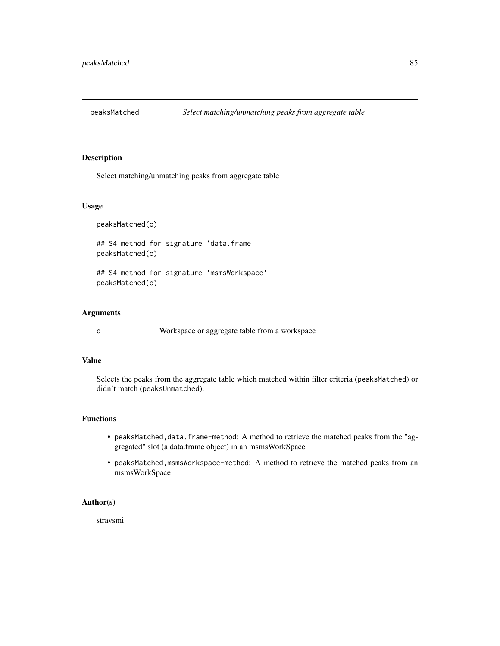Select matching/unmatching peaks from aggregate table

## Usage

peaksMatched(o)

## S4 method for signature 'data.frame' peaksMatched(o)

## S4 method for signature 'msmsWorkspace' peaksMatched(o)

#### Arguments

o Workspace or aggregate table from a workspace

### Value

Selects the peaks from the aggregate table which matched within filter criteria (peaksMatched) or didn't match (peaksUnmatched).

# Functions

- peaksMatched, data.frame-method: A method to retrieve the matched peaks from the "aggregated" slot (a data.frame object) in an msmsWorkSpace
- peaksMatched,msmsWorkspace-method: A method to retrieve the matched peaks from an msmsWorkSpace

## Author(s)

stravsmi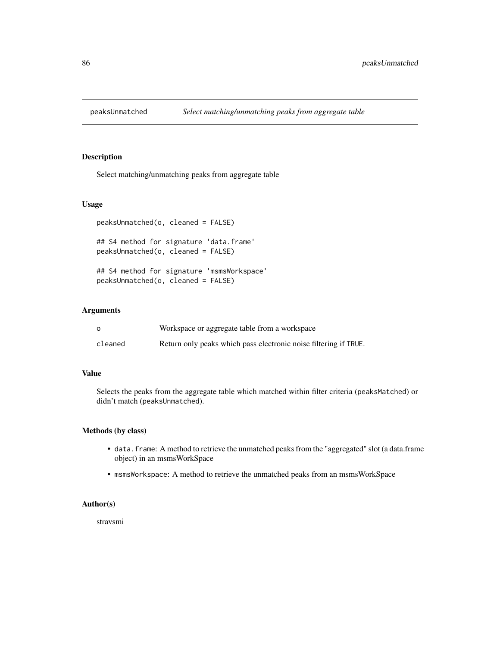Select matching/unmatching peaks from aggregate table

#### Usage

```
peaksUnmatched(o, cleaned = FALSE)
```
## S4 method for signature 'data.frame' peaksUnmatched(o, cleaned = FALSE)

## S4 method for signature 'msmsWorkspace' peaksUnmatched(o, cleaned = FALSE)

# Arguments

| $\Omega$ | Workspace or aggregate table from a workspace                    |
|----------|------------------------------------------------------------------|
| cleaned  | Return only peaks which pass electronic noise filtering if TRUE. |

## Value

Selects the peaks from the aggregate table which matched within filter criteria (peaksMatched) or didn't match (peaksUnmatched).

### Methods (by class)

- data.frame: A method to retrieve the unmatched peaks from the "aggregated" slot (a data.frame object) in an msmsWorkSpace
- msmsWorkspace: A method to retrieve the unmatched peaks from an msmsWorkSpace

#### Author(s)

stravsmi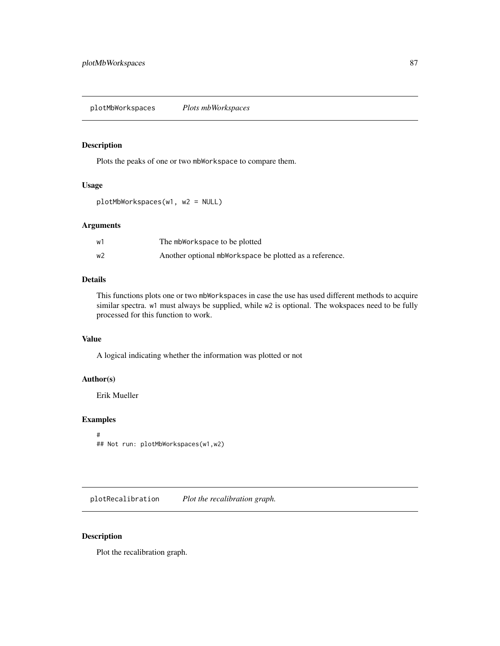plotMbWorkspaces *Plots mbWorkspaces*

### Description

Plots the peaks of one or two mbWorkspace to compare them.

### Usage

plotMbWorkspaces(w1, w2 = NULL)

## Arguments

| w1 | The mbWorkspace to be plotted                           |
|----|---------------------------------------------------------|
| w2 | Another optional mbWorkspace be plotted as a reference. |

# Details

This functions plots one or two mbWorkspaces in case the use has used different methods to acquire similar spectra. w1 must always be supplied, while w2 is optional. The wokspaces need to be fully processed for this function to work.

## Value

A logical indicating whether the information was plotted or not

### Author(s)

Erik Mueller

## Examples

```
#
## Not run: plotMbWorkspaces(w1,w2)
```
plotRecalibration *Plot the recalibration graph.*

# Description

Plot the recalibration graph.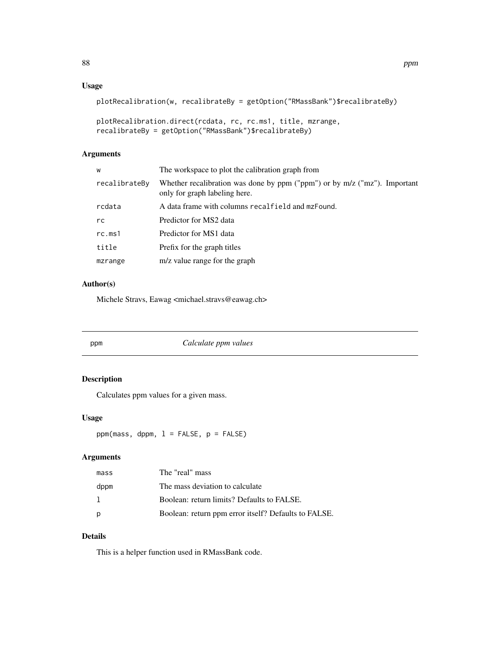# Usage

```
plotRecalibration(w, recalibrateBy = getOption("RMassBank")$recalibrateBy)
```

```
plotRecalibration.direct(rcdata, rc, rc.ms1, title, mzrange,
recalibrateBy = getOption("RMassBank")$recalibrateBy)
```
## Arguments

| W             | The workspace to plot the calibration graph from                                                           |
|---------------|------------------------------------------------------------------------------------------------------------|
| recalibrateBy | Whether recalibration was done by ppm ("ppm") or by m/z ("mz"). Important<br>only for graph labeling here. |
| rcdata        | A data frame with columns recalfield and mzFound.                                                          |
| rc            | Predictor for MS2 data                                                                                     |
| rc.ms1        | Predictor for MS1 data                                                                                     |
| title         | Prefix for the graph titles                                                                                |
| mzrange       | m/z value range for the graph                                                                              |

# Author(s)

Michele Stravs, Eawag <michael.stravs@eawag.ch>

<span id="page-87-0"></span>

| ppm | Calculate ppm values |
|-----|----------------------|
|     |                      |

# Description

Calculates ppm values for a given mass.

# Usage

 $ppm(mass, dppm, 1 = FALSE, p = FALSE)$ 

# Arguments

| mass | The "real" mass                                      |
|------|------------------------------------------------------|
| dppm | The mass deviation to calculate                      |
| 1.   | Boolean: return limits? Defaults to FALSE.           |
| p    | Boolean: return ppm error itself? Defaults to FALSE. |

# Details

This is a helper function used in RMassBank code.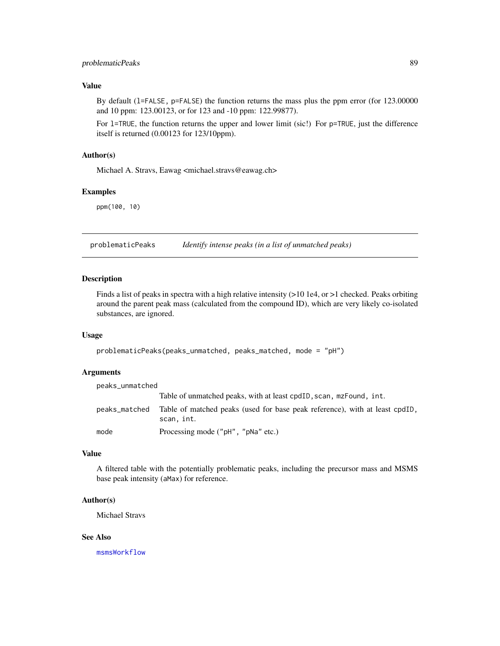## problematicPeaks 89

# Value

By default (l=FALSE, p=FALSE) the function returns the mass plus the ppm error (for 123.00000 and 10 ppm: 123.00123, or for 123 and -10 ppm: 122.99877).

For 1=TRUE, the function returns the upper and lower limit (sic!) For  $p$ =TRUE, just the difference itself is returned (0.00123 for 123/10ppm).

### Author(s)

Michael A. Stravs, Eawag <michael.stravs@eawag.ch>

#### Examples

ppm(100, 10)

problematicPeaks *Identify intense peaks (in a list of unmatched peaks)*

## Description

Finds a list of peaks in spectra with a high relative intensity (>10 1e4, or >1 checked. Peaks orbiting around the parent peak mass (calculated from the compound ID), which are very likely co-isolated substances, are ignored.

#### Usage

```
problematicPeaks(peaks_unmatched, peaks_matched, mode = "pH")
```
#### Arguments

| peaks_unmatched |                                                                                           |
|-----------------|-------------------------------------------------------------------------------------------|
|                 | Table of unmatched peaks, with at least cpdID, scan, mzFound, int.                        |
| peaks_matched   | Table of matched peaks (used for base peak reference), with at least cpdID,<br>scan, int. |
| mode            | Processing mode ("pH", "pNa" etc.)                                                        |

### Value

A filtered table with the potentially problematic peaks, including the precursor mass and MSMS base peak intensity (aMax) for reference.

#### Author(s)

Michael Stravs

## See Also

[msmsWorkflow](#page-77-0)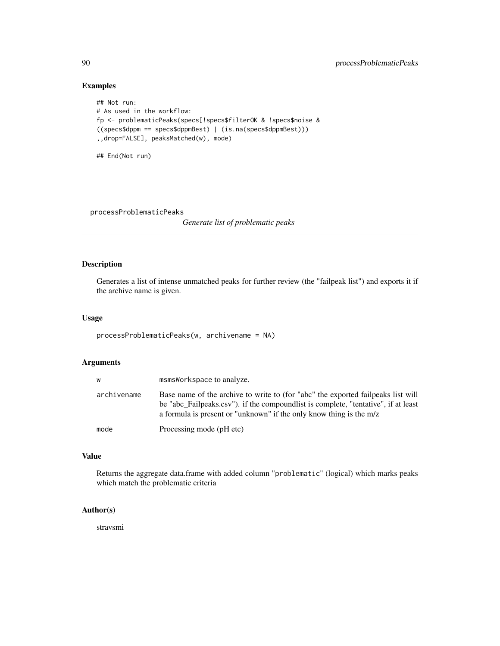# Examples

```
## Not run:
# As used in the workflow:
fp <- problematicPeaks(specs[!specs$filterOK & !specs$noise &
((specs$dppm == specs$dppmBest) | (is.na(specs$dppmBest)))
,,drop=FALSE], peaksMatched(w), mode)
## End(Not run)
```
processProblematicPeaks

*Generate list of problematic peaks*

# Description

Generates a list of intense unmatched peaks for further review (the "failpeak list") and exports it if the archive name is given.

## Usage

processProblematicPeaks(w, archivename = NA)

# Arguments

| W           | msmsWorkspace to analyze.                                                                                                                                                                                                                      |
|-------------|------------------------------------------------------------------------------------------------------------------------------------------------------------------------------------------------------------------------------------------------|
| archivename | Base name of the archive to write to (for "abc" the exported failpeaks list will<br>be "abc Failpeaks.csv"). if the compound is is complete, "tentative", if at least<br>a formula is present or "unknown" if the only know thing is the $m/z$ |
| mode        | Processing mode (pH etc)                                                                                                                                                                                                                       |

#### Value

Returns the aggregate data.frame with added column "problematic" (logical) which marks peaks which match the problematic criteria

### Author(s)

stravsmi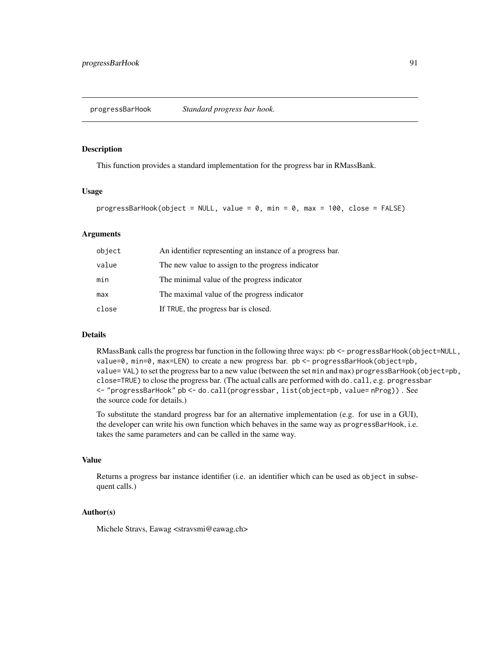<span id="page-90-0"></span>This function provides a standard implementation for the progress bar in RMassBank.

#### Usage

progressBarHook(object = NULL, value =  $0$ , min =  $0$ , max = 100, close = FALSE)

### Arguments

| object | An identifier representing an instance of a progress bar. |
|--------|-----------------------------------------------------------|
| value  | The new value to assign to the progress indicator         |
| min    | The minimal value of the progress indicator               |
| max    | The maximal value of the progress indicator               |
| close  | If TRUE, the progress bar is closed.                      |

## **Details**

RMassBank calls the progress bar function in the following three ways: pb <- progressBarHook(object=NULL, value=0, min=0, max=LEN) to create a new progress bar. pb <- progressBarHook(object=pb, value= VAL) to set the progress bar to a new value (between the set min and max) progressBarHook(object=pb, close=TRUE) to close the progress bar. (The actual calls are performed with do.call, e.g. progressbar <- "progressBarHook" pb <- do.call(progressbar, list(object=pb, value= nProg)) . See the source code for details.)

To substitute the standard progress bar for an alternative implementation (e.g. for use in a GUI), the developer can write his own function which behaves in the same way as progressBarHook, i.e. takes the same parameters and can be called in the same way.

#### Value

Returns a progress bar instance identifier (i.e. an identifier which can be used as object in subsequent calls.)

### Author(s)

Michele Stravs, Eawag <stravsmi@eawag.ch>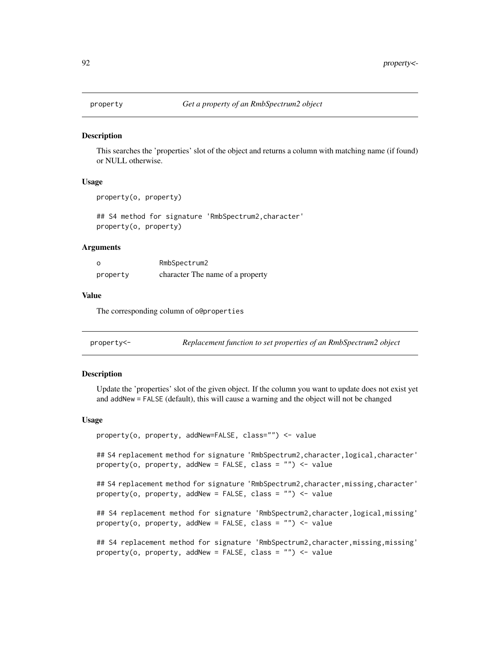This searches the 'properties' slot of the object and returns a column with matching name (if found) or NULL otherwise.

#### Usage

```
property(o, property)
```
## S4 method for signature 'RmbSpectrum2,character' property(o, property)

#### Arguments

| $\circ$  | RmbSpectrum2                     |
|----------|----------------------------------|
| property | character The name of a property |

## Value

The corresponding column of o@properties

<span id="page-91-0"></span>property<- *Replacement function to set properties of an RmbSpectrum2 object*

#### **Description**

Update the 'properties' slot of the given object. If the column you want to update does not exist yet and addNew = FALSE (default), this will cause a warning and the object will not be changed

#### Usage

```
property(o, property, addNew=FALSE, class="") <- value
```
## S4 replacement method for signature 'RmbSpectrum2,character,logical,character' property(o, property, addNew = FALSE, class =  $"")$  <- value

## S4 replacement method for signature 'RmbSpectrum2, character, missing, character' property(o, property, addNew = FALSE, class = "") <- value

## S4 replacement method for signature 'RmbSpectrum2, character, logical, missing' property(o, property, addNew = FALSE, class = "") <- value

## S4 replacement method for signature 'RmbSpectrum2, character, missing, missing' property(o, property, addNew = FALSE, class =  $"")$  <- value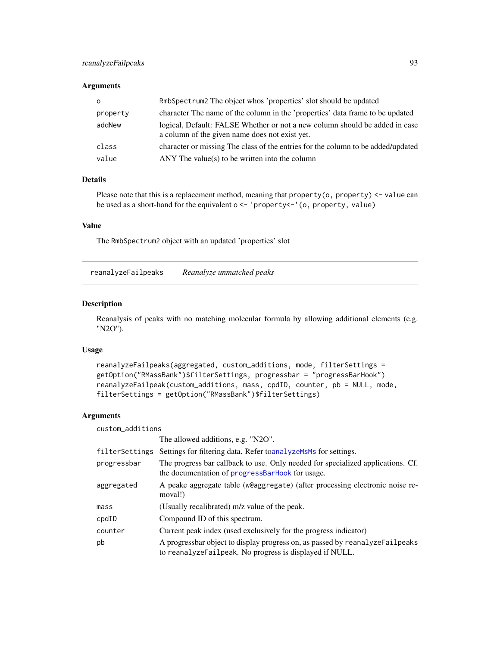# reanalyzeFailpeaks 93

## Arguments

| $\circ$  | RmbSpectrum2 The object whos 'properties' slot should be updated                                                              |
|----------|-------------------------------------------------------------------------------------------------------------------------------|
| property | character The name of the column in the 'properties' data frame to be updated                                                 |
| addNew   | logical, Default: FALSE Whether or not a new column should be added in case<br>a column of the given name does not exist yet. |
| class    | character or missing The class of the entries for the column to be added/updated                                              |
| value    | $ANY$ The value(s) to be written into the column                                                                              |

# Details

Please note that this is a replacement method, meaning that property(o, property) <- value can be used as a short-hand for the equivalent o <- 'property<-'(o, property, value)

## Value

The RmbSpectrum2 object with an updated 'properties' slot

<span id="page-92-0"></span>reanalyzeFailpeaks *Reanalyze unmatched peaks*

#### Description

Reanalysis of peaks with no matching molecular formula by allowing additional elements (e.g. "N2O").

## Usage

```
reanalyzeFailpeaks(aggregated, custom_additions, mode, filterSettings =
getOption("RMassBank")$filterSettings, progressbar = "progressBarHook")
reanalyzeFailpeak(custom_additions, mass, cpdID, counter, pb = NULL, mode,
filterSettings = getOption("RMassBank")$filterSettings)
```
### Arguments

custom\_additions

|                | The allowed additions, e.g. "N2O".                                                                                                        |
|----------------|-------------------------------------------------------------------------------------------------------------------------------------------|
| filterSettings | Settings for filtering data. Refer to analyze Ms or settings.                                                                             |
| progressbar    | The progress bar callback to use. Only needed for specialized applications. Cf.<br>the documentation of progressBarHook for usage.        |
| aggregated     | A peake aggregate table (w@aggregate) (after processing electronic noise re-<br>moval!)                                                   |
| mass           | (Usually recalibrated) m/z value of the peak.                                                                                             |
| cpdID          | Compound ID of this spectrum.                                                                                                             |
| counter        | Current peak index (used exclusively for the progress indicator)                                                                          |
| pb             | A progressbar object to display progress on, as passed by reanalyze Failpeaks<br>to reanalyze Failpeak. No progress is displayed if NULL. |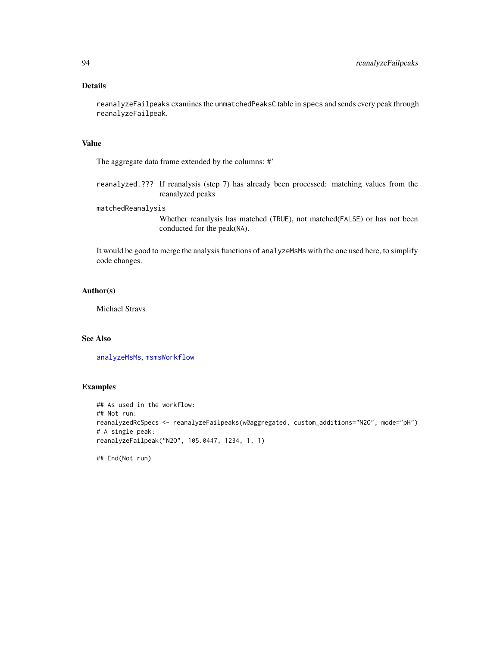# Details

reanalyzeFailpeaks examines the unmatchedPeaksC table in specs and sends every peak through reanalyzeFailpeak.

# Value

The aggregate data frame extended by the columns: #'

reanalyzed.??? If reanalysis (step 7) has already been processed: matching values from the reanalyzed peaks

matchedReanalysis

Whether reanalysis has matched (TRUE), not matched(FALSE) or has not been conducted for the peak(NA).

It would be good to merge the analysis functions of analyzeMsMs with the one used here, to simplify code changes.

#### Author(s)

Michael Stravs

### See Also

[analyzeMsMs](#page-11-0), [msmsWorkflow](#page-77-0)

## Examples

```
## As used in the workflow:
## Not run:
reanalyzedRcSpecs <- reanalyzeFailpeaks(w@aggregated, custom_additions="N2O", mode="pH")
# A single peak:
reanalyzeFailpeak("N2O", 105.0447, 1234, 1, 1)
```
## End(Not run)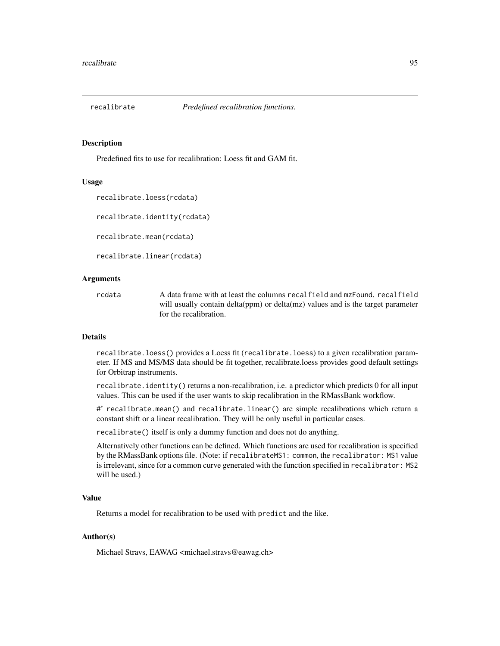<span id="page-94-0"></span>

Predefined fits to use for recalibration: Loess fit and GAM fit.

#### Usage

```
recalibrate.loess(rcdata)
```
recalibrate.identity(rcdata)

recalibrate.mean(rcdata)

recalibrate.linear(rcdata)

#### Arguments

rcdata A data frame with at least the columns recalfield and mzFound. recalfield will usually contain delta(ppm) or delta(mz) values and is the target parameter for the recalibration.

### Details

recalibrate.loess() provides a Loess fit (recalibrate.loess) to a given recalibration parameter. If MS and MS/MS data should be fit together, recalibrate.loess provides good default settings for Orbitrap instruments.

recalibrate.identity() returns a non-recalibration, i.e. a predictor which predicts 0 for all input values. This can be used if the user wants to skip recalibration in the RMassBank workflow.

#' recalibrate.mean() and recalibrate.linear() are simple recalibrations which return a constant shift or a linear recalibration. They will be only useful in particular cases.

recalibrate() itself is only a dummy function and does not do anything.

Alternatively other functions can be defined. Which functions are used for recalibration is specified by the RMassBank options file. (Note: if recalibrateMS1: common, the recalibrator: MS1 value is irrelevant, since for a common curve generated with the function specified in recalibrator: MS2 will be used.)

## Value

Returns a model for recalibration to be used with predict and the like.

#### Author(s)

Michael Stravs, EAWAG <michael.stravs@eawag.ch>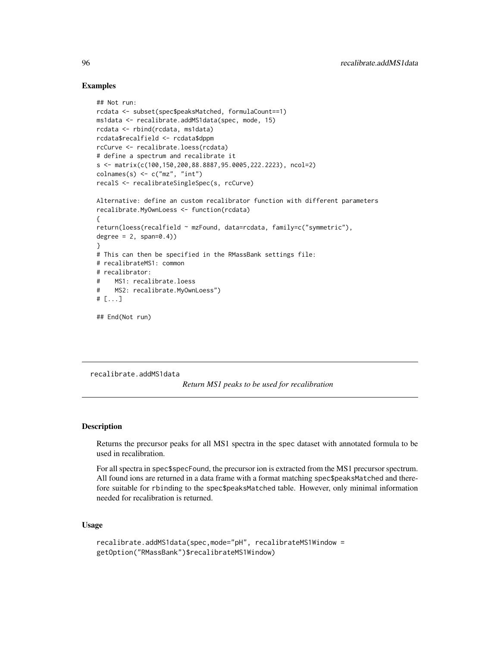### Examples

```
## Not run:
rcdata <- subset(spec$peaksMatched, formulaCount==1)
ms1data <- recalibrate.addMS1data(spec, mode, 15)
rcdata <- rbind(rcdata, ms1data)
rcdata$recalfield <- rcdata$dppm
rcCurve <- recalibrate.loess(rcdata)
# define a spectrum and recalibrate it
s <- matrix(c(100,150,200,88.8887,95.0005,222.2223), ncol=2)
colnames(s) \leq c("mz", "int")
recalS <- recalibrateSingleSpec(s, rcCurve)
Alternative: define an custom recalibrator function with different parameters
recalibrate.MyOwnLoess <- function(rcdata)
{
return(loess(recalfield ~ mzFound, data=rcdata, family=c("symmetric"),
degree = 2, span=0.4)
}
# This can then be specified in the RMassBank settings file:
# recalibrateMS1: common
# recalibrator:
# MS1: recalibrate.loess
# MS2: recalibrate.MyOwnLoess")
# [...]
## End(Not run)
```
recalibrate.addMS1data

*Return MS1 peaks to be used for recalibration*

## **Description**

Returns the precursor peaks for all MS1 spectra in the spec dataset with annotated formula to be used in recalibration.

For all spectra in spec\$specFound, the precursor ion is extracted from the MS1 precursor spectrum. All found ions are returned in a data frame with a format matching spec\$peaksMatched and therefore suitable for rbinding to the spec\$peaksMatched table. However, only minimal information needed for recalibration is returned.

## Usage

```
recalibrate.addMS1data(spec,mode="pH", recalibrateMS1Window =
getOption("RMassBank")$recalibrateMS1Window)
```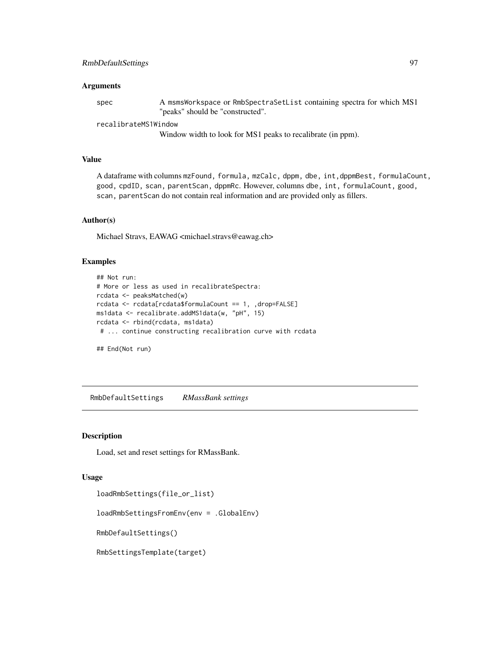#### Arguments

spec A msmsWorkspace or RmbSpectraSetList containing spectra for which MS1 "peaks" should be "constructed".

recalibrateMS1Window

Window width to look for MS1 peaks to recalibrate (in ppm).

### Value

A dataframe with columns mzFound, formula, mzCalc, dppm, dbe, int,dppmBest, formulaCount, good, cpdID, scan, parentScan, dppmRc. However, columns dbe, int, formulaCount, good, scan, parentScan do not contain real information and are provided only as fillers.

## Author(s)

Michael Stravs, EAWAG <michael.stravs@eawag.ch>

#### Examples

```
## Not run:
# More or less as used in recalibrateSpectra:
rcdata <- peaksMatched(w)
rcdata <- rcdata[rcdata$formulaCount == 1, ,drop=FALSE]
ms1data <- recalibrate.addMS1data(w, "pH", 15)
rcdata <- rbind(rcdata, ms1data)
 # ... continue constructing recalibration curve with rcdata
```
## End(Not run)

RmbDefaultSettings *RMassBank settings*

## <span id="page-96-0"></span>Description

Load, set and reset settings for RMassBank.

#### Usage

```
loadRmbSettings(file_or_list)
```
loadRmbSettingsFromEnv(env = .GlobalEnv)

RmbDefaultSettings()

RmbSettingsTemplate(target)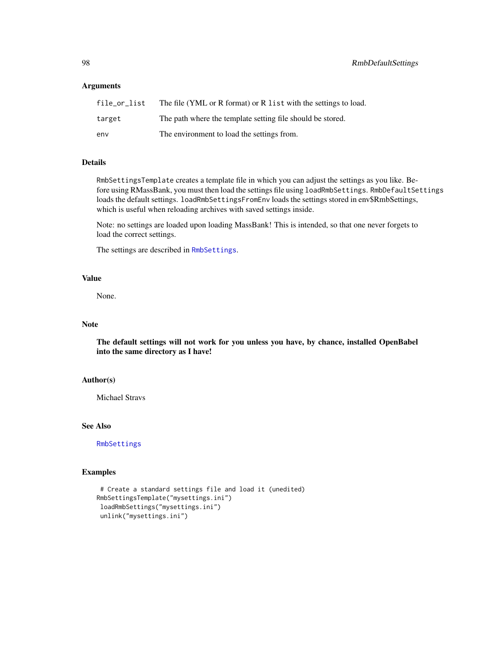#### **Arguments**

| file or list | The file (YML or R format) or R list with the settings to load. |
|--------------|-----------------------------------------------------------------|
| target       | The path where the template setting file should be stored.      |
| env          | The environment to load the settings from.                      |

# Details

RmbSettingsTemplate creates a template file in which you can adjust the settings as you like. Before using RMassBank, you must then load the settings file using loadRmbSettings. RmbDefaultSettings loads the default settings. loadRmbSettingsFromEnv loads the settings stored in env\$RmbSettings, which is useful when reloading archives with saved settings inside.

Note: no settings are loaded upon loading MassBank! This is intended, so that one never forgets to load the correct settings.

The settings are described in [RmbSettings](#page-98-0).

## Value

None.

## Note

The default settings will not work for you unless you have, by chance, installed OpenBabel into the same directory as I have!

#### Author(s)

Michael Stravs

## See Also

[RmbSettings](#page-98-0)

## Examples

```
# Create a standard settings file and load it (unedited)
RmbSettingsTemplate("mysettings.ini")
loadRmbSettings("mysettings.ini")
unlink("mysettings.ini")
```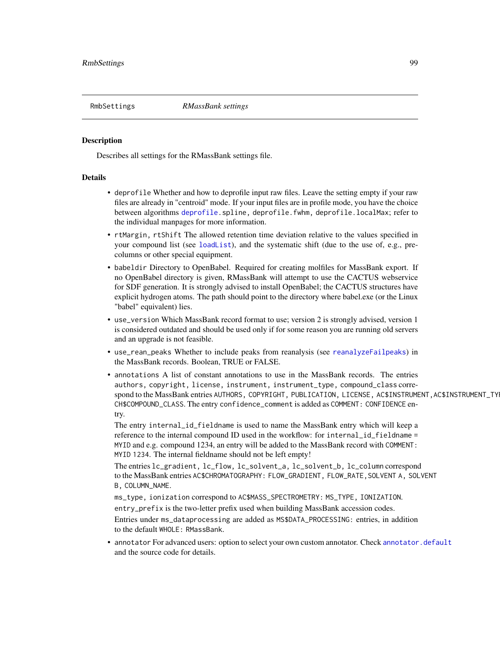<span id="page-98-0"></span>

Describes all settings for the RMassBank settings file.

### **Details**

- deprofile Whether and how to deprofile input raw files. Leave the setting empty if your raw files are already in "centroid" mode. If your input files are in profile mode, you have the choice between algorithms [deprofile.](#page-26-0)spline, deprofile.fwhm, deprofile.localMax; refer to the individual manpages for more information.
- rtMargin, rtShift The allowed retention time deviation relative to the values specified in your compound list (see [loadList](#page-65-0)), and the systematic shift (due to the use of, e.g., precolumns or other special equipment.
- babeldir Directory to OpenBabel. Required for creating molfiles for MassBank export. If no OpenBabel directory is given, RMassBank will attempt to use the CACTUS webservice for SDF generation. It is strongly advised to install OpenBabel; the CACTUS structures have explicit hydrogen atoms. The path should point to the directory where babel.exe (or the Linux "babel" equivalent) lies.
- use\_version Which MassBank record format to use; version 2 is strongly advised, version 1 is considered outdated and should be used only if for some reason you are running old servers and an upgrade is not feasible.
- use\_rean\_peaks Whether to include peaks from reanalysis (see [reanalyzeFailpeaks](#page-92-0)) in the MassBank records. Boolean, TRUE or FALSE.
- annotations A list of constant annotations to use in the MassBank records. The entries authors, copyright, license, instrument, instrument\_type, compound\_class correspond to the MassBank entries AUTHORS, COPYRIGHT, PUBLICATION, LICENSE, AC\$INSTRUMENT, AC\$INSTRUMENT\_TY CH\$COMPOUND\_CLASS. The entry confidence\_comment is added as COMMENT: CONFIDENCE entry.

The entry internal\_id\_fieldname is used to name the MassBank entry which will keep a reference to the internal compound ID used in the workflow: for internal\_id\_fieldname = MYID and e.g. compound 1234, an entry will be added to the MassBank record with COMMENT: MYID 1234. The internal fieldname should not be left empty!

The entries lc\_gradient, lc\_flow, lc\_solvent\_a, lc\_solvent\_b, lc\_column correspond to the MassBank entries AC\$CHROMATOGRAPHY: FLOW\_GRADIENT, FLOW\_RATE,SOLVENT A, SOLVENT B, COLUMN\_NAME.

ms\_type, ionization correspond to AC\$MASS\_SPECTROMETRY: MS\_TYPE, IONIZATION. entry\_prefix is the two-letter prefix used when building MassBank accession codes.

Entries under ms\_dataprocessing are added as MS\$DATA\_PROCESSING: entries, in addition to the default WHOLE: RMassBank.

• annotator For advanced users: option to select your own custom annotator. Check [annotator.default](#page-14-0) and the source code for details.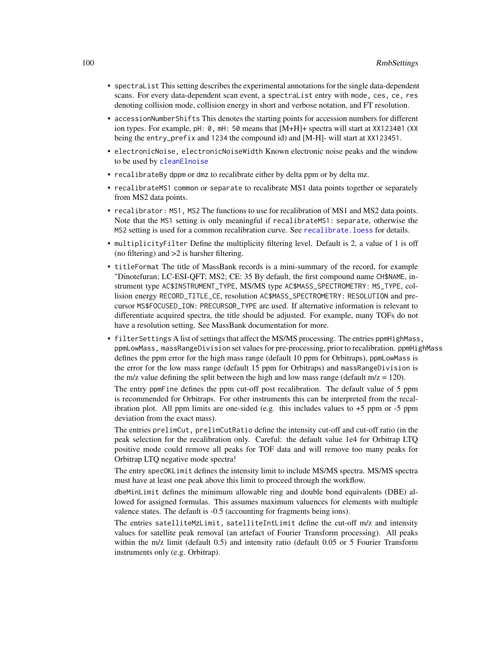- spectraList This setting describes the experimental annotations for the single data-dependent scans. For every data-dependent scan event, a spectraList entry with mode, ces, ce, res denoting collision mode, collision energy in short and verbose notation, and FT resolution.
- accessionNumberShifts This denotes the starting points for accession numbers for different ion types. For example, pH: 0, mH: 50 means that [M+H]+ spectra will start at XX123401 (XX being the entry\_prefix and 1234 the compound id) and [M-H]- will start at XX123451.
- electronicNoise, electronicNoiseWidth Known electronic noise peaks and the window to be used by [cleanElnoise](#page-19-0)
- recalibrateBy dppm or dmz to recalibrate either by delta ppm or by delta mz.
- recalibrateMS1 common or separate to recalibrate MS1 data points together or separately from MS2 data points.
- recalibrator: MS1, MS2 The functions to use for recalibration of MS1 and MS2 data points. Note that the MS1 setting is only meaningful if recalibrateMS1: separate, otherwise the MS2 setting is used for a common recalibration curve. See [recalibrate.loess](#page-94-0) for details.
- multiplicityFilter Define the multiplicity filtering level. Default is 2, a value of 1 is off (no filtering) and >2 is harsher filtering.
- titleFormat The title of MassBank records is a mini-summary of the record, for example "Dinotefuran; LC-ESI-QFT; MS2; CE: 35 By default, the first compound name CH\$NAME, instrument type AC\$INSTRUMENT\_TYPE, MS/MS type AC\$MASS\_SPECTROMETRY: MS\_TYPE, collision energy RECORD\_TITLE\_CE, resolution AC\$MASS\_SPECTROMETRY: RESOLUTION and precursor MS\$FOCUSED\_ION: PRECURSOR\_TYPE are used. If alternative information is relevant to differentiate acquired spectra, the title should be adjusted. For example, many TOFs do not have a resolution setting. See MassBank documentation for more.
- filterSettings A list of settings that affect the MS/MS processing. The entries ppmHighMass, ppmLowMass, massRangeDivision set values for pre-processing, prior to recalibration. ppmHighMass defines the ppm error for the high mass range (default 10 ppm for Orbitraps), ppmLowMass is the error for the low mass range (default 15 ppm for Orbitraps) and massRangeDivision is the m/z value defining the split between the high and low mass range (default m/z = 120). The entry ppmFine defines the ppm cut-off post recalibration. The default value of 5 ppm is recommended for Orbitraps. For other instruments this can be interpreted from the recal-

ibration plot. All ppm limits are one-sided (e.g. this includes values to  $+5$  ppm or  $-5$  ppm deviation from the exact mass).

The entries prelimCut, prelimCutRatio define the intensity cut-off and cut-off ratio (in the peak selection for the recalibration only. Careful: the default value 1e4 for Orbitrap LTQ positive mode could remove all peaks for TOF data and will remove too many peaks for Orbitrap LTQ negative mode spectra!

The entry specOKLimit defines the intensity limit to include MS/MS spectra. MS/MS spectra must have at least one peak above this limit to proceed through the workflow.

dbeMinLimit defines the minimum allowable ring and double bond equivalents (DBE) allowed for assigned formulas. This assumes maximum valuences for elements with multiple valence states. The default is -0.5 (accounting for fragments being ions).

The entries satelliteMzLimit, satelliteIntLimit define the cut-off m/z and intensity values for satellite peak removal (an artefact of Fourier Transform processing). All peaks within the m/z limit (default 0.5) and intensity ratio (default 0.05 or 5 Fourier Transform instruments only (e.g. Orbitrap).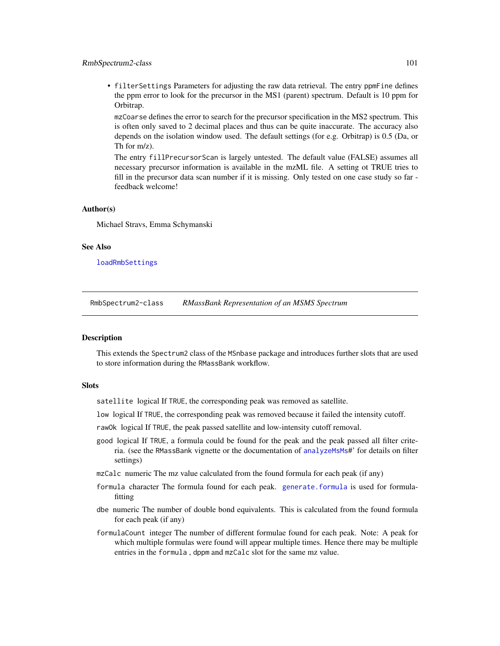## RmbSpectrum2-class 101

• filterSettings Parameters for adjusting the raw data retrieval. The entry ppmFine defines the ppm error to look for the precursor in the MS1 (parent) spectrum. Default is 10 ppm for Orbitrap.

mzCoarse defines the error to search for the precursor specification in the MS2 spectrum. This is often only saved to 2 decimal places and thus can be quite inaccurate. The accuracy also depends on the isolation window used. The default settings (for e.g. Orbitrap) is 0.5 (Da, or Th for m/z).

The entry fillPrecursorScan is largely untested. The default value (FALSE) assumes all necessary precursor information is available in the mzML file. A setting ot TRUE tries to fill in the precursor data scan number if it is missing. Only tested on one case study so far feedback welcome!

#### Author(s)

Michael Stravs, Emma Schymanski

### See Also

[loadRmbSettings](#page-96-0)

RmbSpectrum2-class *RMassBank Representation of an MSMS Spectrum*

#### **Description**

This extends the Spectrum2 class of the MSnbase package and introduces further slots that are used to store information during the RMassBank workflow.

#### **Slots**

satellite logical If TRUE, the corresponding peak was removed as satellite.

low logical If TRUE, the corresponding peak was removed because it failed the intensity cutoff.

- rawOk logical If TRUE, the peak passed satellite and low-intensity cutoff removal.
- good logical If TRUE, a formula could be found for the peak and the peak passed all filter criteria. (see the RMassBank vignette or the documentation of [analyzeMsMs](#page-11-0)#' for details on filter settings)
- mzCalc numeric The mz value calculated from the found formula for each peak (if any)
- formula character The formula found for each peak. [generate.formula](#page-0-0) is used for formulafitting
- dbe numeric The number of double bond equivalents. This is calculated from the found formula for each peak (if any)
- formulaCount integer The number of different formulae found for each peak. Note: A peak for which multiple formulas were found will appear multiple times. Hence there may be multiple entries in the formula , dppm and mzCalc slot for the same mz value.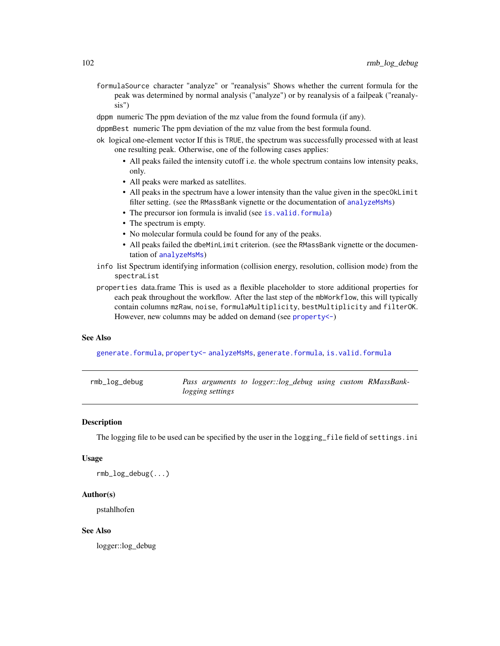formulaSource character "analyze" or "reanalysis" Shows whether the current formula for the peak was determined by normal analysis ("analyze") or by reanalysis of a failpeak ("reanalysis")

dppm numeric The ppm deviation of the mz value from the found formula (if any).

dppmBest numeric The ppm deviation of the mz value from the best formula found.

- ok logical one-element vector If this is TRUE, the spectrum was successfully processed with at least one resulting peak. Otherwise, one of the following cases applies:
	- All peaks failed the intensity cutoff i.e. the whole spectrum contains low intensity peaks, only.
	- All peaks were marked as satellites.
	- All peaks in the spectrum have a lower intensity than the value given in the specOkLimit filter setting. (see the RMassBank vignette or the documentation of [analyzeMsMs](#page-11-0))
	- The precursor ion formula is invalid (see [is.valid.formula](#page-63-0))
	- The spectrum is empty.
	- No molecular formula could be found for any of the peaks.
	- All peaks failed the dbeMinLimit criterion. (see the RMassBank vignette or the documentation of [analyzeMsMs](#page-11-0))
- info list Spectrum identifying information (collision energy, resolution, collision mode) from the spectraList
- properties data.frame This is used as a flexible placeholder to store additional properties for each peak throughout the workflow. After the last step of the mbWorkflow, this will typically contain columns mzRaw, noise, formulaMultiplicity, bestMultiplicity and filterOK. However, new columns may be added on demand (see [property<-](#page-91-0))

#### See Also

[generate.formula](#page-0-0), [property<-](#page-91-0) [analyzeMsMs](#page-11-0), [generate.formula](#page-0-0), [is.valid.formula](#page-63-0)

rmb\_log\_debug *Pass arguments to logger::log\_debug using custom RMassBanklogging settings*

### **Description**

The logging file to be used can be specified by the user in the logging\_file field of settings.ini

#### Usage

rmb\_log\_debug(...)

#### Author(s)

pstahlhofen

### See Also

logger::log\_debug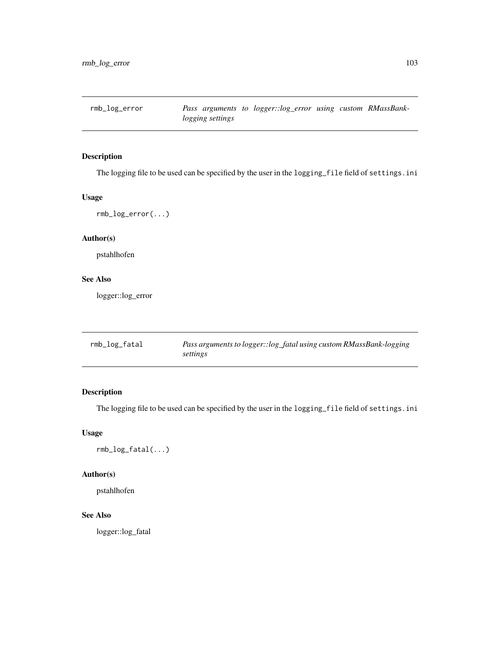The logging file to be used can be specified by the user in the logging\_file field of settings.ini

# Usage

rmb\_log\_error(...)

# Author(s)

pstahlhofen

# See Also

logger::log\_error

| rmb_log_fatal | Pass arguments to logger::log_fatal using custom RMassBank-logging |
|---------------|--------------------------------------------------------------------|
|               | settings                                                           |

# Description

The logging file to be used can be specified by the user in the logging\_file field of settings.ini

# Usage

rmb\_log\_fatal(...)

### Author(s)

pstahlhofen

## See Also

logger::log\_fatal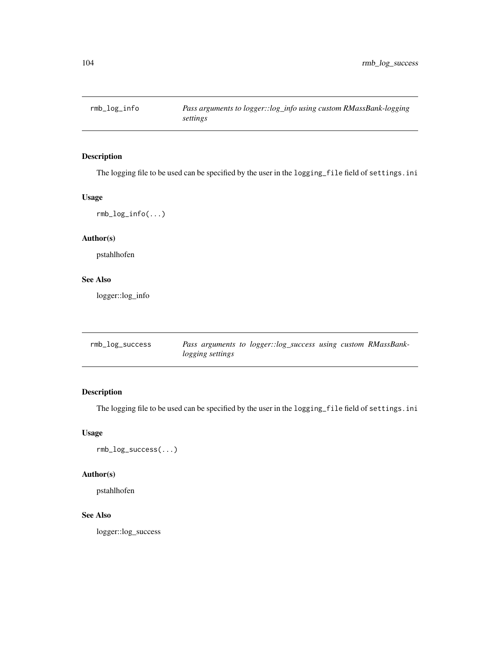The logging file to be used can be specified by the user in the logging\_file field of settings.ini

# Usage

rmb\_log\_info(...)

# Author(s)

pstahlhofen

# See Also

logger::log\_info

| rmb_log_success | Pass arguments to logger::log_success using custom RMassBank- |
|-----------------|---------------------------------------------------------------|
|                 | <i>logging settings</i>                                       |

# Description

The logging file to be used can be specified by the user in the logging\_file field of settings.ini

# Usage

rmb\_log\_success(...)

#### Author(s)

pstahlhofen

## See Also

logger::log\_success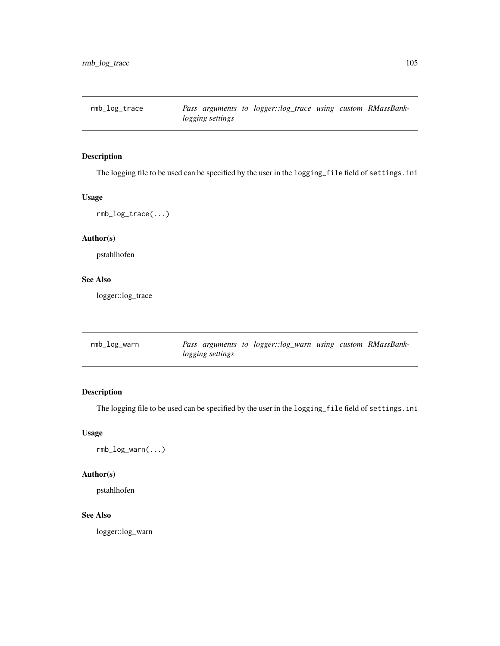rmb\_log\_trace *Pass arguments to logger::log\_trace using custom RMassBanklogging settings*

# Description

The logging file to be used can be specified by the user in the logging\_file field of settings.ini

# Usage

rmb\_log\_trace(...)

# Author(s)

pstahlhofen

# See Also

logger::log\_trace

| rmb_log_warn |                         | Pass arguments to logger::log_warn using custom RMassBank- |  |  |
|--------------|-------------------------|------------------------------------------------------------|--|--|
|              | <i>logging settings</i> |                                                            |  |  |

# Description

The logging file to be used can be specified by the user in the logging\_file field of settings.ini

# Usage

rmb\_log\_warn(...)

#### Author(s)

pstahlhofen

### See Also

logger::log\_warn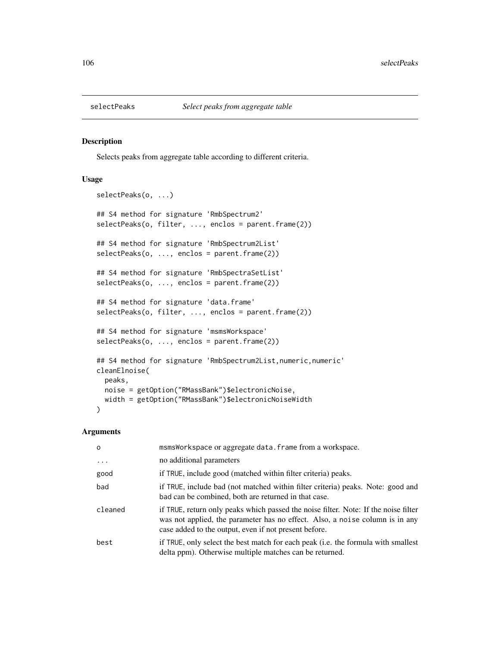Selects peaks from aggregate table according to different criteria.

# Usage

```
selectPeaks(o, ...)
## S4 method for signature 'RmbSpectrum2'
selectPeaks(o, filter, ..., enclos = parent.frame(2))
## S4 method for signature 'RmbSpectrum2List'
selectPeaks(o, ..., enclos = parent.frame(2))
## S4 method for signature 'RmbSpectraSetList'
selectPeaks(o, ..., enclos = parent.frame(2))
## S4 method for signature 'data.frame'
selectPeaks(o, filter, ..., enclos = parent.frame(2))
## S4 method for signature 'msmsWorkspace'
selectPeaks(o, ..., enclos = parent.frame(2))
## S4 method for signature 'RmbSpectrum2List, numeric, numeric'
cleanElnoise(
 peaks,
 noise = getOption("RMassBank")$electronicNoise,
 width = getOption("RMassBank")$electronicNoiseWidth
\lambda
```
### Arguments

| $\Omega$ | msmsWorkspace or aggregate data. frame from a workspace.                                                                                                                                                                     |
|----------|------------------------------------------------------------------------------------------------------------------------------------------------------------------------------------------------------------------------------|
| $\cdot$  | no additional parameters                                                                                                                                                                                                     |
| good     | if TRUE, include good (matched within filter criteria) peaks.                                                                                                                                                                |
| bad      | if TRUE, include bad (not matched within filter criteria) peaks. Note: good and<br>bad can be combined, both are returned in that case.                                                                                      |
| cleaned  | if TRUE, return only peaks which passed the noise filter. Note: If the noise filter<br>was not applied, the parameter has no effect. Also, a noise column is in any<br>case added to the output, even if not present before. |
| best     | if TRUE, only select the best match for each peak (i.e. the formula with smallest<br>delta ppm). Otherwise multiple matches can be returned.                                                                                 |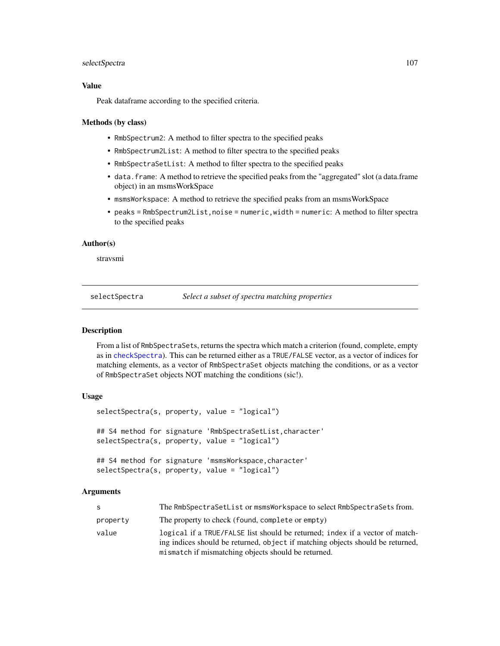## selectSpectra 107

## Value

Peak dataframe according to the specified criteria.

#### Methods (by class)

- RmbSpectrum2: A method to filter spectra to the specified peaks
- RmbSpectrum2List: A method to filter spectra to the specified peaks
- RmbSpectraSetList: A method to filter spectra to the specified peaks
- data.frame: A method to retrieve the specified peaks from the "aggregated" slot (a data.frame object) in an msmsWorkSpace
- msmsWorkspace: A method to retrieve the specified peaks from an msmsWorkSpace
- peaks = RmbSpectrum2List,noise = numeric,width = numeric: A method to filter spectra to the specified peaks

#### Author(s)

stravsmi

selectSpectra *Select a subset of spectra matching properties*

#### Description

From a list of RmbSpectraSets, returns the spectra which match a criterion (found, complete, empty as in [checkSpectra](#page-19-1)). This can be returned either as a TRUE/FALSE vector, as a vector of indices for matching elements, as a vector of RmbSpectraSet objects matching the conditions, or as a vector of RmbSpectraSet objects NOT matching the conditions (sic!).

#### Usage

```
selectSpectra(s, property, value = "logical")
## S4 method for signature 'RmbSpectraSetList,character'
selectSpectra(s, property, value = "logical")
## S4 method for signature 'msmsWorkspace,character'
selectSpectra(s, property, value = "logical")
```
#### Arguments

| S.       | The RmbSpectraSetList or msmsWorkspace to select RmbSpectraSets from.                                                                                                                                                 |
|----------|-----------------------------------------------------------------------------------------------------------------------------------------------------------------------------------------------------------------------|
| property | The property to check (found, complete or empty)                                                                                                                                                                      |
| value    | logical if a TRUE/FALSE list should be returned; index if a vector of match-<br>ing indices should be returned, object if matching objects should be returned,<br>mismatch if mismatching objects should be returned. |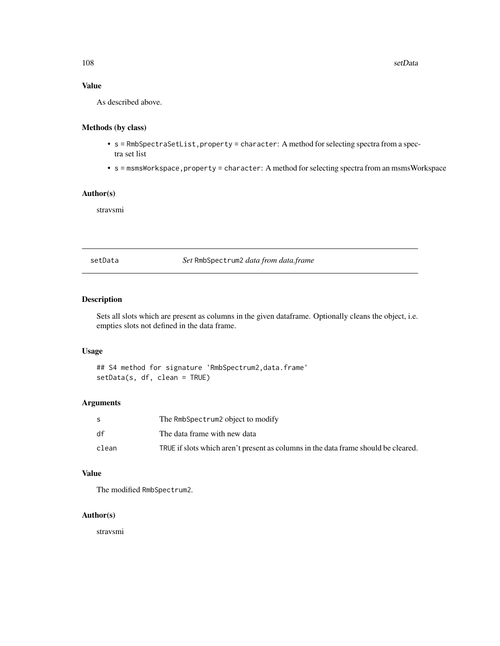# Value

As described above.

# Methods (by class)

- s = RmbSpectraSetList,property = character: A method for selecting spectra from a spectra set list
- s = msmsWorkspace,property = character: A method for selecting spectra from an msmsWorkspace

# Author(s)

stravsmi

<span id="page-107-0"></span>setData *Set* RmbSpectrum2 *data from data.frame*

# Description

Sets all slots which are present as columns in the given dataframe. Optionally cleans the object, i.e. empties slots not defined in the data frame.

## Usage

```
## S4 method for signature 'RmbSpectrum2,data.frame'
setData(s, df, clean = TRUE)
```
# Arguments

|       | The RmbSpectrum2 object to modify                                                  |
|-------|------------------------------------------------------------------------------------|
| df    | The data frame with new data                                                       |
| clean | TRUE if slots which aren't present as columns in the data frame should be cleared. |

# Value

The modified RmbSpectrum2.

### Author(s)

stravsmi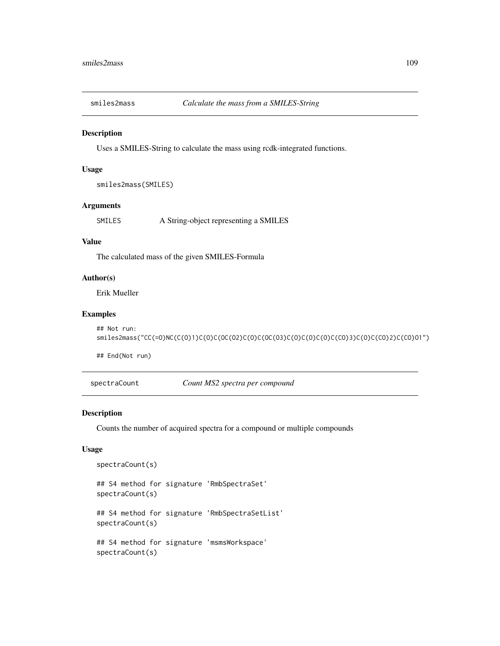<span id="page-108-0"></span>

### Description

Uses a SMILES-String to calculate the mass using rcdk-integrated functions.

### Usage

```
smiles2mass(SMILES)
```
### **Arguments**

SMILES A String-object representing a SMILES

## Value

The calculated mass of the given SMILES-Formula

# Author(s)

Erik Mueller

# Examples

```
## Not run:
smiles2mass("CC(=O)NC(C(O)1)C(O)C(OC(O2)C(O)C(OC(O3)C(O)C(O)C(O)C(CO)3)C(O)C(CO)2)C(CO)O1")
```
## End(Not run)

spectraCount *Count MS2 spectra per compound*

## Description

Counts the number of acquired spectra for a compound or multiple compounds

### Usage

```
spectraCount(s)
## S4 method for signature 'RmbSpectraSet'
spectraCount(s)
## S4 method for signature 'RmbSpectraSetList'
spectraCount(s)
## S4 method for signature 'msmsWorkspace'
spectraCount(s)
```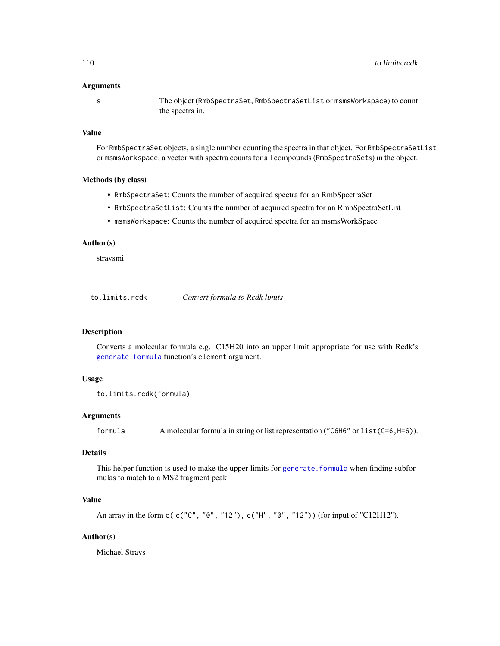### <span id="page-109-0"></span>Arguments

s The object (RmbSpectraSet, RmbSpectraSetList or msmsWorkspace) to count the spectra in.

### Value

For RmbSpectraSet objects, a single number counting the spectra in that object. For RmbSpectraSetList or msmsWorkspace, a vector with spectra counts for all compounds (RmbSpectraSets) in the object.

# Methods (by class)

- RmbSpectraSet: Counts the number of acquired spectra for an RmbSpectraSet
- RmbSpectraSetList: Counts the number of acquired spectra for an RmbSpectraSetList
- msmsWorkspace: Counts the number of acquired spectra for an msmsWorkSpace

### Author(s)

stravsmi

to.limits.rcdk *Convert formula to Rcdk limits*

# **Description**

Converts a molecular formula e.g. C15H20 into an upper limit appropriate for use with Rcdk's [generate.formula](#page-0-0) function's element argument.

### Usage

```
to.limits.rcdk(formula)
```
### Arguments

formula A molecular formula in string or list representation ("C6H6" or list(C=6,H=6)).

# Details

This helper function is used to make the upper limits for [generate.formula](#page-0-0) when finding subformulas to match to a MS2 fragment peak.

### Value

```
An array in the form c( c("C", "0", "12"), c("H", "0", "12")) (for input of "C12H12").
```
# Author(s)

Michael Stravs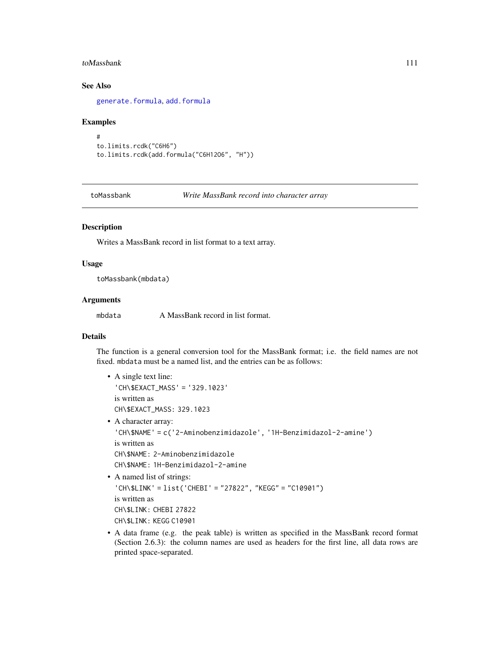### <span id="page-110-0"></span>toMassbank 111

# See Also

[generate.formula](#page-0-0), [add.formula](#page-5-0)

### Examples

```
#
to.limits.rcdk("C6H6")
to.limits.rcdk(add.formula("C6H12O6", "H"))
```
toMassbank *Write MassBank record into character array*

# Description

Writes a MassBank record in list format to a text array.

### Usage

toMassbank(mbdata)

# Arguments

mbdata A MassBank record in list format.

# Details

The function is a general conversion tool for the MassBank format; i.e. the field names are not fixed. mbdata must be a named list, and the entries can be as follows:

- A single text line: 'CH\\$EXACT\_MASS' = '329.1023' is written as CH\\$EXACT\_MASS: 329.1023
- A character array: 'CH\\$NAME' = c('2-Aminobenzimidazole', '1H-Benzimidazol-2-amine') is written as CH\\$NAME: 2-Aminobenzimidazole CH\\$NAME: 1H-Benzimidazol-2-amine

```
• A named list of strings:
  'CH\$LINK' = list('CHEBI' = "27822", "KEGG" = "C10901")
 is written as
 CH\$LINK: CHEBI 27822
 CH\$LINK: KEGG C10901
```
• A data frame (e.g. the peak table) is written as specified in the MassBank record format (Section 2.6.3): the column names are used as headers for the first line, all data rows are printed space-separated.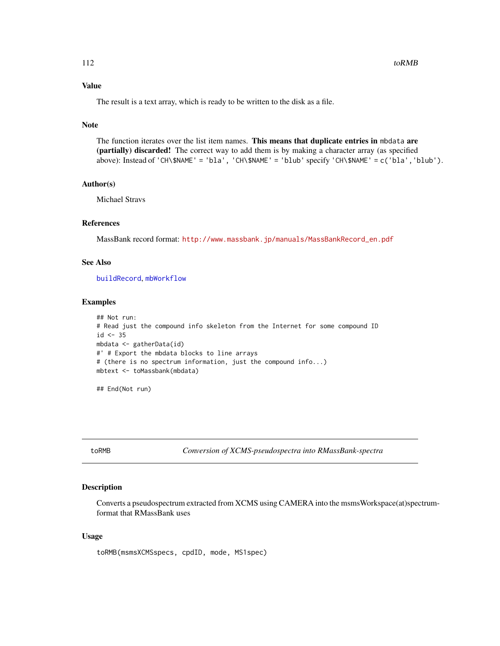# <span id="page-111-0"></span>Value

The result is a text array, which is ready to be written to the disk as a file.

### Note

The function iterates over the list item names. This means that duplicate entries in mbdata are (partially) discarded! The correct way to add them is by making a character array (as specified above): Instead of 'CH\\$NAME' = 'bla', 'CH\\$NAME' = 'blub' specify 'CH\\$NAME' = c('bla','blub').

# Author(s)

Michael Stravs

### References

MassBank record format: [http://www.massbank.jp/manuals/MassBankRecord\\_en.pdf](http://www.massbank.jp/manuals/MassBankRecord_en.pdf)

### See Also

[buildRecord](#page-15-0), [mbWorkflow](#page-69-0)

# Examples

```
## Not run:
# Read just the compound info skeleton from the Internet for some compound ID
id \leftarrow 35mbdata <- gatherData(id)
#' # Export the mbdata blocks to line arrays
# (there is no spectrum information, just the compound info...)
mbtext <- toMassbank(mbdata)
```
## End(Not run)

toRMB *Conversion of XCMS-pseudospectra into RMassBank-spectra*

### Description

Converts a pseudospectrum extracted from XCMS using CAMERA into the msmsWorkspace(at)spectrumformat that RMassBank uses

### Usage

toRMB(msmsXCMSspecs, cpdID, mode, MS1spec)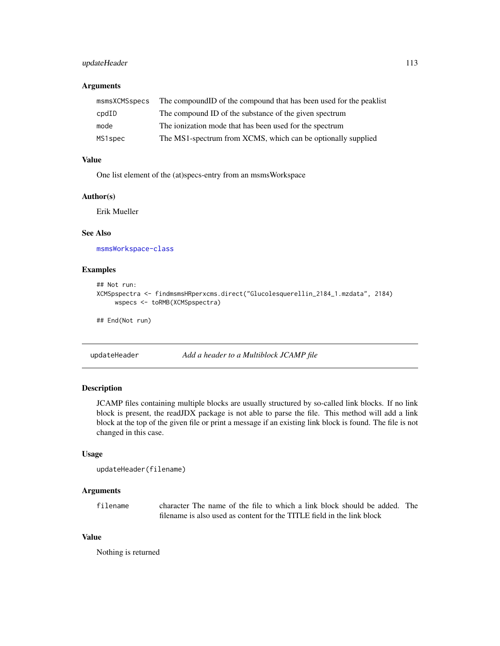# <span id="page-112-0"></span>updateHeader 113

### **Arguments**

| msmsXCMSspecs  | The compound ID of the compound that has been used for the peaklist |
|----------------|---------------------------------------------------------------------|
| $\text{cpdID}$ | The compound ID of the substance of the given spectrum              |
| mode           | The ionization mode that has been used for the spectrum             |
| MS1spec        | The MS1-spectrum from XCMS, which can be optionally supplied        |

# Value

One list element of the (at)specs-entry from an msmsWorkspace

# Author(s)

Erik Mueller

# See Also

[msmsWorkspace-class](#page-78-0)

# Examples

```
## Not run:
XCMSpspectra <- findmsmsHRperxcms.direct("Glucolesquerellin_2184_1.mzdata", 2184)
    wspecs <- toRMB(XCMSpspectra)
```
## End(Not run)

updateHeader *Add a header to a Multiblock JCAMP file*

# Description

JCAMP files containing multiple blocks are usually structured by so-called link blocks. If no link block is present, the readJDX package is not able to parse the file. This method will add a link block at the top of the given file or print a message if an existing link block is found. The file is not changed in this case.

## Usage

```
updateHeader(filename)
```
### Arguments

filename character The name of the file to which a link block should be added. The filename is also used as content for the TITLE field in the link block

# Value

Nothing is returned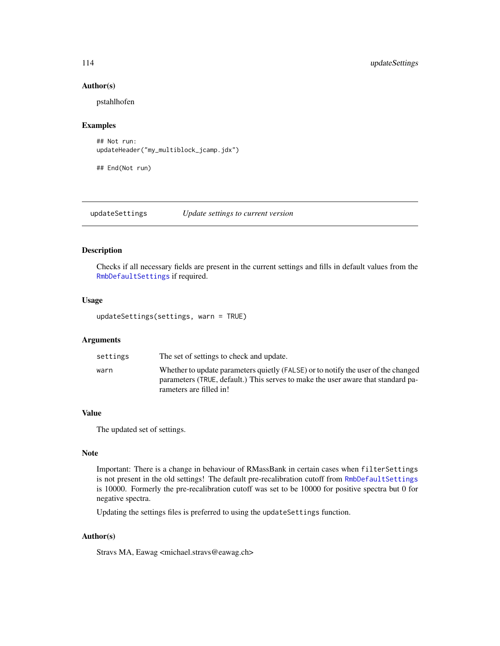## <span id="page-113-0"></span>Author(s)

pstahlhofen

# Examples

```
## Not run:
updateHeader("my_multiblock_jcamp.jdx")
```
## End(Not run)

updateSettings *Update settings to current version*

# Description

Checks if all necessary fields are present in the current settings and fills in default values from the [RmbDefaultSettings](#page-96-0) if required.

# Usage

updateSettings(settings, warn = TRUE)

# Arguments

| settings | The set of settings to check and update.                                                                                                                                                         |
|----------|--------------------------------------------------------------------------------------------------------------------------------------------------------------------------------------------------|
| warn     | Whether to update parameters quietly (FALSE) or to notify the user of the changed<br>parameters (TRUE, default.) This serves to make the user aware that standard pa-<br>rameters are filled in! |

# Value

The updated set of settings.

# Note

Important: There is a change in behaviour of RMassBank in certain cases when filterSettings is not present in the old settings! The default pre-recalibration cutoff from [RmbDefaultSettings](#page-96-0) is 10000. Formerly the pre-recalibration cutoff was set to be 10000 for positive spectra but 0 for negative spectra.

Updating the settings files is preferred to using the updateSettings function.

# Author(s)

Stravs MA, Eawag <michael.stravs@eawag.ch>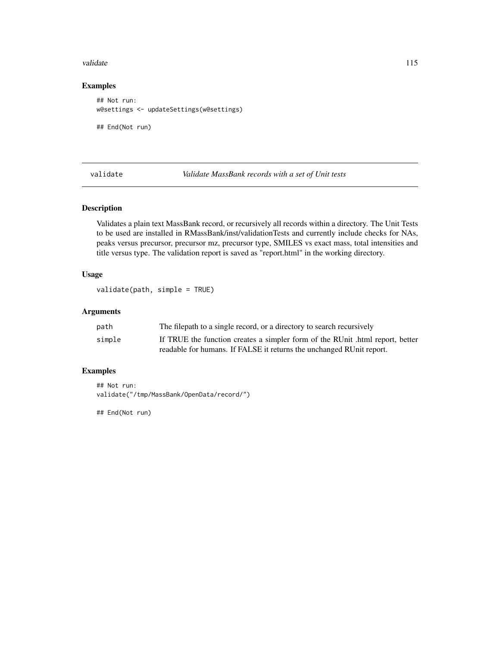### <span id="page-114-0"></span>validate the contract of the contract of the contract of the contract of the contract of the contract of the contract of the contract of the contract of the contract of the contract of the contract of the contract of the c

# Examples

```
## Not run:
w@settings <- updateSettings(w@settings)
## End(Not run)
```
validate *Validate MassBank records with a set of Unit tests*

### Description

Validates a plain text MassBank record, or recursively all records within a directory. The Unit Tests to be used are installed in RMassBank/inst/validationTests and currently include checks for NAs, peaks versus precursor, precursor mz, precursor type, SMILES vs exact mass, total intensities and title versus type. The validation report is saved as "report.html" in the working directory.

# Usage

validate(path, simple = TRUE)

# Arguments

| path   | The filepath to a single record, or a directory to search recursively         |
|--------|-------------------------------------------------------------------------------|
| simple | If TRUE the function creates a simpler form of the RUnit .html report, better |
|        | readable for humans. If FALSE it returns the unchanged RUnit report.          |

# Examples

```
## Not run:
validate("/tmp/MassBank/OpenData/record/")
```
## End(Not run)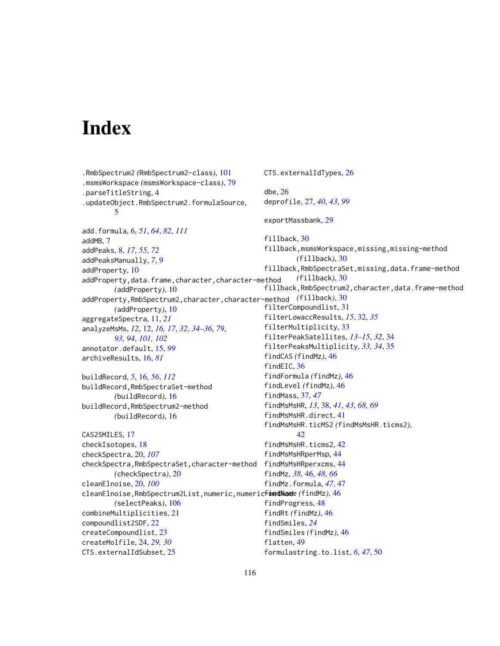# **Index**

CTS.externalIdSubset, [25](#page-24-0)

.RmbSpectrum2 *(*RmbSpectrum2-class*)*, [101](#page-100-0) .msmsWorkspace *(*msmsWorkspace-class*)*, [79](#page-78-1) .parseTitleString, [4](#page-3-0) .updateObject.RmbSpectrum2.formulaSource, [5](#page-4-0) add.formula, [6,](#page-5-1) *[51](#page-50-0)*, *[64](#page-63-0)*, *[82](#page-81-0)*, *[111](#page-110-0)* addMB, [7](#page-6-0) addPeaks, [8,](#page-7-0) *[17](#page-16-0)*, *[55](#page-54-0)*, *[72](#page-71-0)* addPeaksManually, *[7](#page-6-0)*, [9](#page-8-0) addProperty, [10](#page-9-0) addProperty,data.frame,character,character-method *(*addProperty*)*, [10](#page-9-0) addProperty,RmbSpectrum2,character,character-method *(*fillback*)*, [30](#page-29-0) *(*addProperty*)*, [10](#page-9-0) aggregateSpectra, [11,](#page-10-0) *[21](#page-20-0)* analyzeMsMs, *[12](#page-11-0)*, [12,](#page-11-0) *[16,](#page-15-1) [17](#page-16-0)*, *[32](#page-31-0)*, *[34–](#page-33-0)[36](#page-35-0)*, *[79](#page-78-1)*, *[93,](#page-92-0) [94](#page-93-0)*, *[101,](#page-100-0) [102](#page-101-0)* annotator.default, [15,](#page-14-0) *[99](#page-98-0)* archiveResults, [16,](#page-15-1) *[81](#page-80-0)* buildRecord, *[5](#page-4-0)*, [16,](#page-15-1) *[56](#page-55-0)*, *[112](#page-111-0)* buildRecord,RmbSpectraSet-method *(*buildRecord*)*, [16](#page-15-1) buildRecord,RmbSpectrum2-method *(*buildRecord*)*, [16](#page-15-1) CAS2SMILES, [17](#page-16-0) checkIsotopes, [18](#page-17-0) checkSpectra, [20,](#page-19-0) *[107](#page-106-0)* checkSpectra,RmbSpectraSet,character-method *(*checkSpectra*)*, [20](#page-19-0) cleanElnoise, [20,](#page-19-0) *[100](#page-99-0)* cleanElnoise,RmbSpectrum2List,numeric,numeric-method findName *(*findMz*)*, [46](#page-45-0) *(*selectPeaks*)*, [106](#page-105-0) combineMultiplicities, [21](#page-20-0) compoundlist2SDF, [22](#page-21-0) createCompoundlist, [23](#page-22-0) createMolfile, [24,](#page-23-0) *[29,](#page-28-0) [30](#page-29-0)* CTS.externalIdTypes, [26](#page-25-0) dbe, [26](#page-25-0) deprofile, [27,](#page-26-0) *[40](#page-39-0)*, *[43](#page-42-0)*, *[99](#page-98-0)* exportMassbank, [29](#page-28-0) fillback, [30](#page-29-0) fillback,msmsWorkspace,missing,missing-method *(*fillback*)*, [30](#page-29-0) fillback,RmbSpectraSet,missing,data.frame-method *(*fillback*)*, [30](#page-29-0) fillback,RmbSpectrum2,character,data.frame-method filterCompoundlist, [31](#page-30-0) filterLowaccResults, *[15](#page-14-0)*, [32,](#page-31-0) *[35](#page-34-0)* filterMultiplicity, [33](#page-32-0) filterPeakSatellites, *[13](#page-12-0)[–15](#page-14-0)*, *[32](#page-31-0)*, [34](#page-33-0) filterPeaksMultiplicity, *[33,](#page-32-0) [34](#page-33-0)*, [35](#page-34-0) findCAS *(*findMz*)*, [46](#page-45-0) findEIC, [36](#page-35-0) findFormula *(*findMz*)*, [46](#page-45-0) findLevel *(*findMz*)*, [46](#page-45-0) findMass, [37,](#page-36-0) *[47](#page-46-0)* findMsMsHR, *[13](#page-12-0)*, [38,](#page-37-0) *[41](#page-40-0)*, *[43](#page-42-0)*, *[68,](#page-67-0) [69](#page-68-0)* findMsMsHR.direct, [41](#page-40-0) findMsMsHR.ticMS2 *(*findMsMsHR.ticms2*)*, [42](#page-41-0) findMsMsHR.ticms2, [42](#page-41-0) findMsMsHRperMsp, [44](#page-43-0) findMsMsHRperxcms, [44](#page-43-0) findMz, *[38](#page-37-0)*, [46,](#page-45-0) *[48](#page-47-0)*, *[66](#page-65-0)* findMz.formula, *[47](#page-46-0)*, [47](#page-46-0) findProgress, [48](#page-47-0) findRt *(*findMz*)*, [46](#page-45-0) findSmiles, *[24](#page-23-0)* findSmiles *(*findMz*)*, [46](#page-45-0) flatten, [49](#page-48-0)

formulastring.to.list, *[6](#page-5-1)*, *[47](#page-46-0)*, [50](#page-49-0)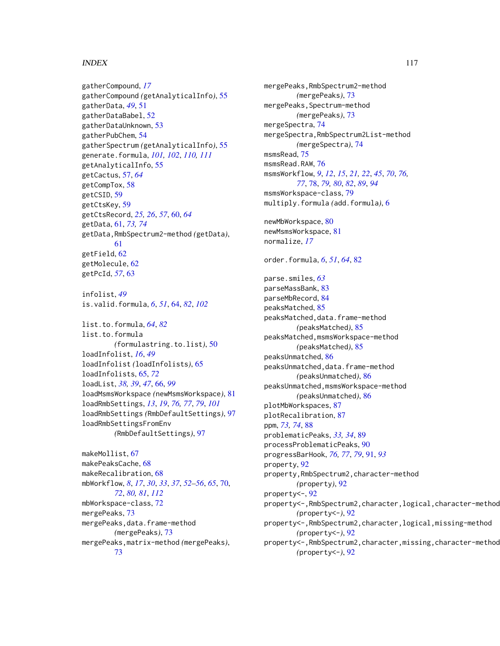### INDEX 117

gatherCompound, *[17](#page-16-0)* gatherCompound *(*getAnalyticalInfo*)*, [55](#page-54-0) gatherData, *[49](#page-48-0)*, [51](#page-50-0) gatherDataBabel, [52](#page-51-0) gatherDataUnknown, [53](#page-52-0) gatherPubChem, [54](#page-53-0) gatherSpectrum *(*getAnalyticalInfo*)*, [55](#page-54-0) generate.formula, *[101,](#page-100-0) [102](#page-101-0)*, *[110,](#page-109-0) [111](#page-110-0)* getAnalyticalInfo, [55](#page-54-0) getCactus, [57,](#page-56-0) *[64](#page-63-0)* getCompTox, [58](#page-57-0) getCSID, [59](#page-58-0) getCtsKey, [59](#page-58-0) getCtsRecord, *[25,](#page-24-0) [26](#page-25-0)*, *[57](#page-56-0)*, [60,](#page-59-0) *[64](#page-63-0)* getData, [61,](#page-60-0) *[73,](#page-72-0) [74](#page-73-0)* getData,RmbSpectrum2-method *(*getData*)*, [61](#page-60-0) getField, [62](#page-61-0) getMolecule, [62](#page-61-0) getPcId, *[57](#page-56-0)*, [63](#page-62-0) infolist, *[49](#page-48-0)* is.valid.formula, *[6](#page-5-1)*, *[51](#page-50-0)*, [64,](#page-63-0) *[82](#page-81-0)*, *[102](#page-101-0)* list.to.formula, *[64](#page-63-0)*, *[82](#page-81-0)* list.to.formula *(*formulastring.to.list*)*, [50](#page-49-0) loadInfolist, *[16](#page-15-1)*, *[49](#page-48-0)* loadInfolist *(*loadInfolists*)*, [65](#page-64-0) loadInfolists, [65,](#page-64-0) *[72](#page-71-0)* loadList, *[38,](#page-37-0) [39](#page-38-0)*, *[47](#page-46-0)*, [66,](#page-65-0) *[99](#page-98-0)* loadMsmsWorkspace *(*newMsmsWorkspace*)*, [81](#page-80-0) loadRmbSettings, *[13](#page-12-0)*, *[19](#page-18-0)*, *[76,](#page-75-0) [77](#page-76-0)*, *[79](#page-78-1)*, *[101](#page-100-0)* loadRmbSettings *(*RmbDefaultSettings*)*, [97](#page-96-1) loadRmbSettingsFromEnv *(*RmbDefaultSettings*)*, [97](#page-96-1) makeMollist, [67](#page-66-0) makePeaksCache, [68](#page-67-0)

makeRecalibration, [68](#page-67-0) mbWorkflow, *[8](#page-7-0)*, *[17](#page-16-0)*, *[30](#page-29-0)*, *[33](#page-32-0)*, *[37](#page-36-0)*, *[52–](#page-51-0)[56](#page-55-0)*, *[65](#page-64-0)*, [70,](#page-69-1) *[72](#page-71-0)*, *[80,](#page-79-0) [81](#page-80-0)*, *[112](#page-111-0)* mbWorkspace-class, [72](#page-71-0) mergePeaks, [73](#page-72-0) mergePeaks,data.frame-method *(*mergePeaks*)*, [73](#page-72-0) mergePeaks,matrix-method *(*mergePeaks*)*, [73](#page-72-0)

mergePeaks,RmbSpectrum2-method *(*mergePeaks*)*, [73](#page-72-0) mergePeaks,Spectrum-method *(*mergePeaks*)*, [73](#page-72-0) mergeSpectra, [74](#page-73-0) mergeSpectra,RmbSpectrum2List-method *(*mergeSpectra*)*, [74](#page-73-0) msmsRead, [75](#page-74-0) msmsRead.RAW, [76](#page-75-0) msmsWorkflow, *[9](#page-8-0)*, *[12](#page-11-0)*, *[15](#page-14-0)*, *[21,](#page-20-0) [22](#page-21-0)*, *[45](#page-44-0)*, *[70](#page-69-1)*, *[76,](#page-75-0) [77](#page-76-0)*, [78,](#page-77-0) *[79,](#page-78-1) [80](#page-79-0)*, *[82](#page-81-0)*, *[89](#page-88-0)*, *[94](#page-93-0)* msmsWorkspace-class, [79](#page-78-1) multiply.formula *(*add.formula*)*, [6](#page-5-1) newMbWorkspace, [80](#page-79-0) newMsmsWorkspace, [81](#page-80-0) normalize, *[17](#page-16-0)* order.formula, *[6](#page-5-1)*, *[51](#page-50-0)*, *[64](#page-63-0)*, [82](#page-81-0) parse.smiles, *[63](#page-62-0)* parseMassBank, [83](#page-82-0) parseMbRecord, [84](#page-83-0) peaksMatched, [85](#page-84-0) peaksMatched,data.frame-method *(*peaksMatched*)*, [85](#page-84-0) peaksMatched,msmsWorkspace-method *(*peaksMatched*)*, [85](#page-84-0) peaksUnmatched, [86](#page-85-0) peaksUnmatched,data.frame-method *(*peaksUnmatched*)*, [86](#page-85-0) peaksUnmatched,msmsWorkspace-method *(*peaksUnmatched*)*, [86](#page-85-0) plotMbWorkspaces, [87](#page-86-0) plotRecalibration, [87](#page-86-0) ppm, *[73,](#page-72-0) [74](#page-73-0)*, [88](#page-87-0) problematicPeaks, *[33,](#page-32-0) [34](#page-33-0)*, [89](#page-88-0) processProblematicPeaks, [90](#page-89-0) progressBarHook, *[76,](#page-75-0) [77](#page-76-0)*, *[79](#page-78-1)*, [91,](#page-90-0) *[93](#page-92-0)* property, [92](#page-91-0) property,RmbSpectrum2,character-method *(*property*)*, [92](#page-91-0) property<-, [92](#page-91-0) property<-,RmbSpectrum2,character,logical,character-method *(*property<-*)*, [92](#page-91-0) property<-,RmbSpectrum2,character,logical,missing-method *(*property<-*)*, [92](#page-91-0) property<-,RmbSpectrum2,character,missing,character-method *(*property<-*)*, [92](#page-91-0)